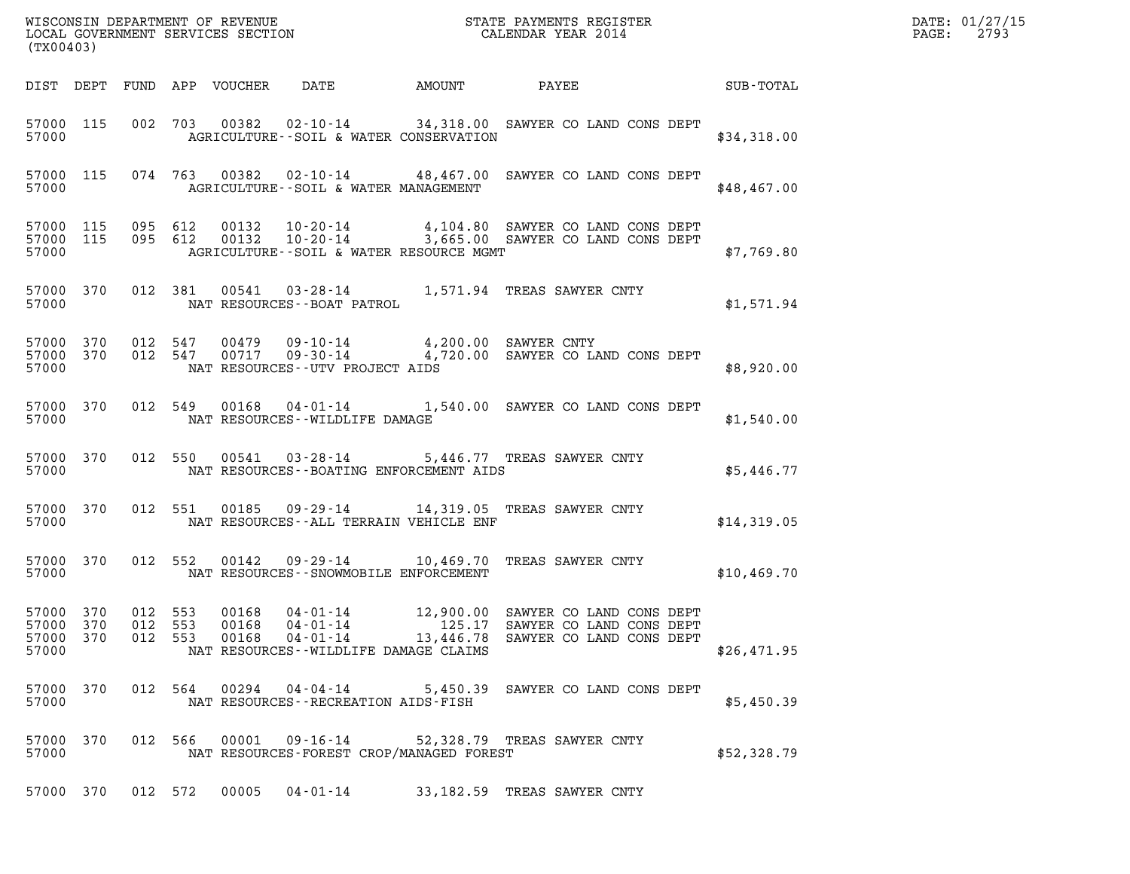| (TX00403)                                                                  |                                                                                                                                                                  |                                                                       |             | DATE: 01/27/15<br>PAGE: 2793 |
|----------------------------------------------------------------------------|------------------------------------------------------------------------------------------------------------------------------------------------------------------|-----------------------------------------------------------------------|-------------|------------------------------|
|                                                                            |                                                                                                                                                                  |                                                                       |             |                              |
| 57000 115<br>57000                                                         | 002 703 00382 02-10-14 34,318.00 SAWYER CO LAND CONS DEPT<br>AGRICULTURE--SOIL & WATER CONSERVATION                                                              |                                                                       | \$34,318.00 |                              |
| 57000 115<br>57000                                                         | 074 763 00382 02-10-14 48,467.00 SAWYER CO LAND CONS DEPT<br>AGRICULTURE--SOIL & WATER MANAGEMENT                                                                |                                                                       | \$48,467.00 |                              |
| 57000 115<br>57000 115<br>57000                                            | 095 612 00132 10-20-14 4,104.80 SAWYER CO LAND CONS DEPT<br>095 612 00132 10-20-14 3,665.00 SAWYER CO LAND CONS DEPT<br>AGRICULTURE--SOIL & WATER RESOURCE MGMT  |                                                                       | \$7,769.80  |                              |
| 57000 370<br>57000                                                         | 012 381 00541 03-28-14 1,571.94 TREAS SAWYER CNTY<br>NAT RESOURCES--BOAT PATROL                                                                                  |                                                                       | \$1,571.94  |                              |
| 57000                                                                      | 57000 370 012 547 00479 09-10-14  4,200.00 SAWYER CNTY<br>57000 370 012 547 00717 09-30-14  4,720.00 SAWYER CO LAND CONS DEPT<br>NAT RESOURCES--UTV PROJECT AIDS |                                                                       | \$8,920.00  |                              |
| 57000 370<br>57000                                                         | 012 549 00168 04-01-14 1,540.00 SAWYER CO LAND CONS DEPT<br>NAT RESOURCES--WILDLIFE DAMAGE                                                                       |                                                                       | \$1,540.00  |                              |
| 57000 370<br>57000                                                         | 012 550 00541 03-28-14 5,446.77 TREAS SAWYER CNTY<br>NAT RESOURCES--BOATING ENFORCEMENT AIDS                                                                     |                                                                       | \$5,446.77  |                              |
| 57000 370<br>57000                                                         | 012 551 00185 09-29-14 14,319.05 TREAS SAWYER CNTY<br>NAT RESOURCES--ALL TERRAIN VEHICLE ENF                                                                     |                                                                       | \$14,319.05 |                              |
| 57000 370<br>57000                                                         | 012 552 00142 09-29-14 10,469.70 TREAS SAWYER CNTY<br>NAT RESOURCES--SNOWMOBILE ENFORCEMENT                                                                      |                                                                       | \$10,469.70 |                              |
| 57000 370 012 553<br>57000 370<br>012 553<br>57000 370<br>012 553<br>57000 | 00168  04-01-14  12,900.00  SAWYER CO LAND CONS DEPT<br>00168<br>04-01-14<br>00168<br>04-01-14<br>NAT RESOURCES--WILDLIFE DAMAGE CLAIMS                          | 125.17 SAWYER CO LAND CONS DEPT<br>13,446.78 SAWYER CO LAND CONS DEPT | \$26,471.95 |                              |
| 012 564 00294<br>57000 370<br>57000                                        | 04-04-14<br>NAT RESOURCES - - RECREATION AIDS - FISH                                                                                                             | 5,450.39 SAWYER CO LAND CONS DEPT                                     | \$5,450.39  |                              |
| 012 566 00001<br>57000 370<br>57000                                        | $09 - 16 - 14$<br>NAT RESOURCES-FOREST CROP/MANAGED FOREST                                                                                                       | 52,328.79 TREAS SAWYER CNTY                                           | \$52,328.79 |                              |
| 57000 370 012 572                                                          | 00005<br>04-01-14                                                                                                                                                | 33,182.59 TREAS SAWYER CNTY                                           |             |                              |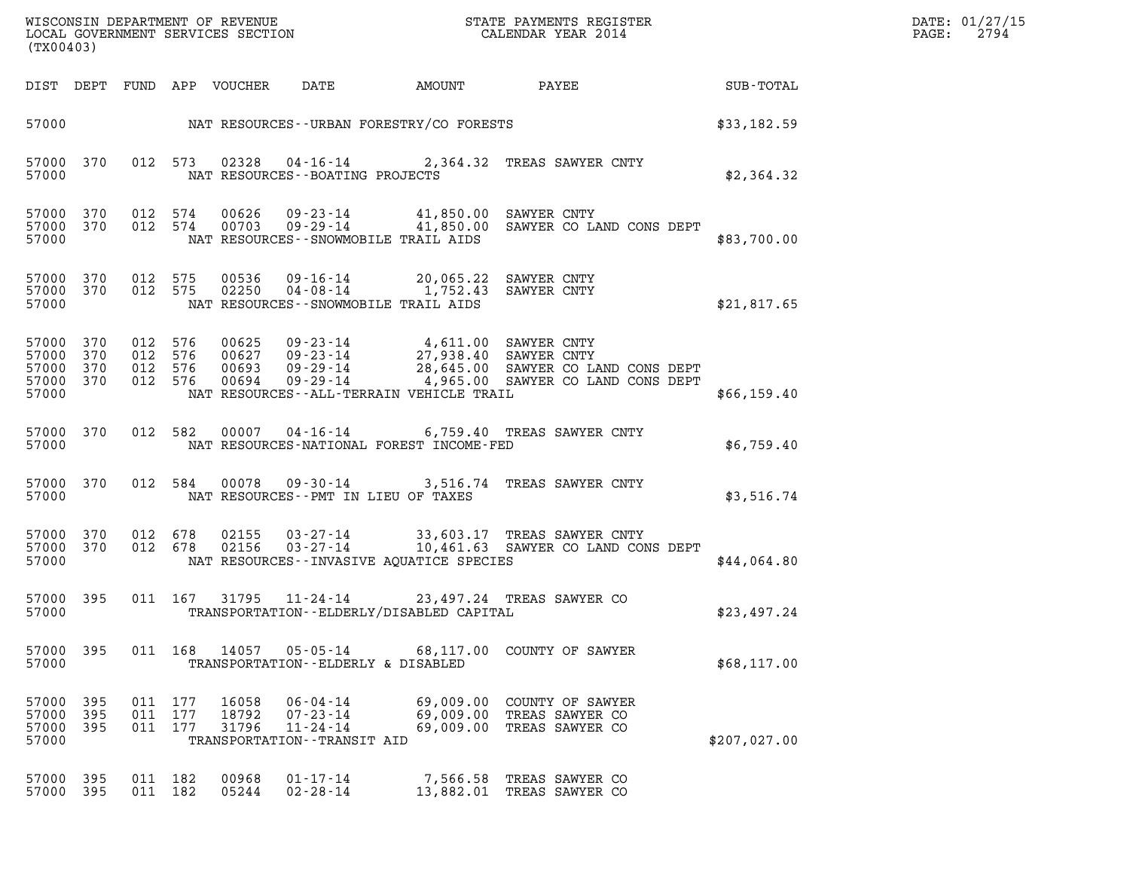| DATE: | 01/27/15 |
|-------|----------|
| PAGE: | 2794     |

| (TX00403)                                                       |            |                                          |                         |                                                                                                                             |                                     |                                                                                                                                                                                |              | DATE: 01/27/15<br>2794<br>$\mathtt{PAGE:}$ |
|-----------------------------------------------------------------|------------|------------------------------------------|-------------------------|-----------------------------------------------------------------------------------------------------------------------------|-------------------------------------|--------------------------------------------------------------------------------------------------------------------------------------------------------------------------------|--------------|--------------------------------------------|
| DIST DEPT FUND APP VOUCHER                                      |            |                                          |                         | DATE                                                                                                                        | AMOUNT                              | PAYEE SUB-TOTAL                                                                                                                                                                |              |                                            |
|                                                                 |            |                                          |                         |                                                                                                                             |                                     | 57000 NAT RESOURCES--URBAN FORESTRY/CO FORESTS                                                                                                                                 | \$33,182.59  |                                            |
| 57000<br>370<br>57000                                           |            | 012 573                                  |                         | NAT RESOURCES - - BOATING PROJECTS                                                                                          |                                     | 02328  04-16-14  2,364.32  TREAS SAWYER CNTY                                                                                                                                   | \$2,364.32   |                                            |
| 57000 370<br>57000 370<br>57000                                 |            |                                          |                         | NAT RESOURCES -- SNOWMOBILE TRAIL AIDS                                                                                      |                                     | 012 574 00626 09-23-14 41,850.00 SAWYER CNTY<br>012 574 00703 09-29-14 41,850.00 SAWYER CO LAND CONS DEPT                                                                      | \$83,700.00  |                                            |
| 57000 370<br>57000 370<br>57000                                 |            | 012 575<br>012 575                       |                         | 00536  09-16-14  20,065.22  SAWYER CNTY<br>02250  04-08-14  1,752.43  SAWYER CNTY<br>NAT RESOURCES -- SNOWMOBILE TRAIL AIDS |                                     |                                                                                                                                                                                | \$21,817.65  |                                            |
| 57000<br>370<br>57000<br>370<br>57000 370<br>57000 370<br>57000 |            | 012 576<br>012 576<br>012 576<br>012 576 | 00694                   | NAT RESOURCES - - ALL - TERRAIN VEHICLE TRAIL                                                                               |                                     | 00625 09-23-14 4,611.00 SAWYER CNTY<br>00627 09-23-14 27,938.40 SAWYER CNTY<br>00693 09-29-14 28,645.00 SAWYER CO LAND CONS DEPT<br>09-29-14 4,965.00 SAWYER CO LAND CONS DEPT | \$66,159.40  |                                            |
| 57000 370<br>57000                                              |            | 012 582                                  |                         | $00007$ 04-16-14<br>NAT RESOURCES-NATIONAL FOREST INCOME-FED                                                                |                                     | 6,759.40 TREAS SAWYER CNTY                                                                                                                                                     | \$6,759.40   |                                            |
| 57000 370<br>57000                                              |            | 012 584                                  |                         | NAT RESOURCES -- PMT IN LIEU OF TAXES                                                                                       |                                     | 00078  09-30-14  3,516.74  TREAS SAWYER CNTY                                                                                                                                   | \$3,516.74   |                                            |
| 57000 370<br>57000 370<br>57000                                 |            | 012 678<br>012 678                       |                         | NAT RESOURCES--INVASIVE AQUATICE SPECIES                                                                                    |                                     | 02155  03-27-14  33,603.17  TREAS SAWYER CNTY<br>02156  03-27-14   10,461.63  SAWYER CO LAND CONS DEPT                                                                         | \$44,064.80  |                                            |
| 57000 395<br>57000                                              |            | 011 167                                  |                         | TRANSPORTATION - - ELDERLY/DISABLED CAPITAL                                                                                 |                                     | 31795  11-24-14  23,497.24  TREAS SAWYER CO                                                                                                                                    | \$23,497.24  |                                            |
| 395<br>57000<br>57000                                           |            | 011 168                                  | 14057                   | 05-05-14<br>TRANSPORTATION--ELDERLY & DISABLED                                                                              |                                     | 68,117.00 COUNTY OF SAWYER                                                                                                                                                     | \$68,117.00  |                                            |
| 395<br>57000<br>57000<br>395<br>57000<br>395<br>57000           | 011<br>011 | 177<br>177<br>011 177                    | 16058<br>18792<br>31796 | $06 - 04 - 14$<br>$07 - 23 - 14$<br>$11 - 24 - 14$<br>TRANSPORTATION - - TRANSIT AID                                        | 69,009.00<br>69,009.00<br>69,009.00 | COUNTY OF SAWYER<br>TREAS SAWYER CO<br>TREAS SAWYER CO                                                                                                                         | \$207,027.00 |                                            |
| 57000<br>395<br>57000<br>395                                    | 011        | 182<br>011 182                           | 00968<br>05244          | $01 - 17 - 14$<br>$02 - 28 - 14$                                                                                            | 7,566.58<br>13,882.01               | TREAS SAWYER CO<br>TREAS SAWYER CO                                                                                                                                             |              |                                            |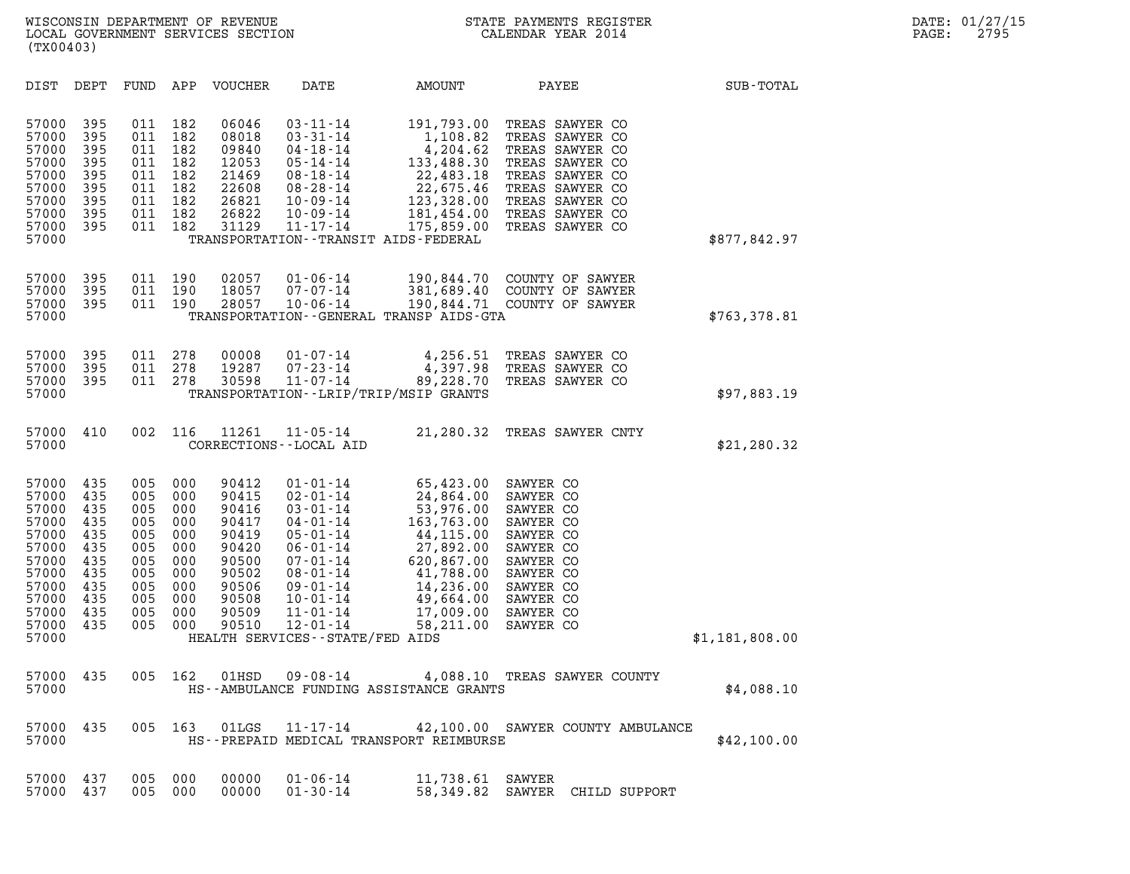| (TX00403)                                                                                                         |                                                                                  |                                                                                  |                                                                                  |                                                                                                          |                                                                                                                                                                                                                                                            |                                                                                                                                                                   |                                                                                                                                                                         |                |
|-------------------------------------------------------------------------------------------------------------------|----------------------------------------------------------------------------------|----------------------------------------------------------------------------------|----------------------------------------------------------------------------------|----------------------------------------------------------------------------------------------------------|------------------------------------------------------------------------------------------------------------------------------------------------------------------------------------------------------------------------------------------------------------|-------------------------------------------------------------------------------------------------------------------------------------------------------------------|-------------------------------------------------------------------------------------------------------------------------------------------------------------------------|----------------|
| DIST                                                                                                              | DEPT                                                                             | FUND                                                                             | APP                                                                              | <b>VOUCHER</b>                                                                                           | DATE                                                                                                                                                                                                                                                       | <b>AMOUNT</b>                                                                                                                                                     | PAYEE                                                                                                                                                                   | SUB-TOTAL      |
| 57000<br>57000<br>57000<br>57000<br>57000<br>57000<br>57000<br>57000<br>57000<br>57000                            | 395<br>395<br>395<br>395<br>395<br>395<br>395<br>395<br>395                      | 011<br>011<br>011<br>011<br>011<br>011<br>011<br>011<br>011                      | 182<br>182<br>182<br>182<br>182<br>182<br>182<br>182<br>182                      | 06046<br>08018<br>09840<br>12053<br>21469<br>22608<br>26821<br>26822<br>31129                            | $03 - 11 - 14$<br>$03 - 31 - 14$<br>$04 - 18 - 14$<br>$05 - 14 - 14$<br>$08 - 18 - 14$<br>$08 - 28 - 14$<br>$10 - 09 - 14$<br>$10 - 09 - 14$<br>$11 - 17 - 14$                                                                                             | 191,793.00<br>1,108.82<br>4,204.62<br>133,488.30<br>22,483.18<br>22,675.46<br>123,328.00<br>181,454.00<br>175,859.00<br>TRANSPORTATION - - TRANSIT AIDS - FEDERAL | TREAS SAWYER CO<br>TREAS SAWYER CO<br>TREAS SAWYER CO<br>TREAS SAWYER CO<br>TREAS SAWYER CO<br>TREAS SAWYER CO<br>TREAS SAWYER CO<br>TREAS SAWYER CO<br>TREAS SAWYER CO | \$877,842.97   |
| 57000<br>57000<br>57000<br>57000                                                                                  | 395<br>395<br>395                                                                | 011<br>011<br>011                                                                | 190<br>190<br>190                                                                | 02057<br>18057<br>28057                                                                                  | $01 - 06 - 14$<br>$07 - 07 - 14$<br>$10 - 06 - 14$                                                                                                                                                                                                         | 190,844.70<br>381,689.40<br>190,844.71<br>TRANSPORTATION - - GENERAL TRANSP AIDS - GTA                                                                            | COUNTY OF SAWYER<br>COUNTY OF SAWYER<br>COUNTY OF SAWYER                                                                                                                | \$763,378.81   |
| 57000<br>57000<br>57000<br>57000                                                                                  | 395<br>395<br>395                                                                | 011<br>011<br>011                                                                | 278<br>278<br>278                                                                | 00008<br>19287<br>30598                                                                                  | $01 - 07 - 14$<br>$07 - 23 - 14$<br>$11 - 07 - 14$                                                                                                                                                                                                         | 4,256.51<br>4,397.98<br>89,228.70<br>TRANSPORTATION--LRIP/TRIP/MSIP GRANTS                                                                                        | TREAS SAWYER CO<br>TREAS SAWYER CO<br>TREAS SAWYER CO                                                                                                                   | \$97,883.19    |
| 57000<br>57000                                                                                                    | 410                                                                              | 002                                                                              | 116                                                                              | 11261                                                                                                    | $11 - 05 - 14$<br>CORRECTIONS - - LOCAL AID                                                                                                                                                                                                                | 21,280.32                                                                                                                                                         | TREAS SAWYER CNTY                                                                                                                                                       | \$21, 280.32   |
| 57000<br>57000<br>57000<br>57000<br>57000<br>57000<br>57000<br>57000<br>57000<br>57000<br>57000<br>57000<br>57000 | 435<br>435<br>435<br>435<br>435<br>435<br>435<br>435<br>435<br>435<br>435<br>435 | 005<br>005<br>005<br>005<br>005<br>005<br>005<br>005<br>005<br>005<br>005<br>005 | 000<br>000<br>000<br>000<br>000<br>000<br>000<br>000<br>000<br>000<br>000<br>000 | 90412<br>90415<br>90416<br>90417<br>90419<br>90420<br>90500<br>90502<br>90506<br>90508<br>90509<br>90510 | $01 - 01 - 14$<br>$02 - 01 - 14$<br>$03 - 01 - 14$<br>$04 - 01 - 14$<br>$05 - 01 - 14$<br>$06 - 01 - 14$<br>$07 - 01 - 14$<br>$08 - 01 - 14$<br>$09 - 01 - 14$<br>$10 - 01 - 14$<br>$11 - 01 - 14$<br>$12 - 01 - 14$<br>HEALTH SERVICES - - STATE/FED AIDS | 65,423.00<br>24,864.00<br>53,976.00<br>163,763.00<br>44,115.00<br>27,892.00<br>620,867.00<br>41,788.00<br>14,236.00<br>49,664.00<br>17,009.00<br>58,211.00        | SAWYER CO<br>SAWYER CO<br>SAWYER CO<br>SAWYER CO<br>SAWYER CO<br>SAWYER CO<br>SAWYER CO<br>SAWYER CO<br>SAWYER CO<br>SAWYER CO<br>SAWYER CO<br>SAWYER CO                | \$1,181,808.00 |
| 57000<br>57000                                                                                                    | 435                                                                              | 005                                                                              | 162                                                                              | 01HSD                                                                                                    | $09 - 08 - 14$                                                                                                                                                                                                                                             | 4,088.10<br>HS--AMBULANCE FUNDING ASSISTANCE GRANTS                                                                                                               | TREAS SAWYER COUNTY                                                                                                                                                     | \$4,088.10     |
| 57000<br>57000                                                                                                    | 435                                                                              | 005                                                                              | 163                                                                              | 01LGS                                                                                                    | $11 - 17 - 14$                                                                                                                                                                                                                                             | HS--PREPAID MEDICAL TRANSPORT REIMBURSE                                                                                                                           | 42,100.00 SAWYER COUNTY AMBULANCE                                                                                                                                       | \$42,100.00    |
| 57000<br>57000                                                                                                    | 437<br>437                                                                       | 005<br>005                                                                       | 000<br>000                                                                       | 00000<br>00000                                                                                           | $01 - 06 - 14$<br>$01 - 30 - 14$                                                                                                                                                                                                                           | 11,738.61<br>58,349.82                                                                                                                                            | SAWYER<br>SAWYER CHILD SUPPORT                                                                                                                                          |                |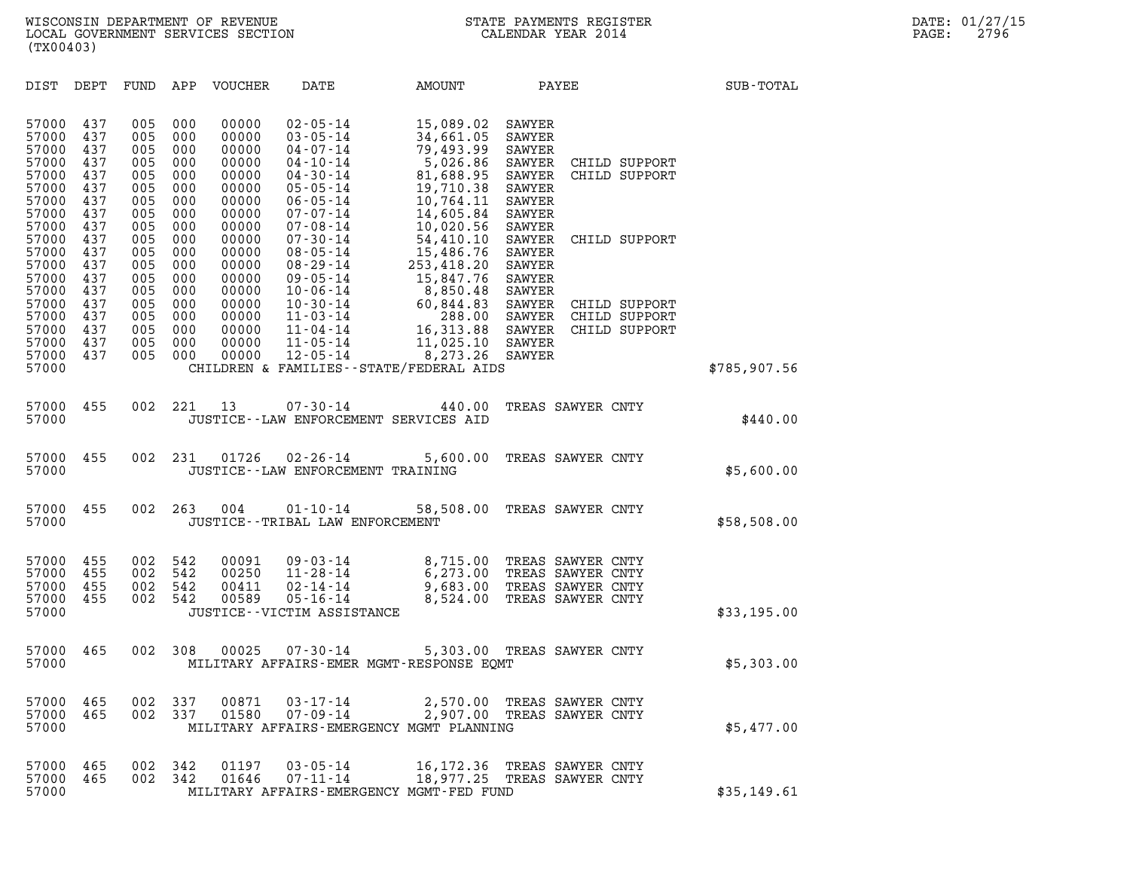DIST DEPT FUND APP VOUCHER DATE AMOUNT PAYEE PAYEE 57000 437 005 000 00000 02-05-14 15,089.02 SAWYER 57000 437 005 000 00000 02-05-14 15,089.02 SAWYER<br>57000 437 005 000 00000 03-05-14 34,661.05 SAWYER<br>57000 437 005 000 00000 04-07-14 79.493.99 SAWYER 57000 437 005 000 00000 02-05-14 15,089.02 SAWYER<br>57000 437 005 000 00000 03-05-14 34,661.05 SAWYER<br>57000 437 005 000 00000 04-07-14 79,493.99 SAWYER<br>57000 437 005 000 00000 04-10-14 5,026.86 SAWYER CI 57000 437 005 000 00000 02-05-14 15,089.02 SAWYER<br>57000 437 005 000 00000 03-05-14 34,661.05 SAWYER<br>57000 437 005 000 00000 04-07-14 79,493.99 SAWYER<br>57000 437 005 000 00000 04-10-14 5,026.86 SAWYER CHILD SUPPORT<br>57000 437 57000 437 005 000 00000 03-05-14 34,661.05 SAWYER<br>57000 437 005 000 00000 04-07-14 79,493.99 SAWYER<br>57000 437 005 000 00000 04-10-14 5,026.86.95 SAWYER CHILD SUPPORT<br>57000 437 005 000 00000 04-30-14 81,688.95 SAWYER CHILD 57000 437 005 000 00000 04-07-14 79,493.99 SAWYER<br>57000 437 005 000 00000 04-10-14 5,026.86 SAWYER CI<br>57000 437 005 000 00000 04-30-14 81,688.95 SAWYER CI<br>57000 437 005 000 00000 05-05-14 19,710.38 SAWYER 57000 437 005 000 00000 04-10-14 5,026.86 SAWYER CI<br>57000 437 005 000 00000 04-30-14 81,688.95 SAWYER CI<br>57000 437 005 000 00000 05-05-14 19,710.38 SAWYER<br>57000 437 005 000 00000 06-05-14 10,764.11 SAWYER<br>57000 437 005 000 57000 437 005 000 00000 04-30-14 81,688.95 SAWYER CI<br>57000 437 005 000 00000 05-05-14 19,710.38 SAWYER<br>57000 437 005 000 00000 06-05-14 10,764.11 SAWYER<br>57000 437 005 000 00000 07-07-14 14,605.84 SAWYER<br>57000 437 005 000 0 57000 437 005 000 00000 05-05-14 19,710.38 SAWYER<br>57000 437 005 000 00000 06-05-14 10,764.11 SAWYER<br>57000 437 005 000 00000 07-07-14 14,605.84 SAWYER<br>57000 437 005 000 00000 07-08-14 10,020.56 SAWYER<br>57000 437 005 000 0000 57000 437 005 000 00000 06-05-14 10,764.11 SAWYER<br>57000 437 005 000 00000 07-07-14 14,605.84 SAWYER<br>57000 437 005 000 00000 07-08-14 10,020.56 SAWYER<br>57000 437 005 000 00000 08-05-14 54,410.10 SAWYER CHILD SUPPORT<br>57000 43 57000 437 005 000 00000 07-07-14 14,605.84 SAWYER<br>57000 437 005 000 00000 07-08-14 10,020.56 SAWYER<br>57000 437 005 000 00000 07-30-14 54,410.10 SAWYER CI<br>57000 437 005 000 00000 08-05-14 15,486.76 SAWYER 57000 437 005 000 00000 07-08-14 10,020.56 SAWYER<br>57000 437 005 000 00000 07-30-14 54,410.10 SAWYER CI<br>57000 437 005 000 00000 08-05-14 15,486.76 SAWYER<br>57000 437 005 000 00000 08-29-14 253,418.20 SAWYER<br>57000 437 005 000 57000 437 005 000 00000 07-30-14 54,410.10 SAWYER CI<br>57000 437 005 000 00000 08-05-14 15,486.76 SAWYER<br>57000 437 005 000 00000 08-29-14 253,418.20 SAWYER<br>57000 437 005 000 00000 09-05-14 15,847.76 SAWYER<br>57000 437 005 000 57000 437 005 000 00000 08-05-14 15,486.76 SAWYER<br>57000 437 005 000 00000 08-29-14 253,418.20 SAWYER<br>57000 437 005 000 00000 09-05-14 15,847.76 SAWYER<br>57000 437 005 000 00000 10-06-14 8,850.48 SAWYER<br>57000 437 005 000 0000 57000 437 005 000 00000 08-29-14 253,418.20 SAWYER<br>57000 437 005 000 00000 09-05-14 15,847.76 SAWYER<br>57000 437 005 000 00000 10-30-14 8,850.48 SAWYER<br>57000 437 005 000 00000 10-30-14 60,844.83 SAWYER CHILD SUPPORT<br>57000 43 57000 437 005 000 00000 09-05-14 15,847.76 SAWYER<br>57000 437 005 000 00000 10-06-14 8,850.48 SAWYER<br>57000 437 005 000 00000 10-30-14 60,844.83 SAWYER CHILD SUPPORT<br>57000 437 005 000 00000 11-03-14 288.00 SAWYER CHILD SUPPOR 57000 437 005 000 00000 10-06-14 8,850.48 SAWYER<br>57000 437 005 000 00000 10-30-14 60,844.83 SAWYER CHILD SUPPORT<br>57000 437 005 000 00000 11-04-14 288.00 SAWYER CHILD SUPPORT<br>57000 437 005 000 00000 11-04-14 16,313. 57000 437 005 000 00000 10-30-14 60,844.83 SAWYER CI<br>57000 437 005 000 00000 11-03-14 288.00 SAWYER CI<br>57000 437 005 000 00000 11-04-14 16,313.88 SAWYER CI<br>57000 437 005 000 00000 11-05-14 11,025.10 SAWYER 57000 437 005 000 00000 11-03-14 288.00 SAWYER CI<br>57000 437 005 000 00000 11-04-14 16,313.88 SAWYER CI<br>57000 437 005 000 00000 11-05-14 11,025.10 SAWYER<br>57000 437 005 000 00000 12-05-14 8,273.26 SAWYER<br>57000 CHILDREN & FAM 57000 CHILDREN & FAMILIES--STATE/FEDERAL AIDS \$785,907.56 57000 455 002 221 13 07-30-14 440.00 TREAS SAWYER CNTY 57000 455 002 221 13 07-30-14 440.00 TREAS SAWYER CNTY<br>57000 57000 JUSTICE--LAW ENFORCEMENT SERVICES AID 57000 JUSTICE--LAW ENFORCEMENT SERVICES AID<br>57000 455 002 231 01726 02-26-14 5,600.00 TREAS SAWYER CNTY<br>57000 JUSTICE--LAW ENFORCEMENT TRAININ 57000 455 002 231 01726 02-26-14 5,600.00 TREAS SAWYER CNTY<br>57000 JUSTICE--LAW ENFORCEMENT TRAINING 57000 JUSTICE - LAW ENFORCEMENT TRAINING<br>57000 455 002 263 004 01-10-14 58,508.00 TREAS SAWYER CNTY<br>57000 JUSTICE - TRIBAL LAW ENFORCEMENT 57000 JUSTICE--TRIBAL LAW ENFORCEMENT \$58,508.00 57000 455 002 542 00091 09-03-14 8,715.00 TREAS SAWYER CNTY 57000 455 002 542 00091 09-03-14 8,715.00 TREAS SAWYER CNTY<br>57000 455 002 542 00250 11-28-14 6,273.00 TREAS SAWYER CNTY<br>57000 455 002 542 00411 02-14-14 9,683.00 TREAS SAWYER CNTY

| 57000<br>57000<br>57000<br>57000<br>57000 | 455<br>455<br>455<br>455 | 002<br>002<br>002<br>002 | 542<br>542<br>542<br>542 | 00091<br>00250<br>00411<br>00589 | $09 - 03 - 14$<br>11-28-14<br>02-14-14<br>05-16-14<br>JUSTICE - - VICTIM ASSISTANCE | 8,715.00<br>6,273.00<br>9,683.00<br>8,524.00 TREAS SAWYER CNTY | TREAS SAWYER CNTY<br>TREAS SAWYER CNTY<br>TREAS SAWYER CNTY | \$33,195.00 |
|-------------------------------------------|--------------------------|--------------------------|--------------------------|----------------------------------|-------------------------------------------------------------------------------------|----------------------------------------------------------------|-------------------------------------------------------------|-------------|
| 57000<br>57000                            | 465                      | 002                      | 308                      | 00025                            | 07-30-14<br>MILITARY AFFAIRS-EMER MGMT-RESPONSE EOMT                                | 5,303.00 TREAS SAWYER CNTY                                     |                                                             | \$5,303.00  |
| 57000<br>57000<br>57000                   | 465<br>465               | 002<br>002               | 337<br>337               | 00871<br>01580                   | 03-17-14<br>07-09-14<br>MILITARY AFFAIRS-EMERGENCY MGMT PLANNING                    | 2,570.00<br>2,907.00 TREAS SAWYER CNTY                         | TREAS SAWYER CNTY                                           | \$5,477.00  |
| 57000<br>57000<br>57000                   | 465<br>465               | 002<br>002               | 342<br>342               | 01197<br>01646                   | $03 - 05 - 14$<br>07-11-14<br>MILITARY AFFAIRS-EMERGENCY MGMT-FED FUND              | 16,172.36<br>18,977.25 TREAS SAWYER CNTY                       | TREAS SAWYER CNTY                                           | \$35.149.61 |

| <b>DUU</b> C | - 402 | UUZ 34Z | UID40 | U / - 11 - 14                            | 18,9//.4D | TREAS SAWIER CNTI |             |
|--------------|-------|---------|-------|------------------------------------------|-----------|-------------------|-------------|
| 57000        |       |         |       | MILITARY AFFAIRS-EMERGENCY MGMT-FED FUND |           |                   | \$35,149.61 |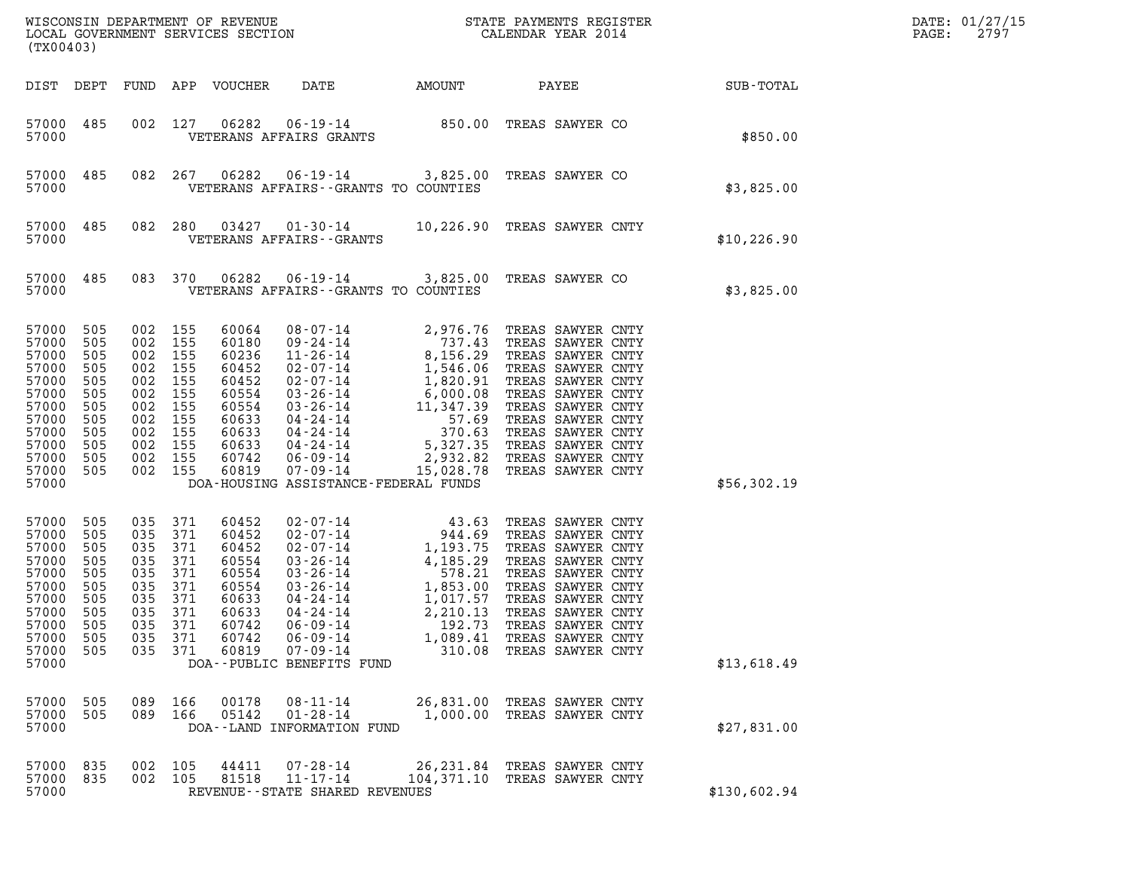| ${\tt WISCONSIM\ DEPARTMENT\ OF\ REVENUE}\qquad \qquad {\tt STATE\ PAYMENTS\ REGISTER} \\ {\tt LOCAL\ GOVERNMENT\ SERVICES\ SECTION}\qquad \qquad {\tt CALENDAR\ YEAR\ 2014}$<br>(TX00403) |                                                                                  |                                                                                              |                                                                           |                                                                                                          |                                                                                                                                                                                                                                                                                                                                                                                                                          |                                          |                                                                                                                                                                                                                                                                           |              | DATE: 01/27/15<br>2797<br>PAGE: |
|--------------------------------------------------------------------------------------------------------------------------------------------------------------------------------------------|----------------------------------------------------------------------------------|----------------------------------------------------------------------------------------------|---------------------------------------------------------------------------|----------------------------------------------------------------------------------------------------------|--------------------------------------------------------------------------------------------------------------------------------------------------------------------------------------------------------------------------------------------------------------------------------------------------------------------------------------------------------------------------------------------------------------------------|------------------------------------------|---------------------------------------------------------------------------------------------------------------------------------------------------------------------------------------------------------------------------------------------------------------------------|--------------|---------------------------------|
| DIST DEPT                                                                                                                                                                                  |                                                                                  | FUND                                                                                         |                                                                           | APP VOUCHER                                                                                              | DATE                                                                                                                                                                                                                                                                                                                                                                                                                     | AMOUNT                                   | PAYEE                                                                                                                                                                                                                                                                     | SUB-TOTAL    |                                 |
| 57000 485<br>57000                                                                                                                                                                         |                                                                                  | 002                                                                                          | 127                                                                       | 06282                                                                                                    | 06-19-14<br>VETERANS AFFAIRS GRANTS                                                                                                                                                                                                                                                                                                                                                                                      |                                          | 850.00 TREAS SAWYER CO                                                                                                                                                                                                                                                    | \$850.00     |                                 |
| 57000 485<br>57000                                                                                                                                                                         |                                                                                  | 082                                                                                          | 267                                                                       | 06282                                                                                                    | VETERANS AFFAIRS -- GRANTS TO COUNTIES                                                                                                                                                                                                                                                                                                                                                                                   |                                          | 06-19-14 3,825.00 TREAS SAWYER CO                                                                                                                                                                                                                                         | \$3,825.00   |                                 |
| 57000<br>57000                                                                                                                                                                             | 485                                                                              | 082                                                                                          | 280                                                                       | 03427                                                                                                    | VETERANS AFFAIRS - - GRANTS                                                                                                                                                                                                                                                                                                                                                                                              |                                          | 01-30-14 10,226.90 TREAS SAWYER CNTY                                                                                                                                                                                                                                      | \$10,226.90  |                                 |
| 57000 485<br>57000                                                                                                                                                                         |                                                                                  | 083                                                                                          | 370                                                                       | 06282                                                                                                    | VETERANS AFFAIRS -- GRANTS TO COUNTIES                                                                                                                                                                                                                                                                                                                                                                                   |                                          | 06-19-14 3,825.00 TREAS SAWYER CO                                                                                                                                                                                                                                         | \$3,825.00   |                                 |
| 57000<br>57000<br>57000<br>57000<br>57000<br>57000<br>57000<br>57000<br>57000<br>57000<br>57000<br>57000<br>57000                                                                          | 505<br>505<br>505<br>505<br>505<br>505<br>505<br>505<br>505<br>505<br>505<br>505 | 002 155<br>002<br>002<br>002<br>002<br>002<br>002<br>002<br>002<br>002<br>002 155<br>002 155 | 155<br>155<br>155<br>155<br>155<br>155<br>155<br>155<br>155               | 60064<br>60180<br>60236<br>60452<br>60452<br>60554<br>60554<br>60633<br>60633<br>60633<br>60742<br>60819 | $\begin{array}{llllll} 08\cdot 07\cdot 14 & 2,976\cdot 76 \\ 09\cdot 24\cdot 14 & 737\cdot 43 \\ 11\cdot 26\cdot 14 & 8,156\cdot 29 \\ 02\cdot 07\cdot 14 & 1,546\cdot 06 \\ 02\cdot 07\cdot 14 & 1,820\cdot 91 \\ 03\cdot 26\cdot 14 & 6,000\cdot 08 \\ 03\cdot 26\cdot 14 & 11,347\cdot 39 \\ 04\cdot 24\cdot 14 & 57\cdot 69 \\ 04\cdot 2$<br>$07 - 09 - 14$<br>DOA-HOUSING ASSISTANCE-FEDERAL FUNDS                  | 2,932.82                                 | TREAS SAWYER CNTY<br>TREAS SAWYER CNTY<br>TREAS SAWYER CNTY<br>TREAS SAWYER CNTY<br>TREAS SAWYER CNTY<br>TREAS SAWYER CNTY<br>TREAS SAWYER CNTY<br>TREAS SAWYER CNTY<br>370.63 TREAS SAWYER CNTY<br>TREAS SAWYER CNTY<br>TREAS SAWYER CNTY<br>15,028.78 TREAS SAWYER CNTY | \$56,302.19  |                                 |
| 57000<br>57000<br>57000<br>57000<br>57000<br>57000<br>57000<br>57000<br>57000<br>57000<br>57000<br>57000                                                                                   | 505<br>505<br>505<br>505<br>505<br>505<br>505<br>505<br>505<br>505<br>505        | 035<br>035<br>035<br>035<br>035<br>035<br>035<br>035<br>035<br>035<br>035                    | 371<br>371<br>371<br>371<br>371<br>371<br>371<br>371<br>371<br>371<br>371 | 60452<br>60452<br>60452<br>60554<br>60554<br>60554<br>60633<br>60633<br>60742<br>60742<br>60819          | $\begin{array}{cccc} 02\text{-}07\text{-}14 & & & 43.63 \\ 02\text{-}07\text{-}14 & & & 944.69 \\ 02\text{-}07\text{-}14 & & & 1,193.75 \\ 03\text{-}26\text{-}14 & & & 4,185.29 \\ 03\text{-}26\text{-}14 & & & 578.21 \\ 03\text{-}26\text{-}14 & & & 1,853.00 \\ 04\text{-}24\text{-}14 & & & 1,017.57 \\ \end{array}$<br>04-24-14<br>$06 - 09 - 14$<br>$06 - 09 - 14$<br>$07 - 09 - 14$<br>DOA--PUBLIC BENEFITS FUND | 2,210.13<br>192.73<br>1,089.41<br>310.08 | TREAS SAWYER CNTY<br>TREAS SAWYER CNTY<br>TREAS SAWYER CNTY<br>TREAS SAWYER CNTY<br>TREAS SAWYER CNTY<br>TREAS SAWYER CNTY<br>TREAS SAWYER CNTY<br>TREAS SAWYER CNTY<br>TREAS SAWYER CNTY<br>TREAS SAWYER CNTY<br>TREAS SAWYER CNTY                                       | \$13,618.49  |                                 |
| 57000<br>57000<br>57000                                                                                                                                                                    | 505<br>505                                                                       | 089<br>089                                                                                   | 166<br>166                                                                | 00178<br>05142                                                                                           | $08 - 11 - 14$<br>$01 - 28 - 14$<br>DOA--LAND INFORMATION FUND                                                                                                                                                                                                                                                                                                                                                           | 26,831.00                                | TREAS SAWYER CNTY<br>1,000.00 TREAS SAWYER CNTY                                                                                                                                                                                                                           | \$27,831.00  |                                 |
| 57000<br>57000<br>57000                                                                                                                                                                    | 835<br>835                                                                       | 002 105<br>002 105                                                                           |                                                                           | 44411<br>81518                                                                                           | $07 - 28 - 14$<br>$11 - 17 - 14$<br>REVENUE--STATE SHARED REVENUES                                                                                                                                                                                                                                                                                                                                                       |                                          | 26,231.84 TREAS SAWYER CNTY<br>104,371.10 TREAS SAWYER CNTY                                                                                                                                                                                                               | \$130,602.94 |                                 |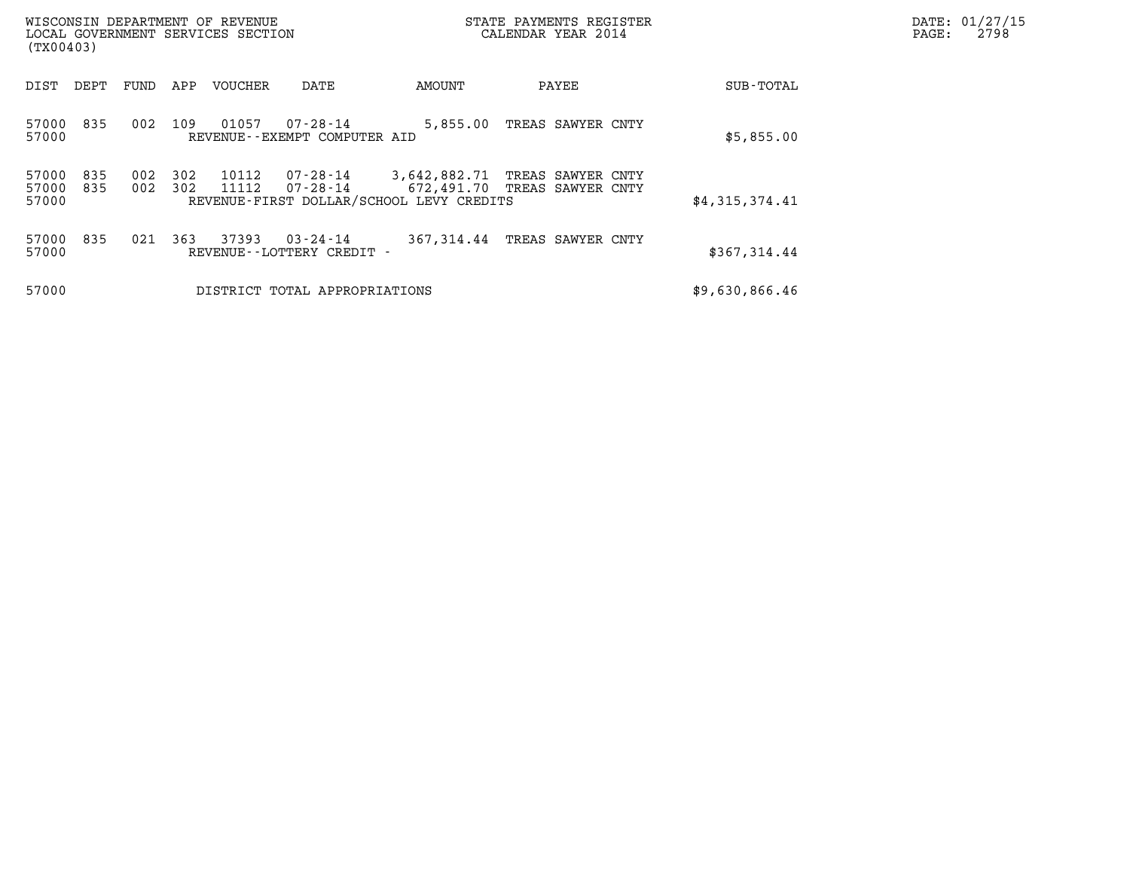| WISCONSIN DEPARTMENT OF REVENUE<br>LOCAL GOVERNMENT SERVICES SECTION<br>(TX00403) |            |            |                |                                          | STATE PAYMENTS REGISTER<br>CALENDAR YEAR 2014            |                                                   |                | DATE: 01/27/15<br>PAGE:<br>2798 |
|-----------------------------------------------------------------------------------|------------|------------|----------------|------------------------------------------|----------------------------------------------------------|---------------------------------------------------|----------------|---------------------------------|
| DEPT<br>DIST                                                                      | FUND       | APP        | <b>VOUCHER</b> | DATE                                     | AMOUNT                                                   | PAYEE                                             | SUB-TOTAL      |                                 |
| 835<br>57000<br>57000                                                             | 002        | 109        | 01057          | 07-28-14<br>REVENUE--EXEMPT COMPUTER AID | 5,855.00                                                 | TREAS SAWYER CNTY                                 | \$5,855.00     |                                 |
| 57000<br>835<br>57000<br>835<br>57000                                             | 002<br>002 | 302<br>302 | 10112<br>11112 | 07-28-14<br>07-28-14                     | 3,642,882.71<br>REVENUE-FIRST DOLLAR/SCHOOL LEVY CREDITS | TREAS SAWYER CNTY<br>672,491.70 TREAS SAWYER CNTY | \$4,315,374.41 |                                 |
| 835<br>57000<br>57000                                                             | 021        | 363        | 37393          | 03-24-14<br>REVENUE--LOTTERY CREDIT -    | 367,314.44                                               | TREAS SAWYER CNTY                                 | \$367,314.44   |                                 |
| 57000                                                                             |            |            |                | DISTRICT TOTAL APPROPRIATIONS            |                                                          |                                                   | \$9,630,866.46 |                                 |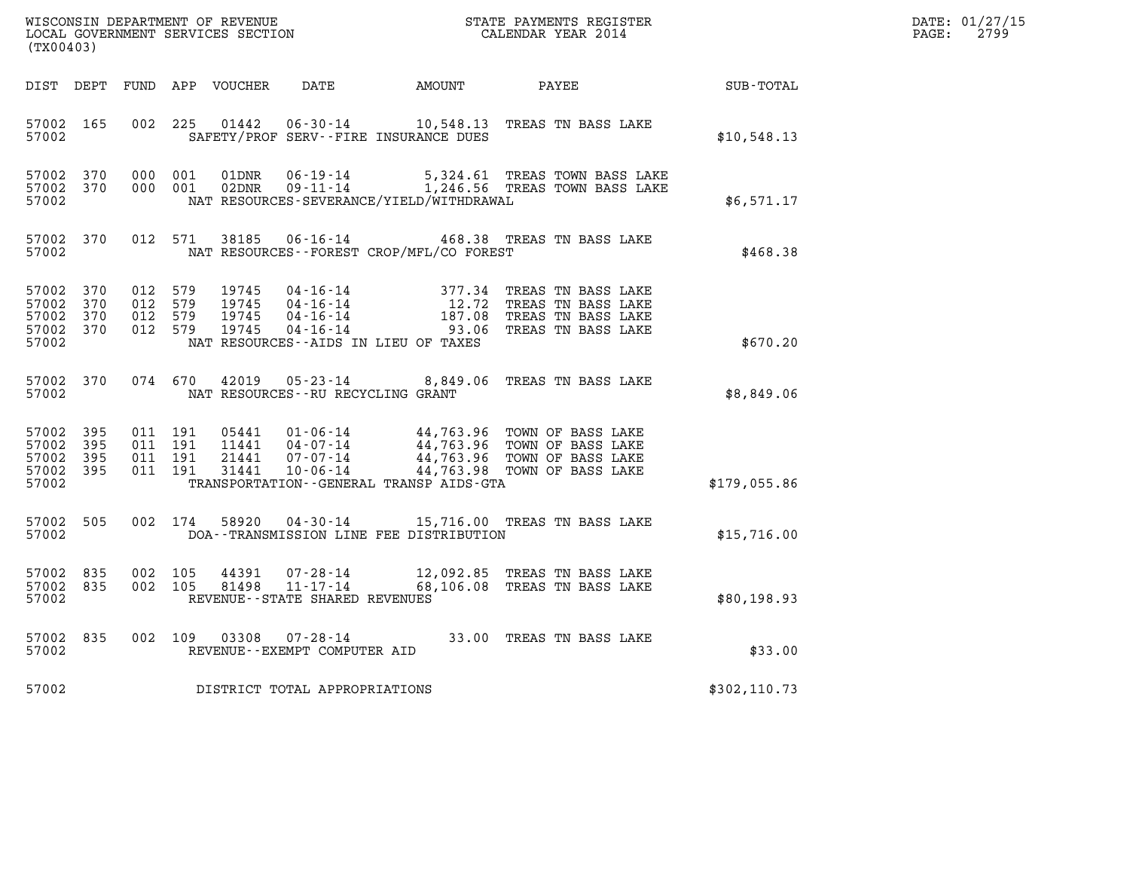| DATE: | 01/27/15 |
|-------|----------|
| PAGE: | 2799     |

| (TX00403)                                             |            |                                          |         |                                  |                                                 |                                              |                                                                                                                                                                                                  |               | DATE: 01/27/15<br>$\mathtt{PAGE:}$<br>2799 |
|-------------------------------------------------------|------------|------------------------------------------|---------|----------------------------------|-------------------------------------------------|----------------------------------------------|--------------------------------------------------------------------------------------------------------------------------------------------------------------------------------------------------|---------------|--------------------------------------------|
|                                                       |            |                                          |         | DIST DEPT FUND APP VOUCHER       | DATE                                            | AMOUNT PAYEE                                 |                                                                                                                                                                                                  | SUB-TOTAL     |                                            |
| 57002 165<br>57002                                    |            | 002 225                                  |         |                                  |                                                 | SAFETY/PROF SERV--FIRE INSURANCE DUES        | 01442  06-30-14   10,548.13   TREAS TN BASS LAKE                                                                                                                                                 | \$10,548.13   |                                            |
| 57002 370<br>57002 370<br>57002                       |            | 000 001<br>000 001                       |         | 01DNR<br>02DNR                   | 06-19-14                                        | NAT RESOURCES-SEVERANCE/YIELD/WITHDRAWAL     | 5,324.61 TREAS TOWN BASS LAKE<br>09-11-14 1,246.56 TREAS TOWN BASS LAKE                                                                                                                          | \$6,571.17    |                                            |
| 57002                                                 | 57002 370  |                                          | 012 571 |                                  |                                                 | NAT RESOURCES - - FOREST CROP/MFL/CO FOREST  | 38185  06-16-14  468.38  TREAS TN BASS LAKE                                                                                                                                                      | \$468.38      |                                            |
| 57002 370<br>57002<br>57002 370<br>57002 370<br>57002 | 370        | 012 579<br>012 579<br>012 579<br>012 579 |         | 19745<br>19745<br>19745<br>19745 |                                                 | NAT RESOURCES--AIDS IN LIEU OF TAXES         | 04-16-14 377.34 TREAS TN BASS LAKE<br>04-16-14 12.72 TREAS TN BASS LAKE<br>04-16-14 187.08 TREAS TN BASS LAKE<br>04-16-14 93.06 TREAS TN BASS LAKE                                               | \$670.20      |                                            |
| 57002                                                 | 57002 370  | 074 670                                  |         | 42019                            | NAT RESOURCES - - RU RECYCLING GRANT            |                                              | 05-23-14 8,849.06 TREAS TN BASS LAKE                                                                                                                                                             | \$8,849.06    |                                            |
| 57002<br>57002<br>57002 395<br>57002 395<br>57002     | 395<br>395 | 011 191<br>011 191<br>011 191<br>011 191 |         |                                  |                                                 | TRANSPORTATION - - GENERAL TRANSP AIDS - GTA | 05441  01-06-14  44,763.96  TOWN OF BASS LAKE<br>11441  04-07-14  44,763.96  TOWN OF BASS LAKE<br>21441  07-07-14  44,763.96  TOWN OF BASS LAKE<br>31441  10-06-14  44,763.98  TOWN OF BASS LAKE | \$179,055.86  |                                            |
| 57002 505<br>57002                                    |            |                                          | 002 174 |                                  |                                                 | DOA--TRANSMISSION LINE FEE DISTRIBUTION      | 58920  04-30-14   15,716.00   TREAS TN BASS LAKE                                                                                                                                                 | \$15,716.00   |                                            |
| 57002 835<br>57002 835<br>57002                       |            | 002 105<br>002 105                       |         | 44391<br>81498                   | REVENUE--STATE SHARED REVENUES                  |                                              | 07-28-14 12,092.85 TREAS TN BASS LAKE<br>11-17-14 68,106.08 TREAS TN BASS LAKE                                                                                                                   | \$80,198.93   |                                            |
| 57002 835<br>57002                                    |            |                                          | 002 109 |                                  | 03308  07-28-14<br>REVENUE--EXEMPT COMPUTER AID |                                              | 33.00 TREAS TN BASS LAKE                                                                                                                                                                         | \$33.00       |                                            |
| 57002                                                 |            |                                          |         |                                  | DISTRICT TOTAL APPROPRIATIONS                   |                                              |                                                                                                                                                                                                  | \$302, 110.73 |                                            |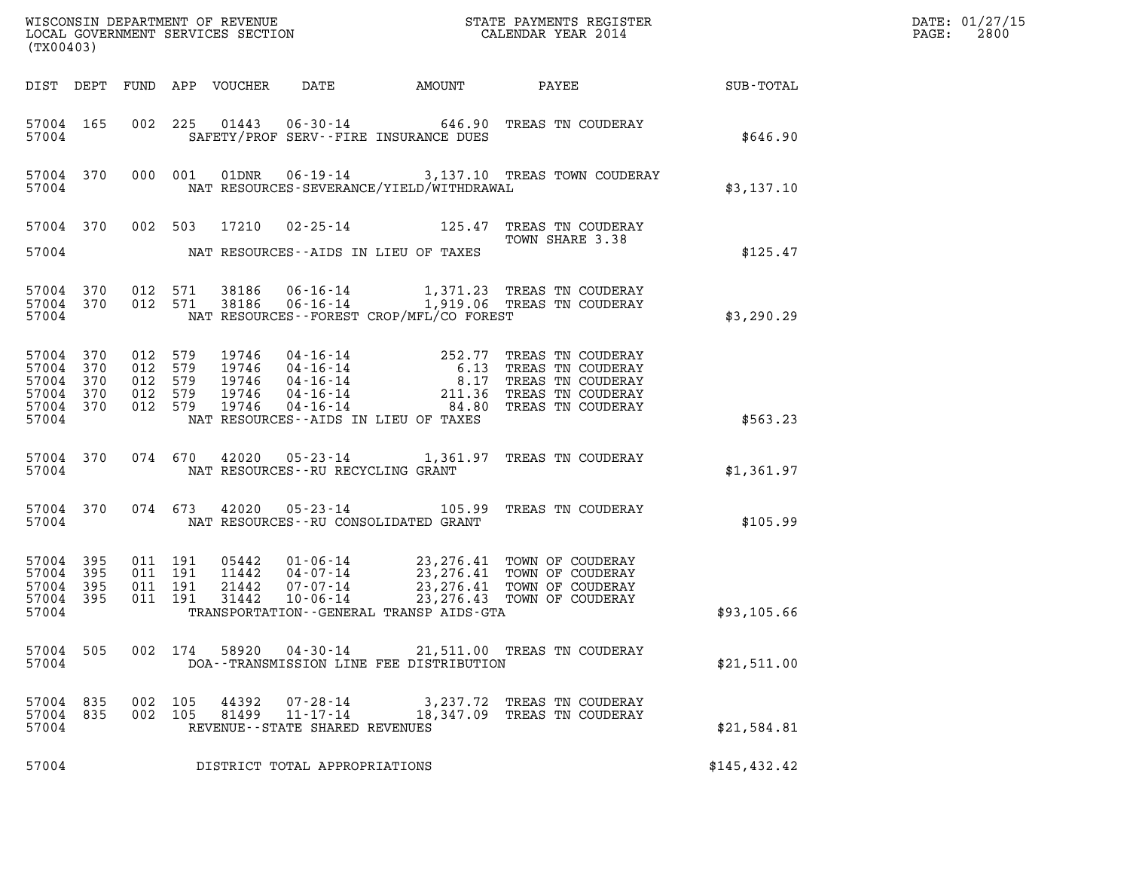| (TX00403)                                                  |                   |         |                                          |                                           |                                                                 |                                           |                                                                                                                                                                                                                      |              | DATE: 01/27/15<br>$\mathtt{PAGE:}$<br>2800 |
|------------------------------------------------------------|-------------------|---------|------------------------------------------|-------------------------------------------|-----------------------------------------------------------------|-------------------------------------------|----------------------------------------------------------------------------------------------------------------------------------------------------------------------------------------------------------------------|--------------|--------------------------------------------|
|                                                            |                   |         |                                          |                                           |                                                                 |                                           |                                                                                                                                                                                                                      |              |                                            |
| 57004 165<br>57004                                         |                   |         |                                          |                                           |                                                                 | SAFETY/PROF SERV--FIRE INSURANCE DUES     | 002 225 01443 06-30-14 646.90 TREAS TN COUDERAY                                                                                                                                                                      | \$646.90     |                                            |
| 57004                                                      |                   |         |                                          |                                           |                                                                 | NAT RESOURCES-SEVERANCE/YIELD/WITHDRAWAL  | 57004 370 000 001 01DNR 06-19-14 3,137.10 TREAS TOWN COUDERAY                                                                                                                                                        | \$3,137.10   |                                            |
| 57004                                                      |                   |         |                                          |                                           |                                                                 | NAT RESOURCES -- AIDS IN LIEU OF TAXES    | 57004 370 002 503 17210 02-25-14 125.47 TREAS TN COUDERAY<br>TOWN SHARE 3.38                                                                                                                                         | \$125.47     |                                            |
| 57004 370<br>57004                                         |                   | 012 571 |                                          | 57004 370 012 571 38186                   |                                                                 | NAT RESOURCES - FOREST CROP/MFL/CO FOREST | 38186  06-16-14   1,371.23  TREAS   TN COUDERAY<br>38186  06-16-14   1,919.06  TREAS   TN COUDERAY                                                                                                                   | \$3,290.29   |                                            |
| 57004 370<br>57004<br>57004<br>57004<br>57004 370<br>57004 | 370<br>370<br>370 | 012 579 | 012 579<br>012 579<br>012 579<br>012 579 | 19746<br>19746<br>19746<br>19746<br>19746 |                                                                 | NAT RESOURCES -- AIDS IN LIEU OF TAXES    | 04-16-14<br>04-16-14<br>04-16-14<br>04-16-14<br>04-16-14<br>04-16-14<br>04-16-14<br>04-16-14<br>04-16-14<br>04-16-14<br>04-16-14<br>04-16-14<br>04-16-14<br>04-16-14<br>04-16-14<br>04-16-14<br>04-16-14<br>04-16-14 | \$563.23     |                                            |
| 57004                                                      |                   |         |                                          |                                           | NAT RESOURCES--RU RECYCLING GRANT                               |                                           | 57004 370 074 670 42020 05-23-14 1,361.97 TREAS TN COUDERAY                                                                                                                                                          | \$1,361.97   |                                            |
| 57004                                                      |                   |         |                                          |                                           |                                                                 | NAT RESOURCES -- RU CONSOLIDATED GRANT    | 57004 370 074 673 42020 05-23-14 105.99 TREAS TN COUDERAY                                                                                                                                                            | \$105.99     |                                            |
| 57004 395<br>57004<br>57004<br>57004<br>57004              | 395<br>395<br>395 |         | 011 191<br>011 191<br>011 191<br>011 191 | 05442<br>11442<br>21442<br>31442          |                                                                 | TRANSPORTATION--GENERAL TRANSP AIDS-GTA   | 01-06-14 23,276.41 TOWN OF COUDERAY<br>04-07-14 23,276.41 TOWN OF COUDERAY<br>07-07-14 23,276.41 TOWN OF COUDERAY<br>10-06-14 23,276.43 TOWN OF COUDERAY                                                             | \$93,105.66  |                                            |
| 57004 505<br>57004                                         |                   |         | 002 174                                  |                                           |                                                                 | DOA--TRANSMISSION LINE FEE DISTRIBUTION   | 58920  04-30-14  21,511.00  TREAS TN COUDERAY                                                                                                                                                                        | \$21,511.00  |                                            |
| 57004 835<br>57004 835<br>57004                            |                   |         | 002 105<br>002 105                       | 44392<br>81499                            | 07-28-14<br>$11 - 17 - 14$<br>REVENUE - - STATE SHARED REVENUES |                                           | 3,237.72 TREAS TN COUDERAY<br>18,347.09 TREAS TN COUDERAY                                                                                                                                                            | \$21,584.81  |                                            |
| 57004                                                      |                   |         |                                          |                                           | DISTRICT TOTAL APPROPRIATIONS                                   |                                           |                                                                                                                                                                                                                      | \$145,432.42 |                                            |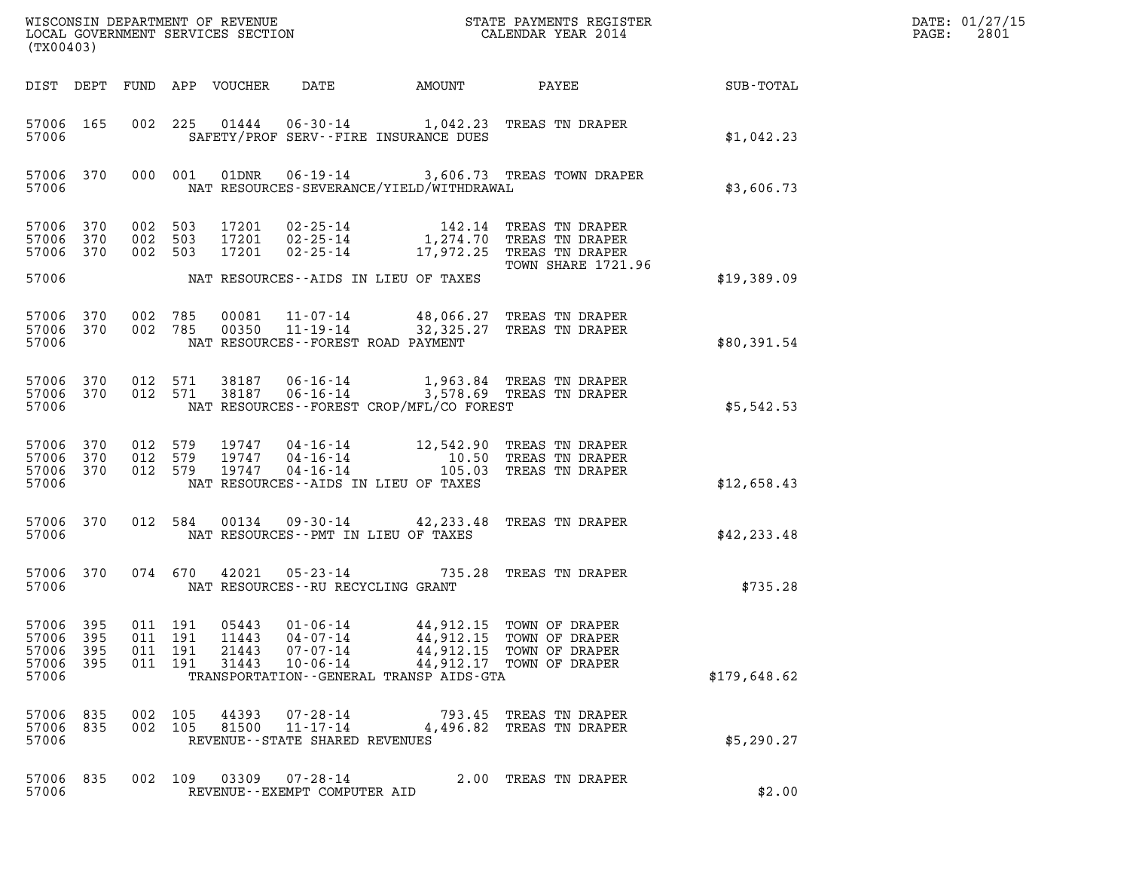| DATE: | 01/27/15 |
|-------|----------|
| PAGE: | 2801     |

| (TX00403)                                 |                          |                                          |         | LOCAL GOVERNMENT SERVICES SECTION | WISCONSIN DEPARTMENT OF REVENUE<br>LOCAL GOVERNMENT SERVICES SECTION     |                                                                                     | STATE PAYMENTS REGISTER<br>CALENDAR YEAR 2014                                                                                  |              | DATE: 01/27/15<br>2801<br>PAGE: |
|-------------------------------------------|--------------------------|------------------------------------------|---------|-----------------------------------|--------------------------------------------------------------------------|-------------------------------------------------------------------------------------|--------------------------------------------------------------------------------------------------------------------------------|--------------|---------------------------------|
| DIST DEPT                                 |                          |                                          |         | FUND APP VOUCHER                  | DATE                                                                     | AMOUNT                                                                              | PAYEE                                                                                                                          | SUB-TOTAL    |                                 |
| 57006 165<br>57006                        |                          |                                          |         |                                   | SAFETY/PROF SERV--FIRE INSURANCE DUES                                    |                                                                                     | 002 225 01444 06-30-14 1,042.23 TREAS TN DRAPER                                                                                | \$1,042.23   |                                 |
| 57006 370<br>57006                        |                          |                                          | 000 001 | 01DNR                             |                                                                          | NAT RESOURCES-SEVERANCE/YIELD/WITHDRAWAL                                            | 06-19-14 3,606.73 TREAS TOWN DRAPER                                                                                            | \$3,606.73   |                                 |
| 57006 370<br>57006<br>57006 370           | 370                      | 002 503<br>002 503<br>002 503            |         | 17201<br>17201                    | 17201  02-25-14                                                          |                                                                                     | 142.14 TREAS TN DRAPER<br>02-25-14 1,274.70 TREAS TN DRAPER<br>02-25-14 17,972.25 TREAS TN DRAPER<br><b>TOWN SHARE 1721.96</b> |              |                                 |
| 57006                                     |                          |                                          |         |                                   | NAT RESOURCES--AIDS IN LIEU OF TAXES                                     |                                                                                     |                                                                                                                                | \$19,389.09  |                                 |
| 57006 370<br>57006 370<br>57006           |                          | 002 785<br>002 785                       |         | 00081                             | NAT RESOURCES - - FOREST ROAD PAYMENT                                    |                                                                                     | 11-07-14 48,066.27 TREAS TN DRAPER<br>00350  11-19-14  32,325.27  TREAS TN DRAPER                                              | \$80,391.54  |                                 |
| 57006 370 012 571<br>57006 370<br>57006   |                          |                                          | 012 571 |                                   |                                                                          | NAT RESOURCES--FOREST CROP/MFL/CO FOREST                                            | 38187  06-16-14   1,963.84 TREAS TN DRAPER<br>38187  06-16-14   3,578.69 TREAS TN DRAPER                                       | \$5,542.53   |                                 |
| 57006<br>57006<br>57006<br>57006          | 370<br>370<br>370        | 012 579<br>012 579<br>012 579            |         | 19747<br>19747                    | $04 - 16 - 14$<br>$04 - 16 - 14$<br>NAT RESOURCES--AIDS IN LIEU OF TAXES |                                                                                     | 19747  04-16-14  12,542.90 TREAS TN DRAPER<br>10.50 TREAS TN DRAPER<br>105.03 TREAS TN DRAPER                                  | \$12,658.43  |                                 |
| 57006 370<br>57006                        |                          | 012 584                                  |         | 00134                             | NAT RESOURCES - PMT IN LIEU OF TAXES                                     |                                                                                     | 09-30-14 42,233.48 TREAS TN DRAPER                                                                                             | \$42, 233.48 |                                 |
| 57006 370<br>57006                        |                          |                                          | 074 670 | 42021                             | $05 - 23 - 14$<br>NAT RESOURCES--RU RECYCLING GRANT                      |                                                                                     | 735.28 TREAS TN DRAPER                                                                                                         | \$735.28     |                                 |
| 57006<br>57006<br>57006<br>57006<br>57006 | 395<br>395<br>395<br>395 | 011 191<br>011 191<br>011 191<br>011 191 |         | 05443<br>11443<br>21443<br>31443  | $01 - 06 - 14$<br>$04 - 07 - 14$<br>$07 - 07 - 14$<br>$10 - 06 - 14$     | 44,912.15<br>44,912.15<br>44,912.15<br>TRANSPORTATION - - GENERAL TRANSP AIDS - GTA | TOWN OF DRAPER<br>TOWN OF DRAPER<br>TOWN OF DRAPER<br>44,912.17 TOWN OF DRAPER                                                 | \$179,648.62 |                                 |
| 57006<br>57006<br>57006                   | 835<br>835               | 002 105<br>002 105                       |         | 44393<br>81500                    | 07-28-14<br>11-17-14<br>REVENUE--STATE SHARED REVENUES                   |                                                                                     | 793.45 TREAS TN DRAPER<br>4,496.82 TREAS TN DRAPER                                                                             | \$5,290.27   |                                 |
| 57006<br>57006                            | 835                      | 002 109                                  |         | 03309                             | 07-28-14<br>REVENUE--EXEMPT COMPUTER AID                                 |                                                                                     | 2.00 TREAS TN DRAPER                                                                                                           | \$2.00       |                                 |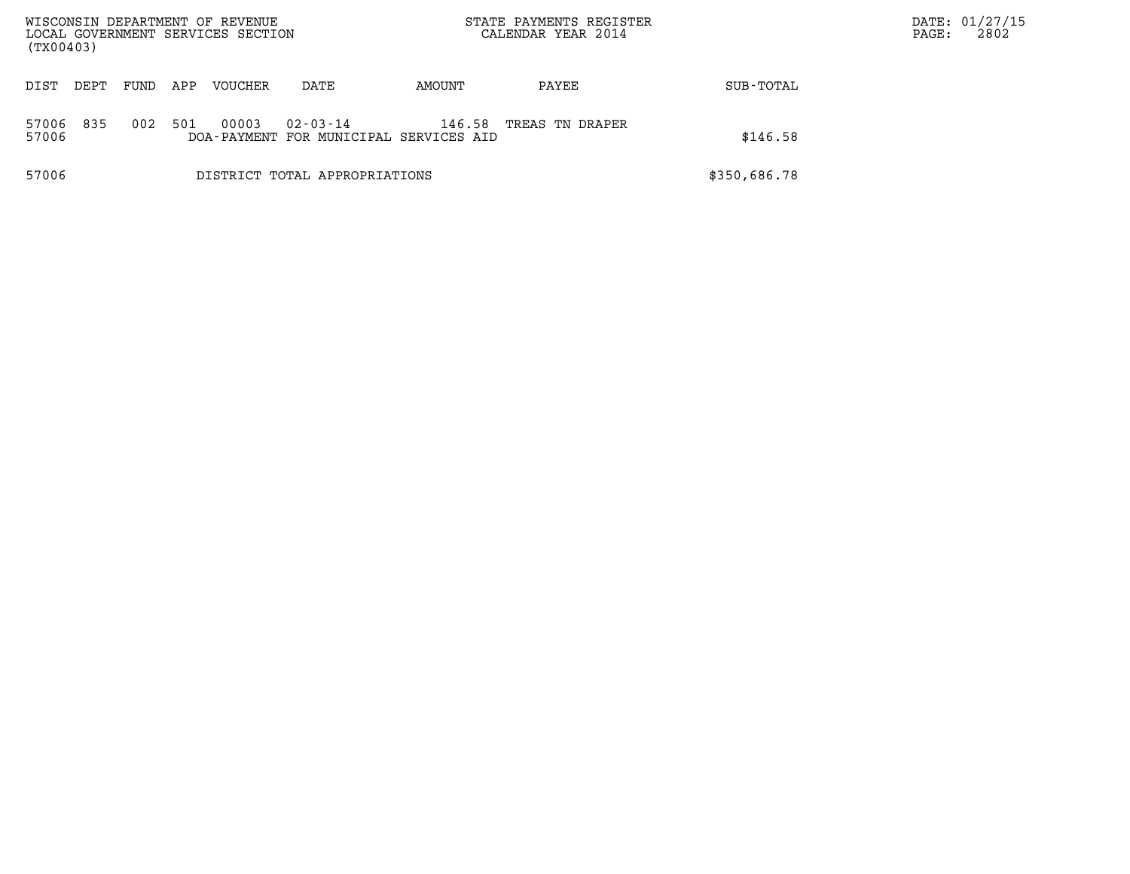| (TX00403)             | WISCONSIN DEPARTMENT OF REVENUE<br>LOCAL GOVERNMENT SERVICES SECTION |     |                |                                                          |        | STATE PAYMENTS REGISTER<br>CALENDAR YEAR 2014 |              | DATE: 01/27/15<br>2802<br>PAGE: |
|-----------------------|----------------------------------------------------------------------|-----|----------------|----------------------------------------------------------|--------|-----------------------------------------------|--------------|---------------------------------|
| DIST<br>DEPT          | FUND                                                                 | APP | <b>VOUCHER</b> | DATE                                                     | AMOUNT | PAYEE                                         | SUB-TOTAL    |                                 |
| 835<br>57006<br>57006 | 002                                                                  | 501 | 00003          | $02 - 03 - 14$<br>DOA-PAYMENT FOR MUNICIPAL SERVICES AID | 146.58 | TREAS TN DRAPER                               | \$146.58     |                                 |
| 57006                 |                                                                      |     |                | DISTRICT TOTAL APPROPRIATIONS                            |        |                                               | \$350,686.78 |                                 |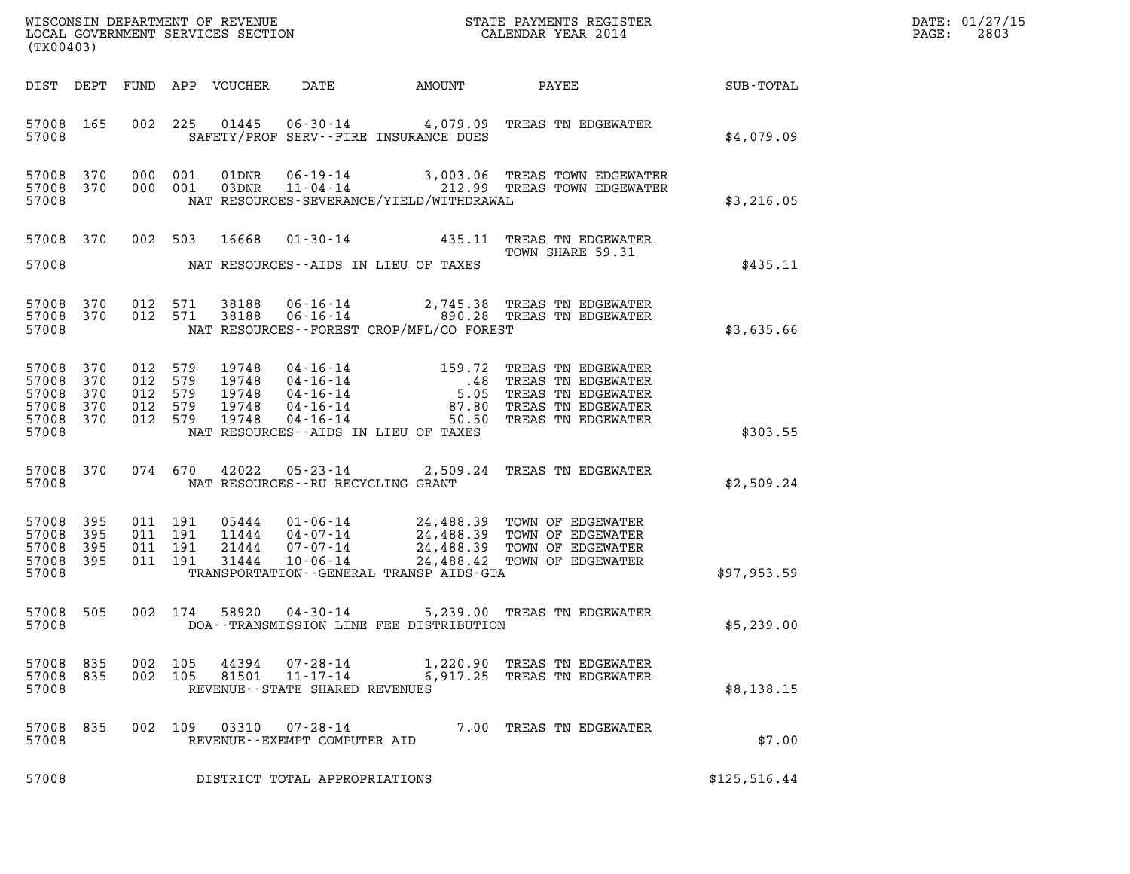| DATE: | 01/27/15 |
|-------|----------|
| PAGE: | 2803     |

| (TX00403)                                                      |                   |                                                     |                                          |                                           |                                                                                                                                                                                                   |                                             |                                                                                                                                                        |              | DATE: 01/27/15<br>2803<br>$\mathtt{PAGE}$ : |
|----------------------------------------------------------------|-------------------|-----------------------------------------------------|------------------------------------------|-------------------------------------------|---------------------------------------------------------------------------------------------------------------------------------------------------------------------------------------------------|---------------------------------------------|--------------------------------------------------------------------------------------------------------------------------------------------------------|--------------|---------------------------------------------|
|                                                                |                   |                                                     |                                          | DIST DEPT FUND APP VOUCHER                | DATE                                                                                                                                                                                              | AMOUNT                                      | PAYEE                                                                                                                                                  | SUB-TOTAL    |                                             |
| 57008 165<br>57008                                             |                   |                                                     |                                          |                                           |                                                                                                                                                                                                   | SAFETY/PROF SERV--FIRE INSURANCE DUES       | 002 225 01445 06-30-14 4,079.09 TREAS TN EDGEWATER                                                                                                     | \$4,079.09   |                                             |
| 57008 370<br>57008 370<br>57008                                |                   | 000 001                                             | 000 001                                  |                                           |                                                                                                                                                                                                   | NAT RESOURCES-SEVERANCE/YIELD/WITHDRAWAL    | 01DNR  06-19-14  3,003.06 TREAS TOWN EDGEWATER<br>03DNR  11-04-14  212.99 TREAS TOWN EDGEWATER                                                         | \$3,216.05   |                                             |
| 57008 370                                                      |                   |                                                     | 002 503                                  | 16668                                     |                                                                                                                                                                                                   |                                             | 01-30-14 435.11 TREAS TN EDGEWATER<br>TOWN SHARE 59.31                                                                                                 |              |                                             |
| 57008                                                          |                   |                                                     |                                          |                                           |                                                                                                                                                                                                   | NAT RESOURCES -- AIDS IN LIEU OF TAXES      |                                                                                                                                                        | \$435.11     |                                             |
| 57008 370<br>57008 370<br>57008                                |                   |                                                     | 012 571<br>012 571                       | 38188<br>38188                            | $06 - 16 - 14$                                                                                                                                                                                    | NAT RESOURCES - - FOREST CROP/MFL/CO FOREST | 2,745.38 TREAS TN EDGEWATER<br>06-16-14 690.28 TREAS TN EDGEWATER                                                                                      | \$3,635.66   |                                             |
| 57008 370<br>57008<br>57008<br>57008 370<br>57008 370<br>57008 | 370<br>370        | 012 579<br>012 579<br>012 579<br>012 579<br>012 579 |                                          | 19748<br>19748<br>19748<br>19748<br>19748 | $\begin{array}{l} 04\texttt{-}16\texttt{-}14 \\ 04\texttt{-}16\texttt{-}14 \\ 04\texttt{-}16\texttt{-}14 \\ 04\texttt{-}16\texttt{-}14 \\ 04\texttt{-}16\texttt{-}14 \end{array}$<br>04 - 16 - 14 | NAT RESOURCES--AIDS IN LIEU OF TAXES        | 159.72 TREAS TN EDGEWATER<br>.48 TREAS TN EDGEWATER<br>5.05 TREAS TN EDGEWATER<br>87.80 TREAS TN EDGEWATER<br>50.50 TREAS TN EDGEWATER                 | \$303.55     |                                             |
| 57008 370<br>57008                                             |                   |                                                     | 074 670                                  | 42022                                     |                                                                                                                                                                                                   | NAT RESOURCES -- RU RECYCLING GRANT         | 05-23-14 2,509.24 TREAS TN EDGEWATER                                                                                                                   | \$2,509.24   |                                             |
| 57008<br>57008<br>57008<br>57008 395<br>57008                  | 395<br>395<br>395 |                                                     | 011 191<br>011 191<br>011 191<br>011 191 | 05444<br>11444<br>21444<br>31444          | $07 - 07 - 14$<br>$10 - 06 - 14$                                                                                                                                                                  | TRANSPORTATION--GENERAL TRANSP AIDS-GTA     | $01 - 06 - 14$ 24,488.39 TOWN OF EDGEWATER<br>$04 - 07 - 14$ 24,488.39 TOWN OF EDGEWATER<br>24,488.39 TOWN OF EDGEWATER<br>24,488.42 TOWN OF EDGEWATER | \$97,953.59  |                                             |
| 57008 505<br>57008                                             |                   |                                                     | 002 174                                  | 58920                                     | 04-30-14                                                                                                                                                                                          | DOA--TRANSMISSION LINE FEE DISTRIBUTION     | 5,239.00 TREAS TN EDGEWATER                                                                                                                            | \$5,239.00   |                                             |
| 57008 835<br>57008 835<br>57008                                |                   | 002 105                                             | 002 105                                  | 44394<br>81501                            | 07-28-14<br>$11 - 17 - 14$<br>REVENUE - - STATE SHARED REVENUES                                                                                                                                   |                                             | 1,220.90 TREAS TN EDGEWATER<br>6,917.25 TREAS TN EDGEWATER                                                                                             | \$8,138.15   |                                             |
| 57008<br>57008                                                 | 835               |                                                     | 002 109                                  |                                           | 03310  07-28-14<br>REVENUE - - EXEMPT COMPUTER AID                                                                                                                                                |                                             | 7.00 TREAS TN EDGEWATER                                                                                                                                | \$7.00       |                                             |
| 57008                                                          |                   |                                                     |                                          |                                           | DISTRICT TOTAL APPROPRIATIONS                                                                                                                                                                     |                                             |                                                                                                                                                        | \$125,516.44 |                                             |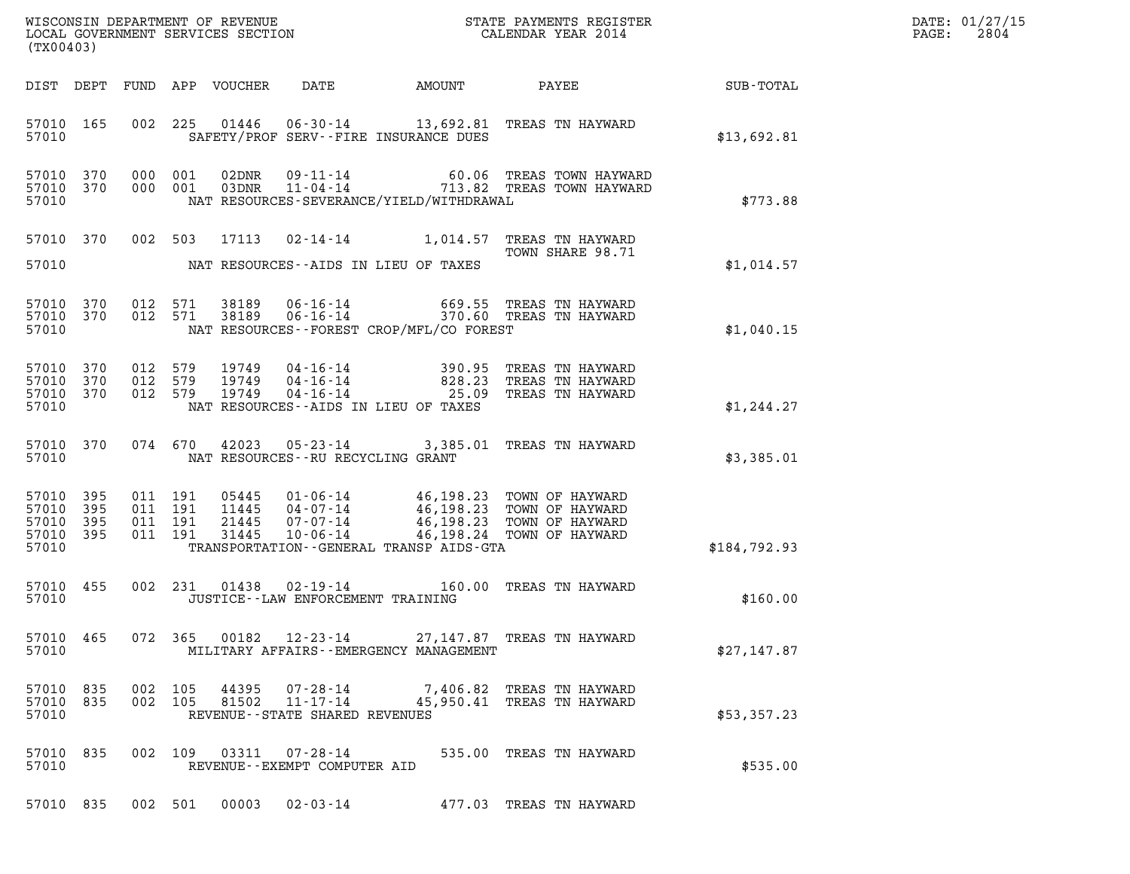| DATE: | 01/27/15 |
|-------|----------|
| PAGE: | 2804     |

|                                           |                                     |                                          |                                  |                                                        |                                             | ${\tt WISCONSIM\ DEPARTMENT\ OF\ REVENUE}\qquad \qquad {\tt STATE\ PAYMENTS\ REGISTER} \\ {\tt LOCAL\ GOVERNMENT\ SERVICES\ SECTION}\qquad \qquad {\tt CALENDAR\ YEAR\ 2014}$                                     |              | DATE: 01/27/15<br>2804<br>$\mathtt{PAGE:}$ |
|-------------------------------------------|-------------------------------------|------------------------------------------|----------------------------------|--------------------------------------------------------|---------------------------------------------|-------------------------------------------------------------------------------------------------------------------------------------------------------------------------------------------------------------------|--------------|--------------------------------------------|
| (TX00403)                                 |                                     |                                          |                                  |                                                        |                                             |                                                                                                                                                                                                                   |              |                                            |
|                                           |                                     |                                          | DIST DEPT FUND APP VOUCHER       |                                                        |                                             | DATE AMOUNT PAYEE SUB-TOTAL                                                                                                                                                                                       |              |                                            |
| 57010                                     | 57010 165                           |                                          | 002 225 01446                    |                                                        | SAFETY/PROF SERV--FIRE INSURANCE DUES       | 06-30-14 13,692.81 TREAS TN HAYWARD                                                                                                                                                                               | \$13,692.81  |                                            |
| 57010                                     | 57010 370<br>57010 370              | 000 001<br>000 001                       | 02DNR<br>03DNR                   |                                                        | NAT RESOURCES-SEVERANCE/YIELD/WITHDRAWAL    | 09-11-14 60.06 TREAS TOWN HAYWARD<br>11-04-14 713.82 TREAS TOWN HAYWARD                                                                                                                                           | \$773.88     |                                            |
| 57010                                     | 57010 370                           |                                          | 002 503 17113                    |                                                        | NAT RESOURCES--AIDS IN LIEU OF TAXES        | 02-14-14 1,014.57 TREAS TN HAYWARD<br>TOWN SHARE 98.71                                                                                                                                                            | \$1,014.57   |                                            |
|                                           |                                     |                                          |                                  |                                                        |                                             |                                                                                                                                                                                                                   |              |                                            |
| 57010                                     | 57010 370<br>57010 370              | 012 571                                  | 012 571 38189<br>38189           |                                                        | NAT RESOURCES - - FOREST CROP/MFL/CO FOREST | 06-16-14 669.55 TREAS TN HAYWARD<br>06-16-14 370.60 TREAS TN HAYWARD                                                                                                                                              | \$1,040.15   |                                            |
| 57010                                     | 57010 370<br>57010 370<br>57010 370 |                                          |                                  |                                                        | NAT RESOURCES--AIDS IN LIEU OF TAXES        | 012 579 19749 04-16-14 390.95 TREAS TN HAYWARD<br>012 579 19749 04-16-14 828.23 TREAS TN HAYWARD<br>012 579 19749 04-16-14 25.09 TREAS TN HAYWARD                                                                 | \$1,244.27   |                                            |
| 57010                                     | 57010 370                           |                                          |                                  | NAT RESOURCES--RU RECYCLING GRANT                      |                                             | 074 670 42023 05-23-14 3,385.01 TREAS TN HAYWARD                                                                                                                                                                  | \$3,385.01   |                                            |
| 57010<br>57010<br>57010<br>57010<br>57010 | 395<br>395<br>395<br>395            | 011 191<br>011 191<br>011 191<br>011 191 | 05445<br>11445<br>21445<br>31445 |                                                        | TRANSPORTATION--GENERAL TRANSP AIDS-GTA     | $\begin{tabular}{lllllllllll} 01-06-14 & 46,198.23 & TOWN OF HAYWARD \\ 04-07-14 & 46,198.23 & TOWN OF HAYWARD \\ 07-07-14 & 46,198.23 & TOWN OF HAYWARD \\ 10-06-14 & 46,198.24 & TOWN OF HAYWARD \end{tabular}$ | \$184,792.93 |                                            |
| 57010                                     | 57010 455                           |                                          |                                  | JUSTICE - - LAW ENFORCEMENT TRAINING                   |                                             | 002 231 01438 02-19-14 160.00 TREAS TN HAYWARD                                                                                                                                                                    | \$160.00     |                                            |
| 57010                                     | 57010 465                           |                                          | 072 365 00182                    |                                                        | MILITARY AFFAIRS - - EMERGENCY MANAGEMENT   | 12-23-14 27,147.87 TREAS TN HAYWARD                                                                                                                                                                               | \$27,147.87  |                                            |
| 57010                                     | 57010 835<br>57010 835              | 002 105<br>002 105                       | 44395<br>81502                   | 07-28-14<br>11-17-14<br>REVENUE--STATE SHARED REVENUES |                                             | 7,406.82 TREAS TN HAYWARD<br>45,950.41 TREAS TN HAYWARD                                                                                                                                                           | \$53,357.23  |                                            |
| 57010                                     | 57010 835                           | 002 109                                  | 03311                            | 07-28-14<br>REVENUE--EXEMPT COMPUTER AID               |                                             | 535.00 TREAS TN HAYWARD                                                                                                                                                                                           | \$535.00     |                                            |
|                                           | 57010 835                           |                                          | 002 501 00003                    |                                                        |                                             | 02-03-14 477.03 TREAS TN HAYWARD                                                                                                                                                                                  |              |                                            |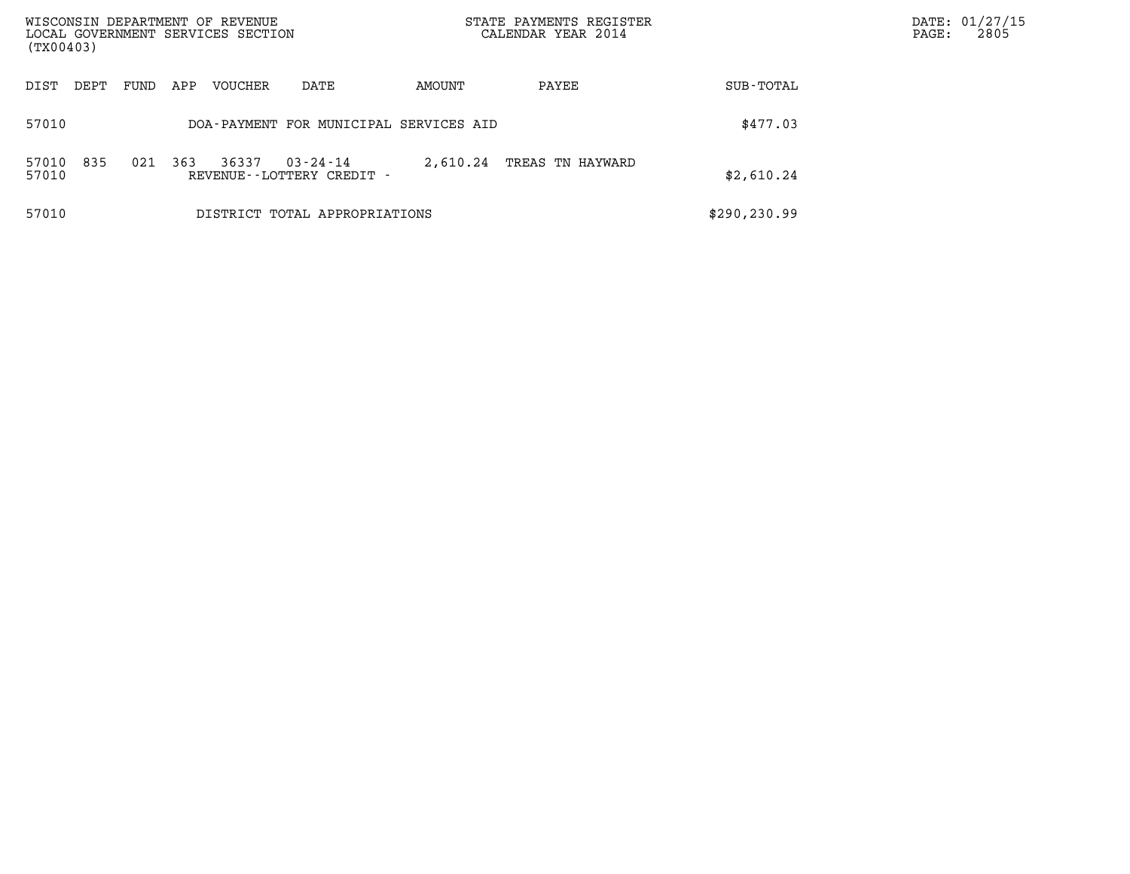| WISCONSIN DEPARTMENT OF REVENUE<br>LOCAL GOVERNMENT SERVICES SECTION<br>(TX00403) |      |      |     |         |                                                | STATE PAYMENTS REGISTER<br>CALENDAR YEAR 2014 |                  |               | DATE: 01/27/15<br>2805<br>$\mathtt{PAGE:}$ |
|-----------------------------------------------------------------------------------|------|------|-----|---------|------------------------------------------------|-----------------------------------------------|------------------|---------------|--------------------------------------------|
| DIST                                                                              | DEPT | FUND | APP | VOUCHER | DATE                                           | AMOUNT                                        | PAYEE            | SUB-TOTAL     |                                            |
| 57010                                                                             |      |      |     |         | DOA-PAYMENT FOR MUNICIPAL SERVICES AID         |                                               |                  | \$477.03      |                                            |
| 57010<br>57010                                                                    | 835  | 021  | 363 | 36337   | $03 - 24 - 14$<br>REVENUE - - LOTTERY CREDIT - | 2,610.24                                      | TREAS TN HAYWARD | \$2,610.24    |                                            |
| 57010                                                                             |      |      |     |         | DISTRICT TOTAL APPROPRIATIONS                  |                                               |                  | \$290, 230.99 |                                            |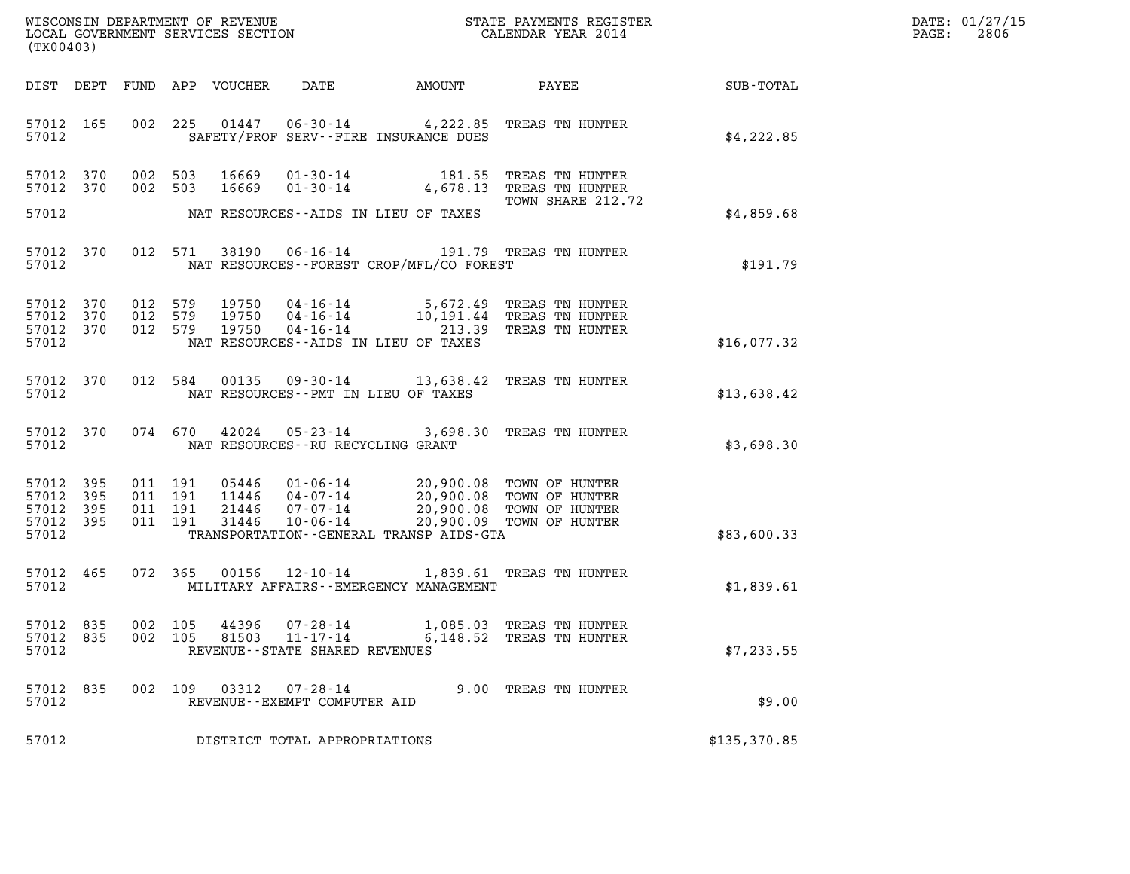| $\texttt{DATE}$ : | 01/27/15 |
|-------------------|----------|
| PAGE:             | 2806     |

| (TX00403)                                                       |         |                                                                                                                                                                                                                                                                                   | DATE: 01/27/15<br>2806<br>$\mathtt{PAGE:}$ |
|-----------------------------------------------------------------|---------|-----------------------------------------------------------------------------------------------------------------------------------------------------------------------------------------------------------------------------------------------------------------------------------|--------------------------------------------|
|                                                                 |         | DATE<br>DIST DEPT FUND APP VOUCHER<br>AMOUNT                                                                                                                                                                                                                                      | <b>PAYEE</b> FOR THE PAYEE<br>SUB-TOTAL    |
| 57012 165<br>57012                                              |         | 002 225 01447 06-30-14 4,222.85 TREAS TN HUNTER<br>SAFETY/PROF SERV--FIRE INSURANCE DUES                                                                                                                                                                                          | \$4,222.85                                 |
| 57012 370<br>57012 370<br>57012                                 |         | 16669  01-30-14  181.55  TREAS TN HUNTER<br>002 503<br>01-30-14 4,678.13 TREAS TN HUNTER<br>002 503<br>16669<br>TOWN SHARE 212.72<br>NAT RESOURCES--AIDS IN LIEU OF TAXES                                                                                                         | \$4,859.68                                 |
| 57012 370<br>57012                                              |         | 012 571 38190 06-16-14 191.79 TREAS TN HUNTER<br>NAT RESOURCES - - FOREST CROP/MFL/CO FOREST                                                                                                                                                                                      | \$191.79                                   |
| 57012 370<br>57012 370<br>57012 370<br>57012                    |         | 012 579 19750 04-16-14 5,672.49 TREAS TN HUNTER<br>012 579 19750 04-16-14 10,191.44 TREAS TN HUNTER<br>04-16-14 213.39 TREAS TN HUNTER<br>012 579<br>19750<br>NAT RESOURCES--AIDS IN LIEU OF TAXES                                                                                | \$16,077.32                                |
| 57012 370<br>57012                                              |         | 012 584<br>00135 09-30-14 13,638.42 TREAS TN HUNTER<br>NAT RESOURCES -- PMT IN LIEU OF TAXES                                                                                                                                                                                      | \$13,638.42                                |
| 57012 370<br>57012                                              |         | 074 670 42024 05-23-14 3,698.30 TREAS TN HUNTER<br>NAT RESOURCES - - RU RECYCLING GRANT                                                                                                                                                                                           | \$3,698.30                                 |
| 57012 395<br>57012<br>395<br>57012<br>395<br>57012 395<br>57012 |         | 05446  01-06-14  20,900.08  TOWN OF HUNTER<br>011 191<br>11446 04-07-14 20,900.08 TOWN OF HUNTER<br>21446 07-07-14 20,900.08 TOWN OF HUNTER<br>011 191<br>011 191<br>$10 - 06 - 14$<br>011 191<br>31446<br>20,900.09 TOWN OF HUNTER<br>TRANSPORTATION - - GENERAL TRANSP AIDS-GTA | \$83,600.33                                |
| 57012 465<br>57012                                              |         | 00156  12-10-14  1,839.61  TREAS TN HUNTER<br>072 365<br>MILITARY AFFAIRS - - EMERGENCY MANAGEMENT                                                                                                                                                                                | \$1,839.61                                 |
| 57012 835<br>57012 835<br>57012                                 | 002 105 | 44396<br>$07 - 28 - 14$<br>1,085.03 TREAS TN HUNTER<br>002 105<br>81503<br>$11 - 17 - 14$<br>6,148.52 TREAS TN HUNTER<br>REVENUE - - STATE SHARED REVENUES                                                                                                                        | \$7,233.55                                 |
| 57012 835<br>57012                                              |         | 002 109 03312 07-28-14<br>9.00 TREAS TN HUNTER<br>REVENUE--EXEMPT COMPUTER AID                                                                                                                                                                                                    | \$9.00                                     |
| 57012                                                           |         | DISTRICT TOTAL APPROPRIATIONS                                                                                                                                                                                                                                                     | \$135, 370.85                              |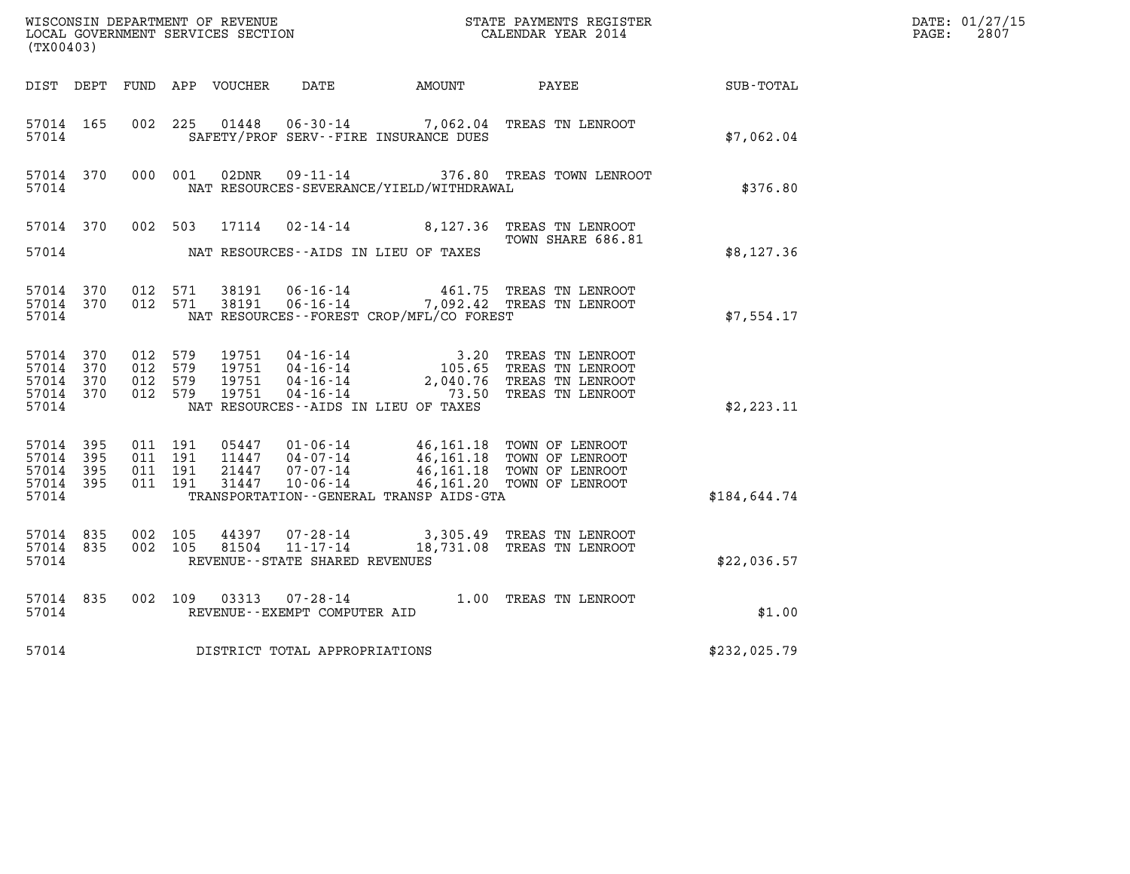| (TX00403)                                                 |                                          |                  |                                                  |                                              |                                                                                                                                                                                                                                                                                                                                                                         |                  | DATE: 01/27/15<br>$\mathtt{PAGE:}$<br>2807 |
|-----------------------------------------------------------|------------------------------------------|------------------|--------------------------------------------------|----------------------------------------------|-------------------------------------------------------------------------------------------------------------------------------------------------------------------------------------------------------------------------------------------------------------------------------------------------------------------------------------------------------------------------|------------------|--------------------------------------------|
| DIST DEPT                                                 |                                          | FUND APP VOUCHER |                                                  | DATE AMOUNT                                  | PAYEE                                                                                                                                                                                                                                                                                                                                                                   | <b>SUB-TOTAL</b> |                                            |
| 57014 165<br>57014                                        |                                          | 002 225 01448    |                                                  | SAFETY/PROF SERV--FIRE INSURANCE DUES        | 06-30-14 7,062.04 TREAS TN LENROOT                                                                                                                                                                                                                                                                                                                                      | \$7,062.04       |                                            |
| 57014 370<br>57014                                        | 000 001                                  | 02DNR            |                                                  | NAT RESOURCES-SEVERANCE/YIELD/WITHDRAWAL     | 09-11-14 376.80 TREAS TOWN LENROOT                                                                                                                                                                                                                                                                                                                                      | \$376.80         |                                            |
|                                                           | 57014 370 002 503                        | 17114            |                                                  |                                              | 02-14-14 8,127.36 TREAS TN LENROOT<br>TOWN SHARE 686.81                                                                                                                                                                                                                                                                                                                 |                  |                                            |
| 57014                                                     |                                          |                  |                                                  | NAT RESOURCES--AIDS IN LIEU OF TAXES         |                                                                                                                                                                                                                                                                                                                                                                         | \$8,127.36       |                                            |
| 57014 370<br>57014 370<br>57014                           | 012 571<br>012 571                       | 38191<br>38191   | $06 - 16 - 14$                                   | NAT RESOURCES--FOREST CROP/MFL/CO FOREST     | 461.75 TREAS TN LENROOT<br>06-16-14 7,092.42 TREAS TN LENROOT                                                                                                                                                                                                                                                                                                           | \$7,554.17       |                                            |
| 57014 370<br>57014 370<br>57014 370<br>57014 370<br>57014 | 012 579<br>012 579<br>012 579<br>012 579 |                  |                                                  | NAT RESOURCES -- AIDS IN LIEU OF TAXES       | $\begin{tabular}{llllll} 19751 & 04\texttt{-}16\texttt{-}14 & 3.20 \texttt{} \texttt{} \texttt{} 3.20 & \texttt{} \texttt{} \texttt{} 105751 & 04\texttt{-}16\texttt{-}14 & 105.65 \texttt{} \texttt{} \texttt{} 18751 & 04\texttt{-}16\texttt{-}14 & 2.040.76 \texttt{} \texttt{} \texttt{} 18751 & 04\texttt{-}16\texttt{-}14 & 73.50 \texttt{} \texttt{} \texttt{} $ | \$2,223.11       |                                            |
| 57014 395<br>57014 395<br>57014 395<br>57014 395<br>57014 | 011 191<br>011 191<br>011 191<br>011 191 | 31447            | $10 - 06 - 14$                                   | TRANSPORTATION - - GENERAL TRANSP AIDS - GTA | 05447  01-06-14  46,161.18 TOWN OF LENROOT<br>11447  04-07-14  46,161.18 TOWN OF LENROOT<br>21447  07-07-14  46,161.18 TOWN OF LENROOT<br>46,161.20 TOWN OF LENROOT                                                                                                                                                                                                     | \$184,644.74     |                                            |
| 57014 835<br>57014 835<br>57014                           | 002 105<br>002 105                       | 44397<br>81504   | $11 - 17 - 14$<br>REVENUE--STATE SHARED REVENUES |                                              | 07-28-14 3,305.49 TREAS TN LENROOT<br>18,731.08 TREAS TN LENROOT                                                                                                                                                                                                                                                                                                        | \$22,036.57      |                                            |
| 57014 835<br>57014                                        | 002 109                                  | 03313            | $07 - 28 - 14$<br>REVENUE--EXEMPT COMPUTER AID   |                                              | 1.00 TREAS TN LENROOT                                                                                                                                                                                                                                                                                                                                                   | \$1.00           |                                            |
| 57014                                                     |                                          |                  | DISTRICT TOTAL APPROPRIATIONS                    |                                              |                                                                                                                                                                                                                                                                                                                                                                         | \$232,025.79     |                                            |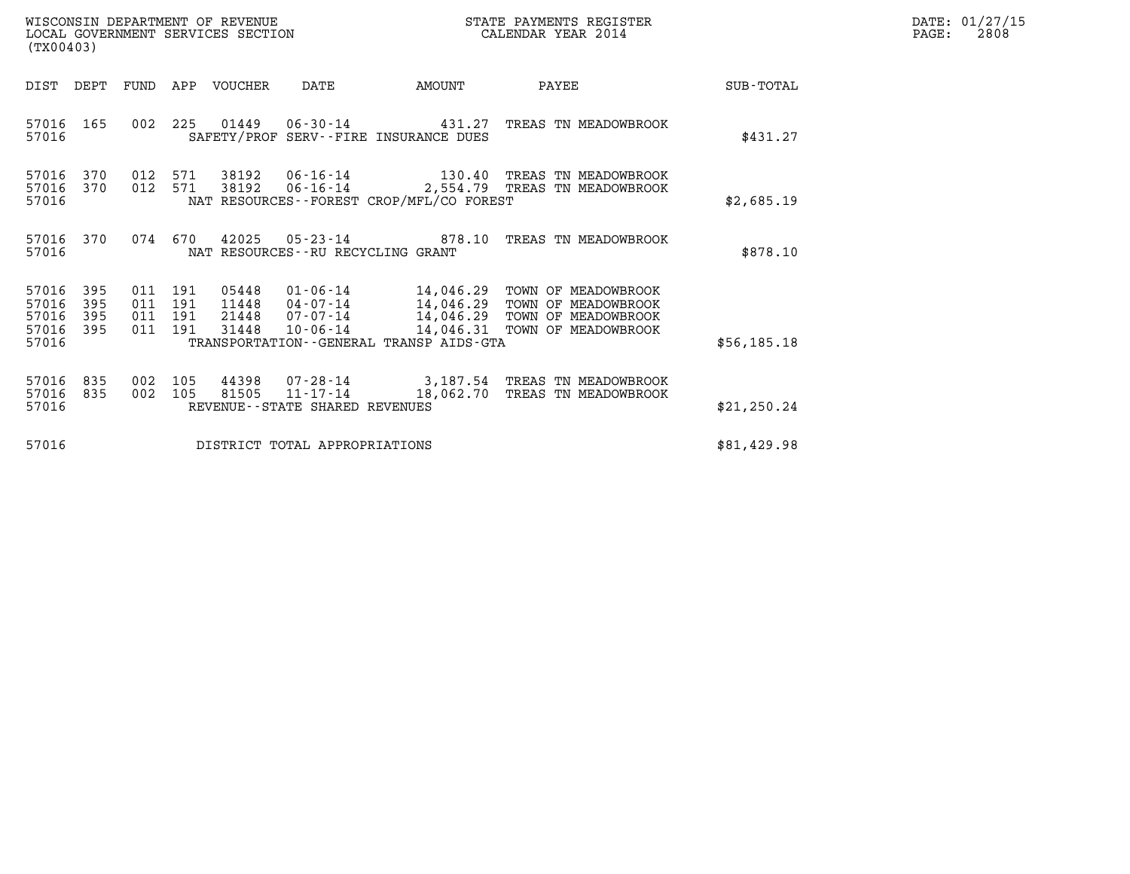| WISCONSIN DEPARTMENT OF REVENUE   | STATE PAYMENTS REGISTER | DATE: 01/27/15 |
|-----------------------------------|-------------------------|----------------|
| LOCAL GOVERNMENT SERVICES SECTION | CALENDAR YEAR 2014      | 2808<br>PAGE:  |

|                                           | WISCONSIN DEPARTMENT OF REVENUE<br>STATE PAYMENTS REGISTER<br>LOCAL GOVERNMENT SERVICES SECTION<br>CALENDAR YEAR 2014<br>(TX00403) |                          |                          |                                  |                                                    |                                                                                     |                                                                                                    |              |
|-------------------------------------------|------------------------------------------------------------------------------------------------------------------------------------|--------------------------|--------------------------|----------------------------------|----------------------------------------------------|-------------------------------------------------------------------------------------|----------------------------------------------------------------------------------------------------|--------------|
| DIST                                      | DEPT                                                                                                                               | FUND                     | APP                      | VOUCHER                          | DATE                                               | AMOUNT                                                                              | PAYEE                                                                                              | SUB-TOTAL    |
| 57016<br>57016                            | 165                                                                                                                                | 002                      | 225                      | 01449                            | SAFETY/PROF SERV--FIRE INSURANCE DUES              | $06 - 30 - 14$ 431.27                                                               | TREAS TN MEADOWBROOK                                                                               | \$431.27     |
| 57016<br>57016<br>57016                   | 370<br>370                                                                                                                         | 012<br>012               | 571<br>571               | 38192<br>38192                   | $06 - 16 - 14$                                     | NAT RESOURCES - - FOREST CROP/MFL/CO FOREST                                         | 06-16-14 130.40 TREAS TN MEADOWBROOK<br>2,554.79 TREAS TN MEADOWBROOK                              | \$2,685.19   |
| 57016<br>57016                            | 370                                                                                                                                | 074                      | 670                      |                                  | NAT RESOURCES--RU RECYCLING GRANT                  | 42025 05-23-14 878.10                                                               | TREAS TN MEADOWBROOK                                                                               | \$878.10     |
| 57016<br>57016<br>57016<br>57016<br>57016 | 395<br>395<br>395<br>395                                                                                                           | 011<br>011<br>011<br>011 | 191<br>191<br>191<br>191 | 05448<br>11448<br>21448<br>31448 | 01-06-14<br>04-07-14<br>$07 - 07 - 14$<br>10-06-14 | 14,046.29<br>14,046.29<br>14,046.31<br>TRANSPORTATION - - GENERAL TRANSP AIDS - GTA | TOWN OF MEADOWBROOK<br>TOWN OF MEADOWBROOK<br>14,046.29 TOWN OF MEADOWBROOK<br>TOWN OF MEADOWBROOK | \$56, 185.18 |
| 57016<br>57016<br>57016                   | 835<br>835                                                                                                                         | 002<br>002               | 105<br>105               | 44398<br>81505                   | 11-17-14<br>REVENUE - - STATE SHARED REVENUES      | 18,062.70                                                                           | 07-28-14 3,187.54 TREAS TN MEADOWBROOK<br>TREAS TN MEADOWBROOK                                     | \$21, 250.24 |
| 57016                                     |                                                                                                                                    |                          |                          |                                  | DISTRICT TOTAL APPROPRIATIONS                      |                                                                                     |                                                                                                    | \$81,429.98  |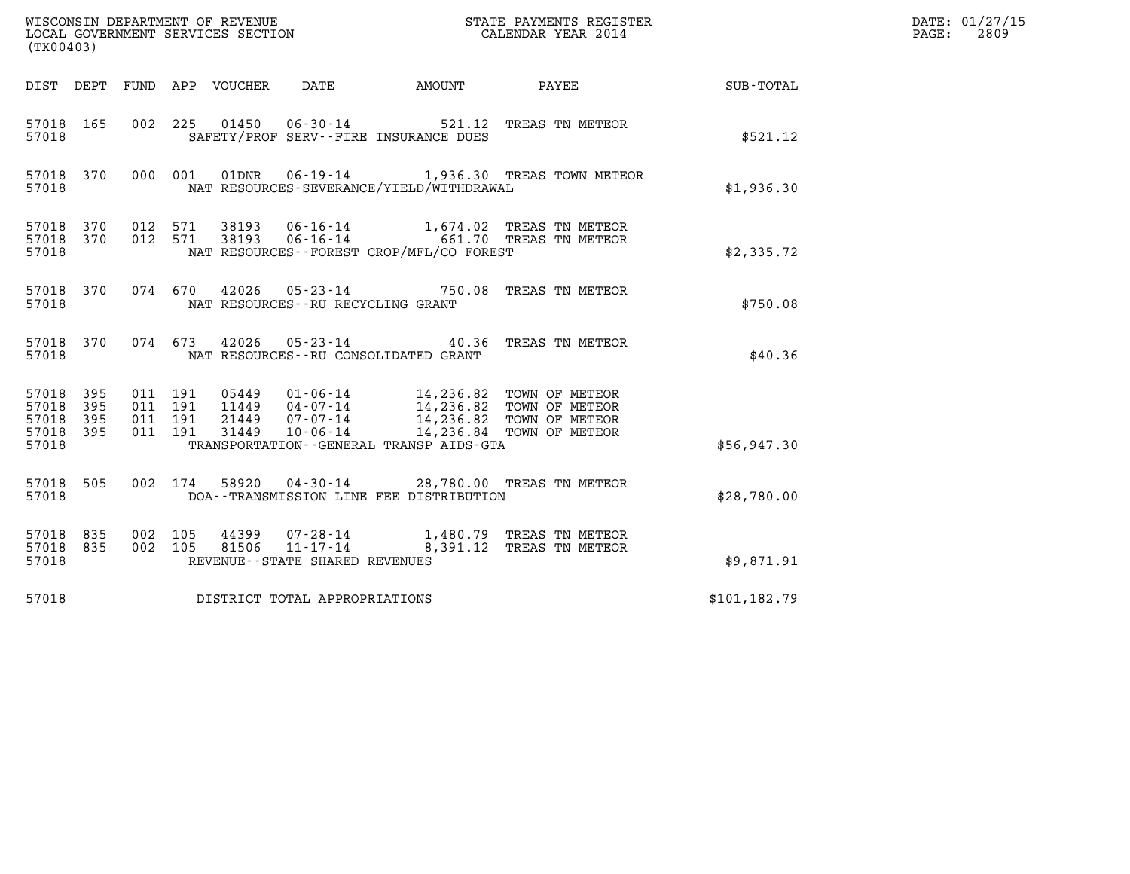| (TX00403)                                     |                     |                    |                    |                            |                                                     |                                              |                                                                                                                                                                             |               | DATE: 01/27/15<br>2809<br>$\mathtt{PAGE}$ : |
|-----------------------------------------------|---------------------|--------------------|--------------------|----------------------------|-----------------------------------------------------|----------------------------------------------|-----------------------------------------------------------------------------------------------------------------------------------------------------------------------------|---------------|---------------------------------------------|
|                                               |                     |                    |                    | DIST DEPT FUND APP VOUCHER | DATE                                                | AMOUNT                                       | $\mathtt{PAYEE}$                                                                                                                                                            | SUB-TOTAL     |                                             |
| 57018 165<br>57018                            |                     |                    |                    |                            |                                                     | SAFETY/PROF SERV--FIRE INSURANCE DUES        | 002 225 01450 06-30-14 521.12 TREAS TN METEOR                                                                                                                               | \$521.12      |                                             |
| 57018 370<br>57018                            |                     |                    |                    |                            |                                                     | NAT RESOURCES-SEVERANCE/YIELD/WITHDRAWAL     | 000 001 01DNR 06-19-14 1,936.30 TREAS TOWN METEOR                                                                                                                           | \$1,936.30    |                                             |
| 57018 370 012 571<br>57018 370<br>57018       |                     |                    | 012 571            |                            |                                                     | NAT RESOURCES - - FOREST CROP/MFL/CO FOREST  | 38193  06-16-14   1,674.02  TREAS TN METEOR<br>38193  06-16-14   661.70  TREAS TN METEOR                                                                                    | \$2,335.72    |                                             |
| 57018 370<br>57018                            |                     |                    |                    |                            | NAT RESOURCES -- RU RECYCLING GRANT                 |                                              | 074 670 42026 05-23-14 750.08 TREAS TN METEOR                                                                                                                               | \$750.08      |                                             |
| 57018 370<br>57018                            |                     |                    |                    |                            |                                                     | NAT RESOURCES - - RU CONSOLIDATED GRANT      | 074 673 42026 05-23-14 40.36 TREAS TN METEOR                                                                                                                                | \$40.36       |                                             |
| 57018 395<br>57018<br>57018<br>57018<br>57018 | 395<br>- 395<br>395 | 011 191<br>011 191 | 011 191<br>011 191 | 31449                      | 10-06-14                                            | TRANSPORTATION - - GENERAL TRANSP AIDS - GTA | 05449   01-06-14   14,236.82   TOWN OF METEOR<br>11449   04-07-14   14,236.82   TOWN OF METEOR<br>21449   07-07-14   14,236.82   TOWN OF METEOR<br>14,236.84 TOWN OF METEOR | \$56,947.30   |                                             |
| 57018 505<br>57018                            |                     |                    | 002 174            |                            |                                                     | DOA--TRANSMISSION LINE FEE DISTRIBUTION      | 58920  04-30-14  28,780.00  TREAS TN METEOR                                                                                                                                 | \$28,780.00   |                                             |
| 57018 835<br>57018 835<br>57018               |                     | 002 105            | 002 105            | 44399<br>81506             | $11 - 17 - 14$<br>REVENUE - - STATE SHARED REVENUES |                                              | 07-28-14 1,480.79 TREAS TN METEOR<br>8,391.12 TREAS TN METEOR                                                                                                               | \$9,871.91    |                                             |
| 57018                                         |                     |                    |                    |                            | DISTRICT TOTAL APPROPRIATIONS                       |                                              |                                                                                                                                                                             | \$101, 182.79 |                                             |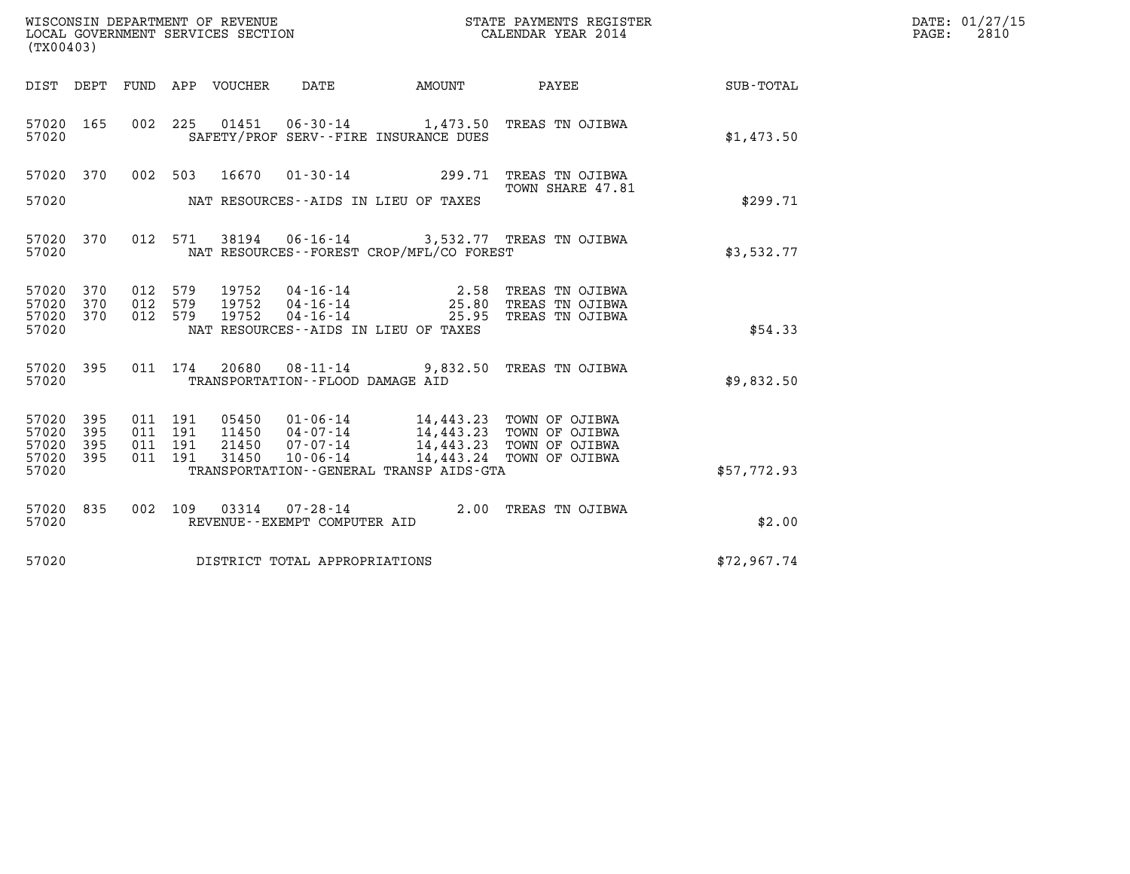| WISCONSIN DEPARTMENT OF REVENUE   | STATE PAYMENTS REGISTER | DATE: 01/27/15 |
|-----------------------------------|-------------------------|----------------|
| LOCAL GOVERNMENT SERVICES SECTION | CALENDAR YEAR 2014      | 2810<br>PAGE:  |

| (TX00403)                   |            |                    | WISCONSIN DEPARTMENT OF REVENUE<br>LOCAL GOVERNMENT SERVICES SECTION |                                                    | STATE PAYMENTS REGIS'<br>CALENDAR YEAR 2014<br>STATE PAYMENTS REGISTER |                                                                                                                                          |             | DATE: 01/27/15<br>$\mathtt{PAGE:}$<br>2810 |
|-----------------------------|------------|--------------------|----------------------------------------------------------------------|----------------------------------------------------|------------------------------------------------------------------------|------------------------------------------------------------------------------------------------------------------------------------------|-------------|--------------------------------------------|
|                             |            |                    | DIST DEPT FUND APP VOUCHER DATE                                      |                                                    |                                                                        | AMOUNT PAYEE                                                                                                                             | SUB-TOTAL   |                                            |
| 57020 165<br>57020          |            |                    |                                                                      |                                                    | SAFETY/PROF SERV--FIRE INSURANCE DUES                                  | 002 225 01451 06-30-14 1,473.50 TREAS TN OJIBWA                                                                                          | \$1,473.50  |                                            |
|                             |            |                    |                                                                      |                                                    |                                                                        | 57020 370 002 503 16670 01-30-14 299.71 TREAS TN OJIBWA<br>TOWN SHARE 47.81                                                              |             |                                            |
| 57020                       |            |                    |                                                                      |                                                    | NAT RESOURCES--AIDS IN LIEU OF TAXES                                   |                                                                                                                                          | \$299.71    |                                            |
| 57020 370<br>57020          |            |                    |                                                                      |                                                    | NAT RESOURCES - - FOREST CROP/MFL/CO FOREST                            | 012 571 38194 06-16-14 3,532.77 TREAS TN OJIBWA                                                                                          | \$3,532.77  |                                            |
| 57020 370<br>57020          | 370        | 012 579<br>012 579 |                                                                      | 19752 04-16-14<br>19752 04-16-14<br>19752 04-16-14 |                                                                        | 2.58   TREAS  TN  OJIBWA<br>25.80   TREAS  TN  OJIBWA                                                                                    |             |                                            |
| 57020 370<br>57020          |            | 012 579            |                                                                      |                                                    | NAT RESOURCES--AIDS IN LIEU OF TAXES                                   | 25.95 TREAS TN OJIBWA                                                                                                                    | \$54.33     |                                            |
| 57020 395<br>57020          |            |                    |                                                                      | TRANSPORTATION--FLOOD DAMAGE AID                   |                                                                        | 011 174 20680 08-11-14 9,832.50 TREAS TN OJIBWA                                                                                          | \$9,832.50  |                                            |
| 57020<br>57020              | 395<br>395 | 011 191<br>011 191 | 05450                                                                | 11450  04-07-14                                    | 01-06-14 14,443.23 TOWN OF OJIBWA                                      |                                                                                                                                          |             |                                            |
| 57020<br>57020 395<br>57020 | 395        | 011 191<br>011 191 | 21450<br>31450                                                       | 07-07-14<br>$10 - 06 - 14$                         | TRANSPORTATION--GENERAL TRANSP AIDS-GTA                                | 14,443.23 IOWN OF OJIBWA<br>14,443.23 TOWN OF OJIBWA<br>14,443.23 TOWN OF OJIBWA<br>14,443.24 TOWN OF OJIBWA<br>14,443.24 TOWN OF OJIBWA | \$57,772.93 |                                            |
|                             |            |                    |                                                                      |                                                    |                                                                        |                                                                                                                                          |             |                                            |
| 57020 835<br>57020          |            |                    |                                                                      | REVENUE--EXEMPT COMPUTER AID                       |                                                                        | 002 109 03314 07-28-14 2.00 TREAS TN OJIBWA                                                                                              | \$2.00      |                                            |
| 57020                       |            |                    |                                                                      | DISTRICT TOTAL APPROPRIATIONS                      |                                                                        |                                                                                                                                          | \$72,967.74 |                                            |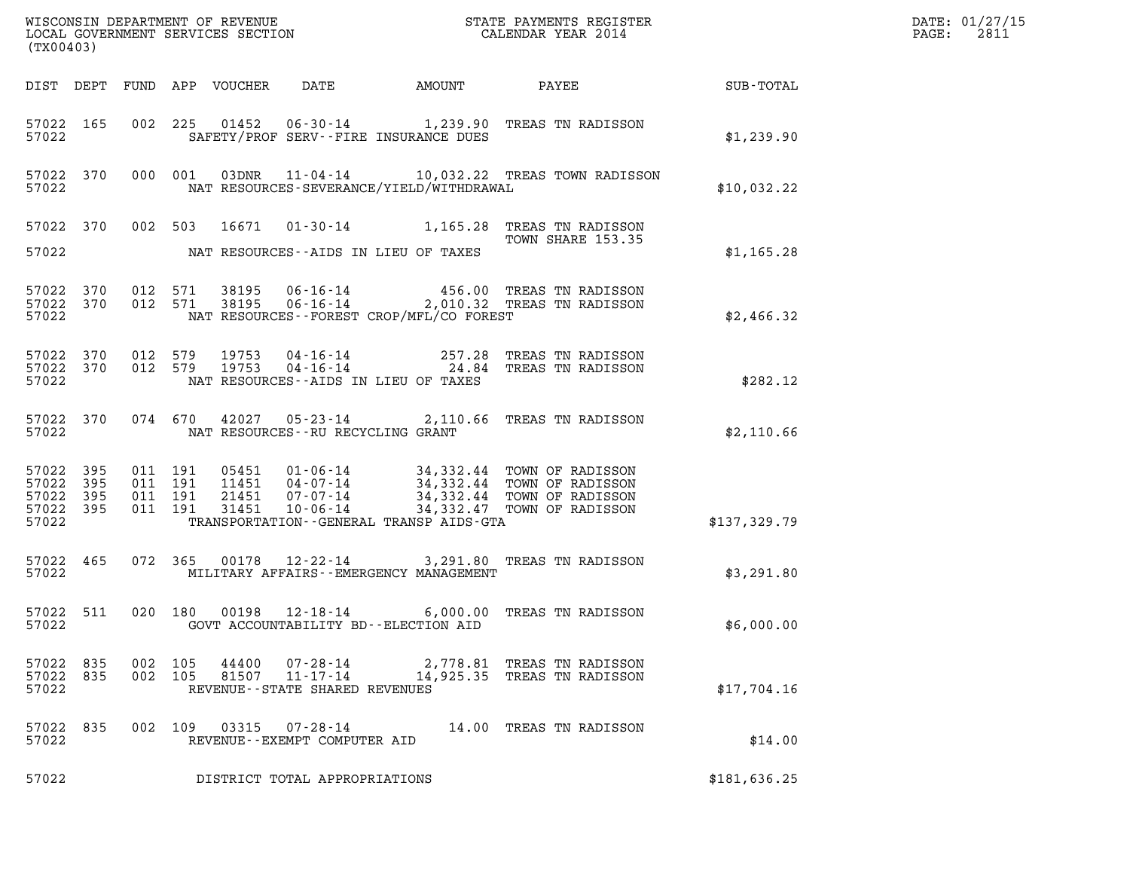| (TX00403)                                             |           |                    |                    |                            |                                                    |                                           |                                                                                                                                                          |              | DATE: 01/27/15<br>2811<br>$\mathtt{PAGE:}$ |
|-------------------------------------------------------|-----------|--------------------|--------------------|----------------------------|----------------------------------------------------|-------------------------------------------|----------------------------------------------------------------------------------------------------------------------------------------------------------|--------------|--------------------------------------------|
|                                                       |           |                    |                    | DIST DEPT FUND APP VOUCHER | DATE                                               | AMOUNT                                    | PAYEE                                                                                                                                                    | SUB-TOTAL    |                                            |
| 57022 165<br>57022                                    |           |                    |                    |                            |                                                    | SAFETY/PROF SERV--FIRE INSURANCE DUES     | 002 225 01452 06-30-14 1,239.90 TREAS TN RADISSON                                                                                                        | \$1,239.90   |                                            |
| 57022                                                 | 57022 370 |                    | 000 001            | 03DNR                      |                                                    | NAT RESOURCES-SEVERANCE/YIELD/WITHDRAWAL  | 11-04-14 10,032.22 TREAS TOWN RADISSON                                                                                                                   | \$10,032.22  |                                            |
| 57022                                                 | 57022 370 |                    |                    |                            |                                                    | NAT RESOURCES -- AIDS IN LIEU OF TAXES    | 002 503 16671 01-30-14 1,165.28 TREAS TN RADISSON<br>TOWN SHARE 153.35                                                                                   | \$1,165.28   |                                            |
| 57022 370<br>57022                                    | 57022 370 |                    | 012 571<br>012 571 |                            |                                                    | NAT RESOURCES--FOREST CROP/MFL/CO FOREST  | 38195   06-16-14   456.00 TREAS TN RADISSON<br>38195   06-16-14   2,010.32 TREAS TN RADISSON                                                             | \$2,466.32   |                                            |
| 57022 370<br>57022 370<br>57022                       |           | 012 579            | 012 579            | 19753<br>19753             |                                                    | NAT RESOURCES--AIDS IN LIEU OF TAXES      | 04-16-14<br>04-16-14 24.84 TREAS TN RADISSON                                                                                                             | \$282.12     |                                            |
| 57022 370<br>57022                                    |           |                    | 074 670            | 42027                      | NAT RESOURCES -- RU RECYCLING GRANT                |                                           | 05-23-14 2,110.66 TREAS TN RADISSON                                                                                                                      | \$2,110.66   |                                            |
| 57022 395<br>57022 395<br>57022<br>57022 395<br>57022 | - 395     | 011 191<br>011 191 | 011 191<br>011 191 | 21451<br>31451             | 07-07-14<br>$10 - 06 - 14$                         | TRANSPORTATION--GENERAL TRANSP AIDS-GTA   | 05451  01-06-14  34,332.44  TOWN OF RADISSON<br>11451  04-07-14  34,332.44  TOWN OF RADISSON<br>34,332.44 TOWN OF RADISSON<br>34,332.47 TOWN OF RADISSON | \$137,329.79 |                                            |
| 57022 465<br>57022                                    |           |                    | 072 365            |                            |                                                    | MILITARY AFFAIRS - - EMERGENCY MANAGEMENT | 00178  12-22-14  3,291.80  TREAS TN RADISSON                                                                                                             | \$3,291.80   |                                            |
| 57022 511<br>57022                                    |           |                    | 020 180            |                            | 00198 12-18-14                                     | GOVT ACCOUNTABILITY BD--ELECTION AID      | 6,000.00 TREAS TN RADISSON                                                                                                                               | \$6,000.00   |                                            |
| 57022 835<br>57022                                    | 57022 835 | 002 105<br>002 105 |                    | 44400                      | REVENUE - - STATE SHARED REVENUES                  |                                           | 07-28-14 2,778.81 TREAS TN RADISSON<br>81507  11-17-14  14,925.35  TREAS TN RADISSON                                                                     | \$17,704.16  |                                            |
| 57022 835<br>57022                                    |           | 002 109            |                    |                            | 03315  07-28-14<br>REVENUE - - EXEMPT COMPUTER AID |                                           | 14.00 TREAS TN RADISSON                                                                                                                                  | \$14.00      |                                            |
| 57022                                                 |           |                    |                    |                            | DISTRICT TOTAL APPROPRIATIONS                      |                                           |                                                                                                                                                          | \$181,636.25 |                                            |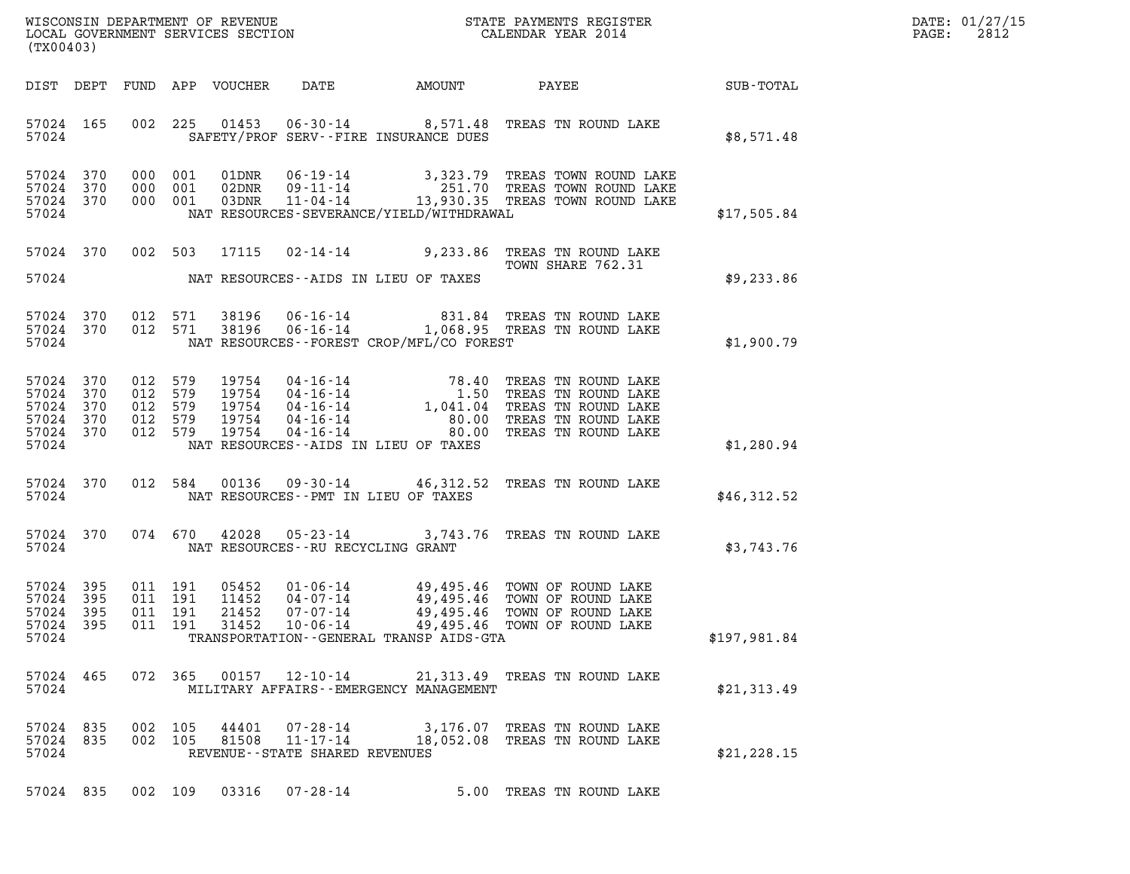| (TX00403)      |                                                         |  |                                         |                                             |                                                                                                                                                                                                                                                                                                                                 |              |
|----------------|---------------------------------------------------------|--|-----------------------------------------|---------------------------------------------|---------------------------------------------------------------------------------------------------------------------------------------------------------------------------------------------------------------------------------------------------------------------------------------------------------------------------------|--------------|
|                | 57024                                                   |  |                                         | SAFETY/PROF SERV--FIRE INSURANCE DUES       | 57024 165 002 225 01453 06-30-14 8,571.48 TREAS TN ROUND LAKE                                                                                                                                                                                                                                                                   | \$8,571.48   |
|                | 57024 370<br>57024 370<br>57024 370<br>57024            |  |                                         | NAT RESOURCES-SEVERANCE/YIELD/WITHDRAWAL    | 000 001 01DNR 06-19-14 3,323.79 TREAS TOWN ROUND LAKE<br>000 001 02DNR 09-11-14 251.70 TREAS TOWN ROUND LAKE<br>000 001 03DNR 11-04-14 13,930.35 TREAS TOWN ROUND LAKE                                                                                                                                                          | \$17,505.84  |
|                |                                                         |  |                                         | 57024 NAT RESOURCES--AIDS IN LIEU OF TAXES  | 57024 370 002 503 17115 02-14-14 9,233.86 TREAS TN ROUND LAKE<br>TOWN SHARE 762.31                                                                                                                                                                                                                                              | \$9,233.86   |
|                | 57024 370<br>57024 370<br>57024                         |  |                                         | NAT RESOURCES - - FOREST CROP/MFL/CO FOREST | 012 571 38196 06-16-14 831.84 TREAS TN ROUND LAKE<br>012 571 38196 06-16-14 1,068.95 TREAS TN ROUND LAKE                                                                                                                                                                                                                        | \$1,900.79   |
| 57024<br>57024 | 57024 370<br>370<br>57024 370<br>57024 370<br>57024 370 |  |                                         | NAT RESOURCES--AIDS IN LIEU OF TAXES        | $\begin{tabular}{@{}c@{}}\n 012 & 579 & 19754 & 04-16-14 & 78.40 & \text{TREAS TN ROUND LAKE} \cr 012 & 579 & 19754 & 04-16-14 & 1,041.04 & \text{TREAS TN ROUND LAKE} \cr 012 & 579 & 19754 & 04-16-14 & 80.00 & \text{TREAS TN ROUND LAKE} \cr 012 & 579 & 19754 & 04-16-14 & 80.00 & \text{TREAS TN ROUND LAKE} \cr 012 & 5$ | \$1,280.94   |
|                |                                                         |  |                                         | 57024 NAT RESOURCES--PMT IN LIEU OF TAXES   | 57024 370 012 584 00136 09-30-14 46,312.52 TREAS TN ROUND LAKE                                                                                                                                                                                                                                                                  | \$46,312.52  |
|                | 57024 370                                               |  | 57024 NAT RESOURCES--RU RECYCLING GRANT |                                             | 074 670 42028 05-23-14 3,743.76 TREAS TN ROUND LAKE                                                                                                                                                                                                                                                                             | \$3,743.76   |
| 57024          | 57024 395<br>57024 395<br>57024 395<br>57024 395        |  |                                         | TRANSPORTATION - - GENERAL TRANSP AIDS-GTA  | 011 191 05452 01-06-14 49,495.46 TOWN OF ROUND LAKE<br>011 191 11452 04-07-14 49,495.46 TOWN OF ROUND LAKE<br>011 191 21452 07-07-14 49,495.46 TOWN OF ROUND LAKE<br>011 191 31452 10-06-14 49,495.46 TOWN OF ROUND LAKE                                                                                                        | \$197,981.84 |
| 57024          | 57024 465                                               |  |                                         | MILITARY AFFAIRS - - EMERGENCY MANAGEMENT   | 072  365  00157  12-10-14  21,313.49  TREAS TN ROUND LAKE                                                                                                                                                                                                                                                                       | \$21,313.49  |
| 57024          | 57024 835<br>57024 835                                  |  | REVENUE - - STATE SHARED REVENUES       |                                             | 002 105 44401 07-28-14 3,176.07 TREAS TN ROUND LAKE<br>002  105  81508  11-17-14  18,052.08  TREAS TN ROUND LAKE                                                                                                                                                                                                                | \$21, 228.15 |
|                |                                                         |  | 57024 835 002 109 03316 07-28-14        |                                             | 5.00 TREAS TN ROUND LAKE                                                                                                                                                                                                                                                                                                        |              |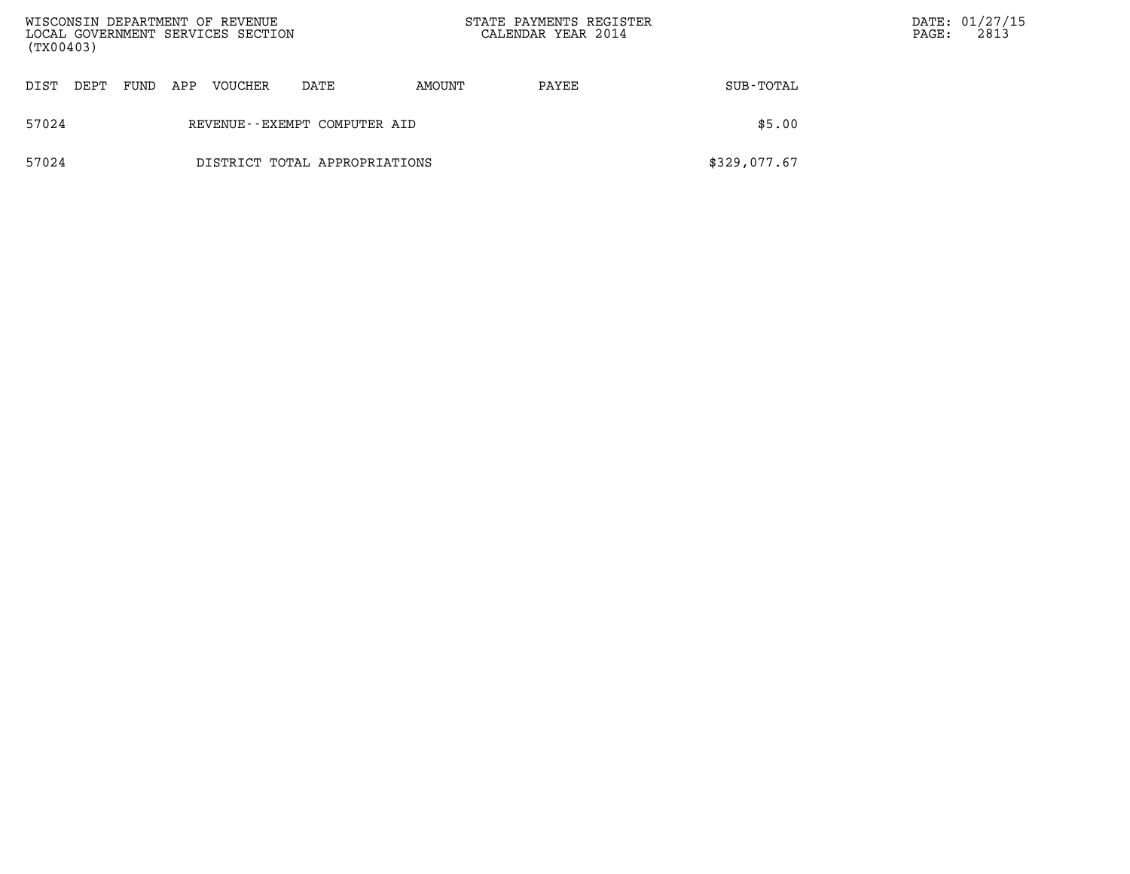| WISCONSIN DEPARTMENT OF REVENUE<br>LOCAL GOVERNMENT SERVICES SECTION<br>(TX00403) |                               |      |     |         |      |        | STATE PAYMENTS REGISTER<br>CALENDAR YEAR 2014 |              | $\mathtt{PAGE}$ : | DATE: 01/27/15<br>2813 |
|-----------------------------------------------------------------------------------|-------------------------------|------|-----|---------|------|--------|-----------------------------------------------|--------------|-------------------|------------------------|
| DIST                                                                              | DEPT                          | FUND | APP | VOUCHER | DATE | AMOUNT | PAYEE                                         | SUB-TOTAL    |                   |                        |
| 57024                                                                             | REVENUE--EXEMPT COMPUTER AID  |      |     |         |      |        |                                               | \$5.00       |                   |                        |
| 57024                                                                             | DISTRICT TOTAL APPROPRIATIONS |      |     |         |      |        |                                               | \$329,077.67 |                   |                        |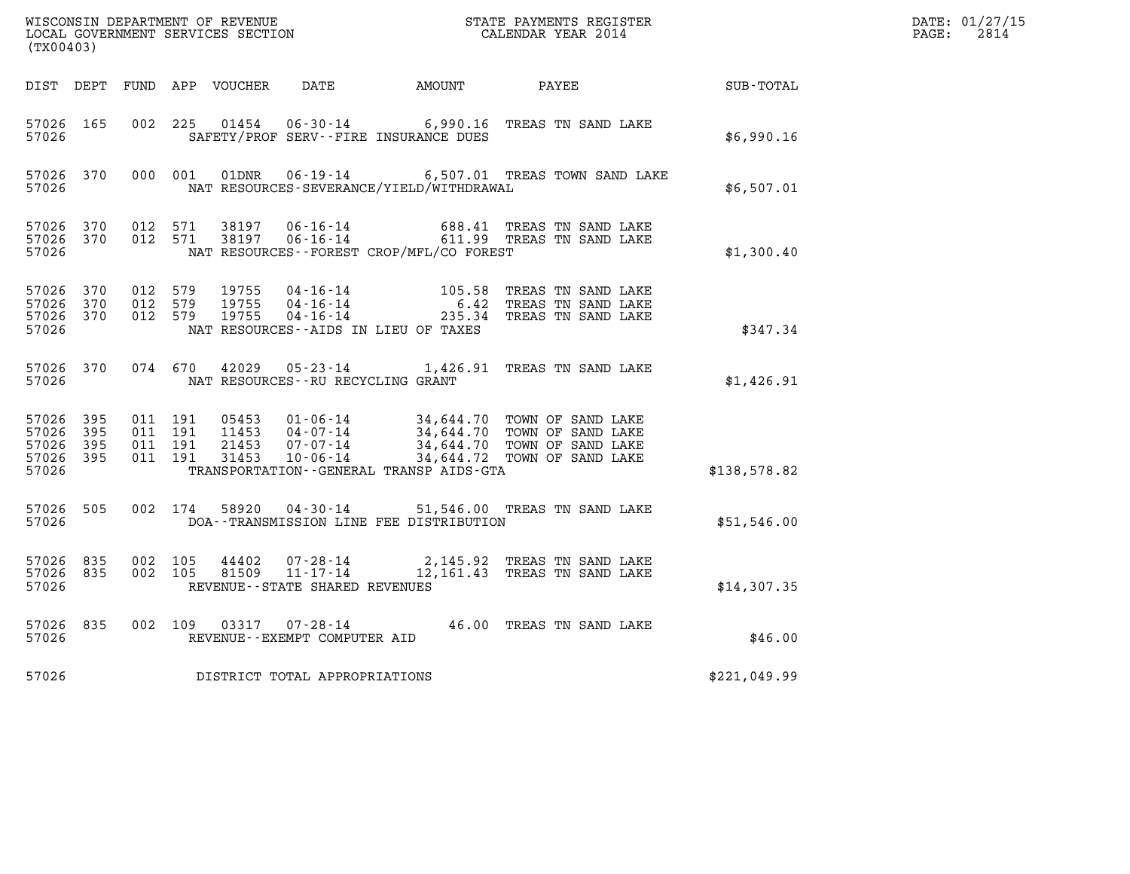| (TX00403)                                    |                    |                                          |         |       |                                     |                                              | WISCONSIN DEPARTMENT OF REVENUE<br>LOCAL GOVERNMENT SERVICES SECTION<br>LOCAL GOVERNMENT SERVICES SECTION<br>CALENDAR YEAR 2014                                                                  |              | DATE: 01/27/15<br>$\mathtt{PAGE:}$<br>2814 |
|----------------------------------------------|--------------------|------------------------------------------|---------|-------|-------------------------------------|----------------------------------------------|--------------------------------------------------------------------------------------------------------------------------------------------------------------------------------------------------|--------------|--------------------------------------------|
|                                              |                    |                                          |         |       |                                     | DIST DEPT FUND APP VOUCHER DATE AMOUNT PAYEE |                                                                                                                                                                                                  | SUB-TOTAL    |                                            |
| 57026 165<br>57026                           |                    | 002 225                                  |         |       |                                     | SAFETY/PROF SERV--FIRE INSURANCE DUES        | 01454   06-30-14   6,990.16   TREAS TN SAND LAKE                                                                                                                                                 | \$6,990.16   |                                            |
| 57026                                        | 57026 370          |                                          |         |       |                                     | NAT RESOURCES-SEVERANCE/YIELD/WITHDRAWAL     | 000 001 01DNR 06-19-14 6,507.01 TREAS TOWN SAND LAKE                                                                                                                                             | \$6,507.01   |                                            |
| 57026 370<br>57026                           |                    | 57026 370 012 571<br>012 571             |         |       |                                     | NAT RESOURCES - - FOREST CROP/MFL/CO FOREST  | 38197  06-16-14  688.41  TREAS TN SAND LAKE<br>38197  06-16-14  611.99  TREAS TN SAND LAKE                                                                                                       | \$1,300.40   |                                            |
| 57026 370<br>57026 370<br>57026 370<br>57026 |                    | 012 579<br>012 579<br>012 579            |         |       |                                     | NAT RESOURCES -- AIDS IN LIEU OF TAXES       | 19755  04-16-14   105.58   TREAS TN SAND LAKE<br>19755  04-16-14   6.42   TREAS TN SAND LAKE<br>19755  04-16-14   235.34   TREAS TN SAND LAKE                                                    | \$347.34     |                                            |
|                                              | 57026 370<br>57026 |                                          |         |       | NAT RESOURCES -- RU RECYCLING GRANT |                                              | 074 670 42029 05-23-14 1,426.91 TREAS TN SAND LAKE                                                                                                                                               | \$1,426.91   |                                            |
| 57026 395<br>57026<br>57026 395<br>57026     | - 395<br>57026 395 | 011 191<br>011 191<br>011 191<br>011 191 |         |       |                                     | TRANSPORTATION - - GENERAL TRANSP AIDS - GTA | 05453  01-06-14  34,644.70  TOWN OF SAND LAKE<br>11453  04-07-14  34,644.70  TOWN OF SAND LAKE<br>21453  07-07-14  34,644.70  TOWN OF SAND LAKE<br>31453  10-06-14  34,644.72  TOWN OF SAND LAKE | \$138,578.82 |                                            |
| 57026 505<br>57026                           |                    |                                          | 002 174 | 58920 |                                     | DOA--TRANSMISSION LINE FEE DISTRIBUTION      | 04-30-14 51,546.00 TREAS TN SAND LAKE                                                                                                                                                            | \$51,546.00  |                                            |
| 57026 835<br>57026 835<br>57026              |                    | 002 105<br>002 105                       |         |       | REVENUE - - STATE SHARED REVENUES   |                                              | $\begin{array}{cccc} 44402 & 07\text{-}28\text{-}14 & 2,145.92 & \text{TREAS TN SAND LAKE} \\ 81509 & 11\text{-}17\text{-}14 & 12,161.43 & \text{TREAS TN SAND LAKE} \end{array}$                | \$14,307.35  |                                            |
| 57026 835<br>57026                           |                    |                                          |         |       | REVENUE--EXEMPT COMPUTER AID        |                                              | 002 109 03317 07-28-14 46.00 TREAS TN SAND LAKE                                                                                                                                                  | \$46.00      |                                            |
| 57026                                        |                    |                                          |         |       | DISTRICT TOTAL APPROPRIATIONS       |                                              |                                                                                                                                                                                                  | \$221,049.99 |                                            |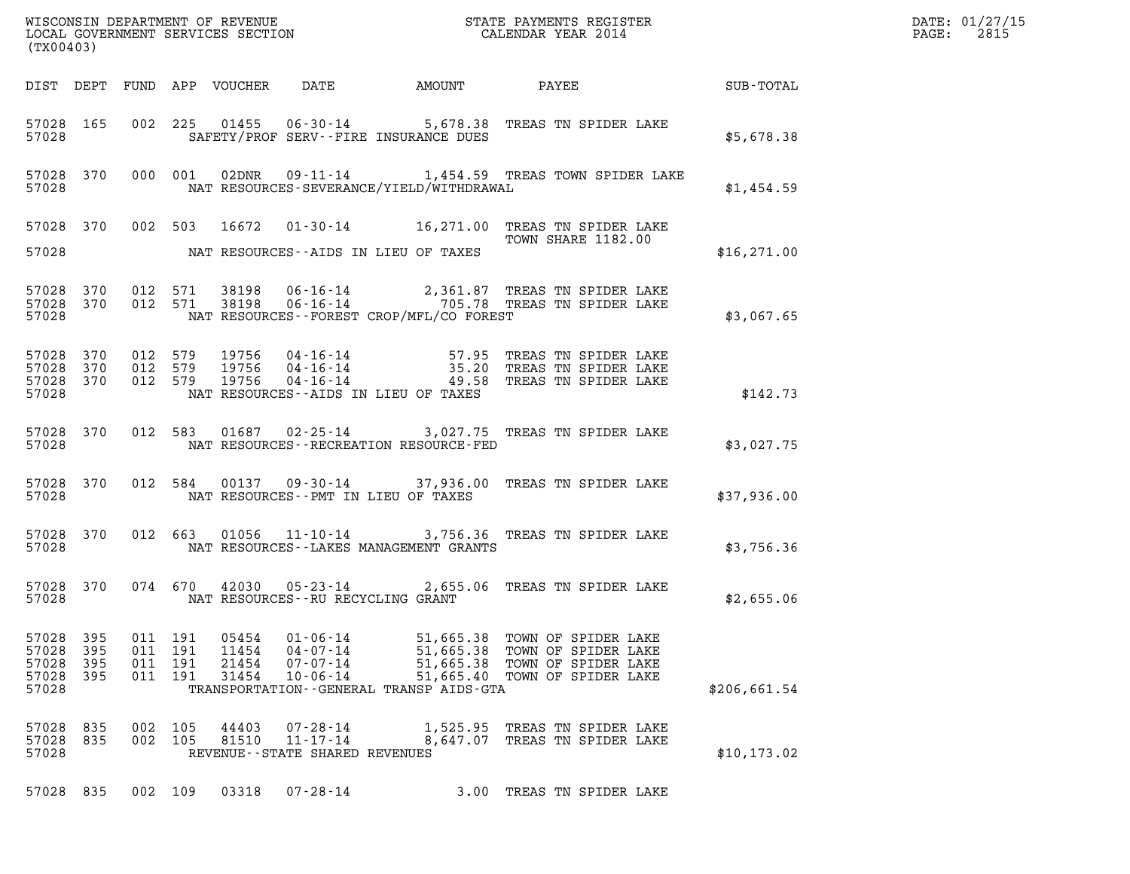| (TX00403)                                 |                          |                       |                       |                                  |                                                                       |                                                                        |                                                                                                                                                             |              | DATE: 01/27/15<br>2815<br>$\mathtt{PAGE:}$ |
|-------------------------------------------|--------------------------|-----------------------|-----------------------|----------------------------------|-----------------------------------------------------------------------|------------------------------------------------------------------------|-------------------------------------------------------------------------------------------------------------------------------------------------------------|--------------|--------------------------------------------|
|                                           |                          |                       |                       |                                  |                                                                       |                                                                        | DIST DEPT FUND APP VOUCHER DATE AMOUNT PAYEE SUB-TOTAL                                                                                                      |              |                                            |
| 57028                                     | 57028 165                |                       |                       |                                  |                                                                       | SAFETY/PROF SERV--FIRE INSURANCE DUES                                  | 002 225 01455 06-30-14 5,678.38 TREAS TN SPIDER LAKE                                                                                                        | \$5,678.38   |                                            |
| 57028                                     |                          |                       |                       |                                  |                                                                       |                                                                        | 57028 370 000 001 02DNR 09-11-14 1,454.59 TREAS TOWN SPIDER LAKE<br>NAT RESOURCES-SEVERANCE/YIELD/WITHDRAWAL                                                | \$1,454.59   |                                            |
|                                           |                          |                       |                       |                                  |                                                                       | 57028 NAT RESOURCES--AIDS IN LIEU OF TAXES                             | 57028 370 002 503 16672 01-30-14 16,271.00 TREAS TN SPIDER LAKE<br>TOWN SHARE 1182.00                                                                       | \$16, 271.00 |                                            |
| 57028                                     |                          |                       |                       |                                  |                                                                       | NAT RESOURCES--FOREST CROP/MFL/CO FOREST                               | 57028 370 012 571 38198 06-16-14 2,361.87 TREAS TN SPIDER LAKE 57028 370 012 571 38198 06-16-14 2,361.87 TREAS TN SPIDER LAKE                               | \$3,067.65   |                                            |
| 57028 370<br>57028 370<br>57028           | 57028 370                |                       |                       |                                  |                                                                       | NAT RESOURCES--AIDS IN LIEU OF TAXES                                   | 012 579 19756 04-16-14 57.95 TREAS TN SPIDER LAKE<br>012 579 19756 04-16-14 35.20 TREAS TN SPIDER LAKE<br>012 579 19756 04-16-14 49.58 TREAS TN SPIDER LAKE | \$142.73     |                                            |
| 57028                                     | 57028 370                |                       |                       |                                  |                                                                       | NAT RESOURCES - - RECREATION RESOURCE - FED                            | 012 583 01687 02-25-14 3,027.75 TREAS TN SPIDER LAKE                                                                                                        | \$3,027.75   |                                            |
| 57028                                     | 57028 370                |                       |                       |                                  |                                                                       | NAT RESOURCES--PMT IN LIEU OF TAXES                                    | 012 584 00137 09-30-14 37,936.00 TREAS TN SPIDER LAKE                                                                                                       | \$37,936.00  |                                            |
| 57028                                     | 57028 370                |                       |                       |                                  |                                                                       | NAT RESOURCES - - LAKES MANAGEMENT GRANTS                              | 012 663 01056 11-10-14 3,756.36 TREAS TN SPIDER LAKE                                                                                                        | \$3,756.36   |                                            |
| 57028                                     | 57028 370                |                       |                       |                                  | NAT RESOURCES--RU RECYCLING GRANT                                     |                                                                        | 074 670 42030 05-23-14 2,655.06 TREAS TN SPIDER LAKE                                                                                                        | \$2,655.06   |                                            |
| 57028<br>57028<br>57028<br>57028<br>57028 | 395<br>395<br>395<br>395 | 011 191<br>011<br>011 | 191<br>191<br>011 191 | 05454<br>11454<br>21454<br>31454 | $01 - 06 - 14$<br>$04 - 07 - 14$<br>$07 - 07 - 14$<br>$10 - 06 - 14$  | 51,665.38<br>51,665.38<br>TRANSPORTATION - - GENERAL TRANSP AIDS - GTA | TOWN OF SPIDER LAKE<br>TOWN OF SPIDER LAKE<br>51,665.38 TOWN OF SPIDER LAKE<br>51,665.40 TOWN OF SPIDER LAKE                                                | \$206,661.54 |                                            |
| 57028<br>57028<br>57028                   | 835<br>835               | 002<br>002            | 105<br>105            | 44403<br>81510                   | $07 - 28 - 14$<br>$11 - 17 - 14$<br>REVENUE - - STATE SHARED REVENUES | 1,525.95<br>8,647.07                                                   | TREAS TN SPIDER LAKE<br>TREAS TN SPIDER LAKE                                                                                                                | \$10, 173.02 |                                            |
| 57028 835                                 |                          | 002 109               |                       | 03318                            | $07 - 28 - 14$                                                        |                                                                        | 3.00 TREAS TN SPIDER LAKE                                                                                                                                   |              |                                            |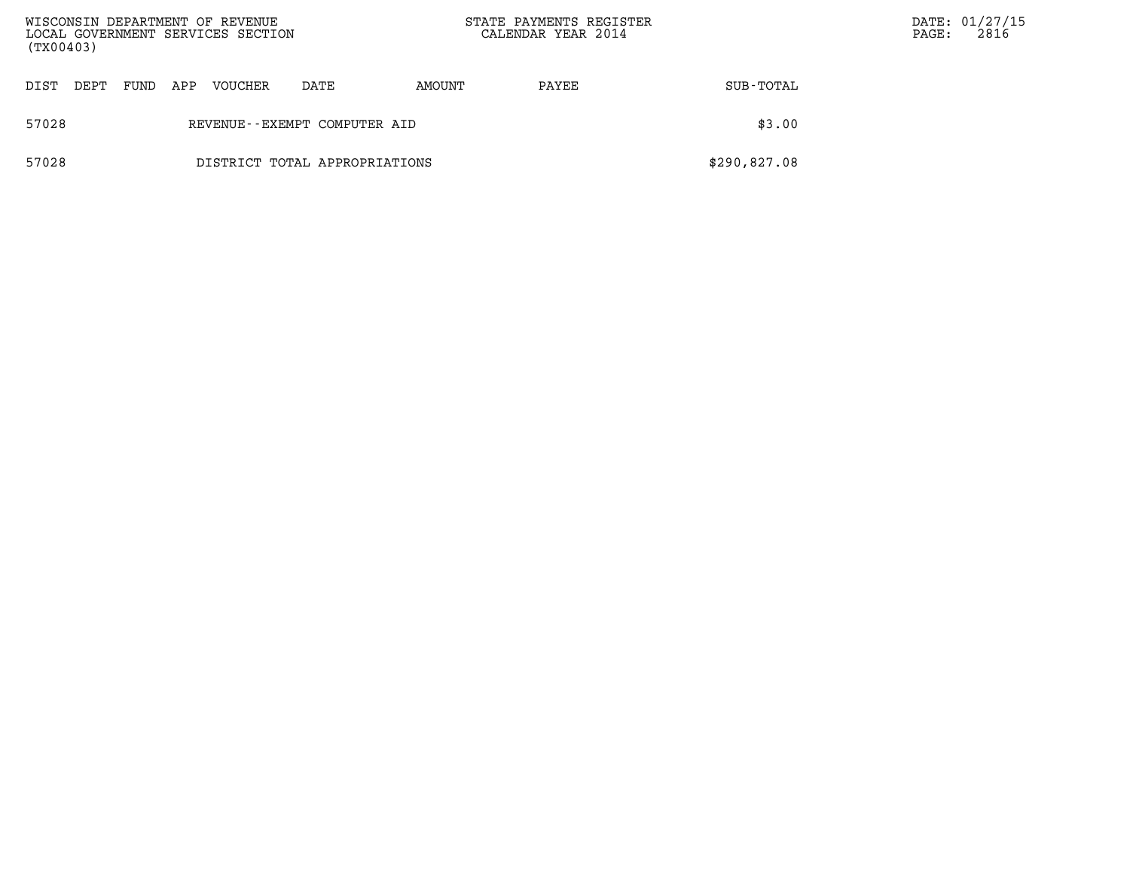| WISCONSIN DEPARTMENT OF REVENUE<br>LOCAL GOVERNMENT SERVICES SECTION<br>(TX00403) |                               |      |     |         |                              |        | STATE PAYMENTS REGISTER<br>CALENDAR YEAR 2014 |              | $\mathtt{PAGE}$ : | DATE: 01/27/15<br>2816 |
|-----------------------------------------------------------------------------------|-------------------------------|------|-----|---------|------------------------------|--------|-----------------------------------------------|--------------|-------------------|------------------------|
| DIST                                                                              | DEPT                          | FUND | APP | VOUCHER | DATE                         | AMOUNT | PAYEE                                         | SUB-TOTAL    |                   |                        |
| 57028                                                                             |                               |      |     |         | REVENUE--EXEMPT COMPUTER AID |        |                                               | \$3.00       |                   |                        |
| 57028                                                                             | DISTRICT TOTAL APPROPRIATIONS |      |     |         |                              |        |                                               | \$290,827.08 |                   |                        |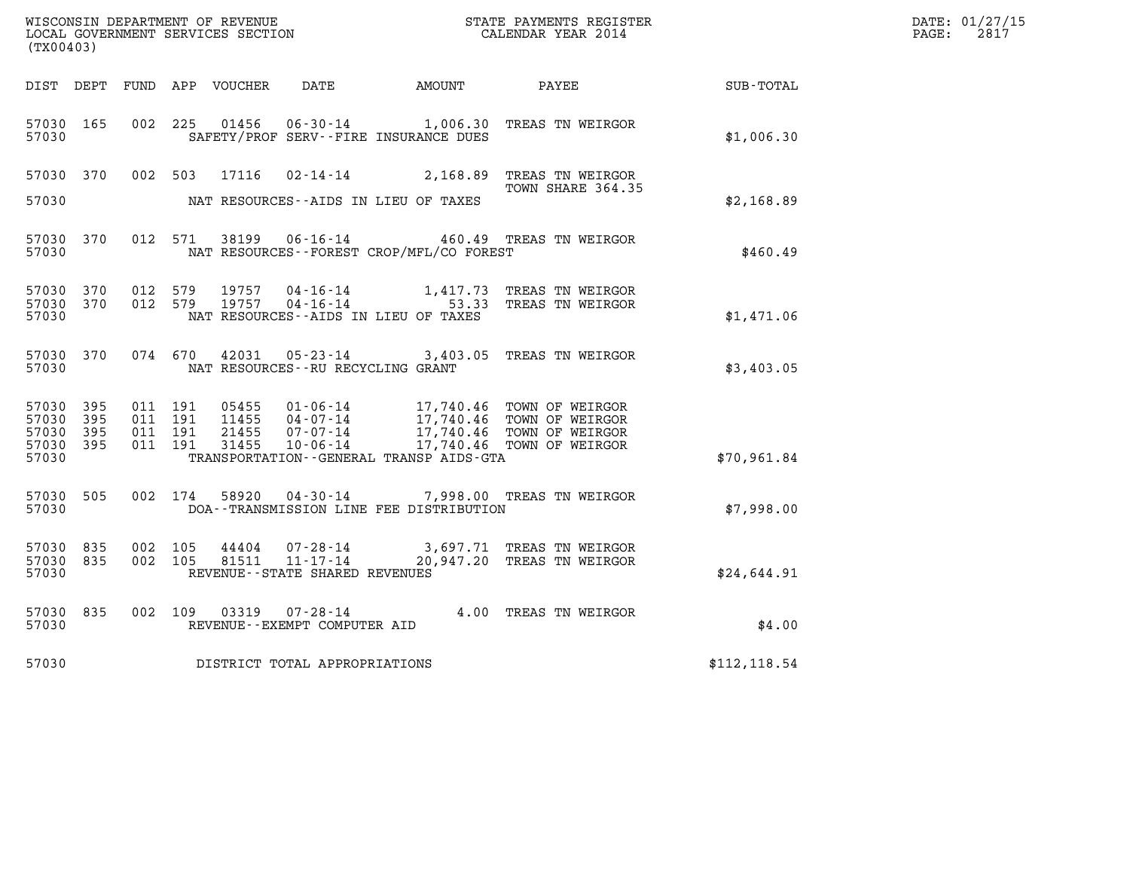| (TX00403)                                     |                   |                                          |         | WISCONSIN DEPARTMENT OF REVENUE<br>LOCAL GOVERNMENT SERVICES SECTION |                                                                 |                                              | STATE PAYMENTS REGISTER<br>CALENDAR YEAR 2014                                                                                               |               | DATE: 01/27/15<br>$\mathtt{PAGE:}$<br>2817 |
|-----------------------------------------------|-------------------|------------------------------------------|---------|----------------------------------------------------------------------|-----------------------------------------------------------------|----------------------------------------------|---------------------------------------------------------------------------------------------------------------------------------------------|---------------|--------------------------------------------|
|                                               |                   |                                          |         |                                                                      |                                                                 | DIST DEPT FUND APP VOUCHER DATE AMOUNT PAYEE |                                                                                                                                             | SUB-TOTAL     |                                            |
| 57030 165<br>57030                            |                   | 002 225                                  |         | 01456                                                                | $06 - 30 - 14$                                                  | SAFETY/PROF SERV--FIRE INSURANCE DUES        | 1,006.30 TREAS TN WEIRGOR                                                                                                                   | \$1,006.30    |                                            |
| 57030 370<br>57030                            |                   |                                          | 002 503 | 17116                                                                |                                                                 | NAT RESOURCES--AIDS IN LIEU OF TAXES         | 02-14-14 2,168.89 TREAS TN WEIRGOR<br>TOWN SHARE 364.35                                                                                     | \$2,168.89    |                                            |
| 57030 370<br>57030                            |                   |                                          | 012 571 | 38199                                                                |                                                                 | NAT RESOURCES - - FOREST CROP/MFL/CO FOREST  | 06-16-14 460.49 TREAS TN WEIRGOR                                                                                                            | \$460.49      |                                            |
| 57030 370<br>57030 370<br>57030               |                   | 012 579<br>012 579                       |         |                                                                      |                                                                 | NAT RESOURCES - AIDS IN LIEU OF TAXES        | 19757  04-16-14   1,417.73  TREAS TN WEIRGOR<br>19757  04-16-14   53.33  TREAS TN WEIRGOR                                                   | \$1,471.06    |                                            |
| 57030 370<br>57030                            |                   |                                          | 074 670 |                                                                      | NAT RESOURCES--RU RECYCLING GRANT                               |                                              | 42031  05-23-14  3,403.05  TREAS TN WEIRGOR                                                                                                 | \$3,403.05    |                                            |
| 57030 395<br>57030<br>57030<br>57030<br>57030 | 395<br>395<br>395 | 011 191<br>011 191<br>011 191<br>011 191 |         | 05455<br>11455<br>21455<br>31455                                     | 10-06-14                                                        | TRANSPORTATION - - GENERAL TRANSP AIDS - GTA | 01-06-14 17,740.46 TOWN OF WEIRGOR<br>04-07-14 17,740.46 TOWN OF WEIRGOR<br>07-07-14 17,740.46 TOWN OF WEIRGOR<br>17,740.46 TOWN OF WEIRGOR | \$70,961.84   |                                            |
| 57030 505<br>57030                            |                   |                                          | 002 174 | 58920                                                                |                                                                 | DOA--TRANSMISSION LINE FEE DISTRIBUTION      | 04-30-14 7,998.00 TREAS TN WEIRGOR                                                                                                          | \$7,998.00    |                                            |
| 57030 835<br>57030 835<br>57030               |                   | 002 105<br>002 105                       |         | 44404<br>81511                                                       | 07-28-14<br>$11 - 17 - 14$<br>REVENUE - - STATE SHARED REVENUES |                                              | 3,697.71 TREAS TN WEIRGOR<br>20,947.20 TREAS TN WEIRGOR                                                                                     | \$24,644.91   |                                            |
| 57030 835<br>57030                            |                   |                                          | 002 109 | 03319                                                                | REVENUE--EXEMPT COMPUTER AID                                    |                                              | 07-28-14 4.00 TREAS TN WEIRGOR                                                                                                              | \$4.00        |                                            |
| 57030                                         |                   |                                          |         |                                                                      | DISTRICT TOTAL APPROPRIATIONS                                   |                                              |                                                                                                                                             | \$112, 118.54 |                                            |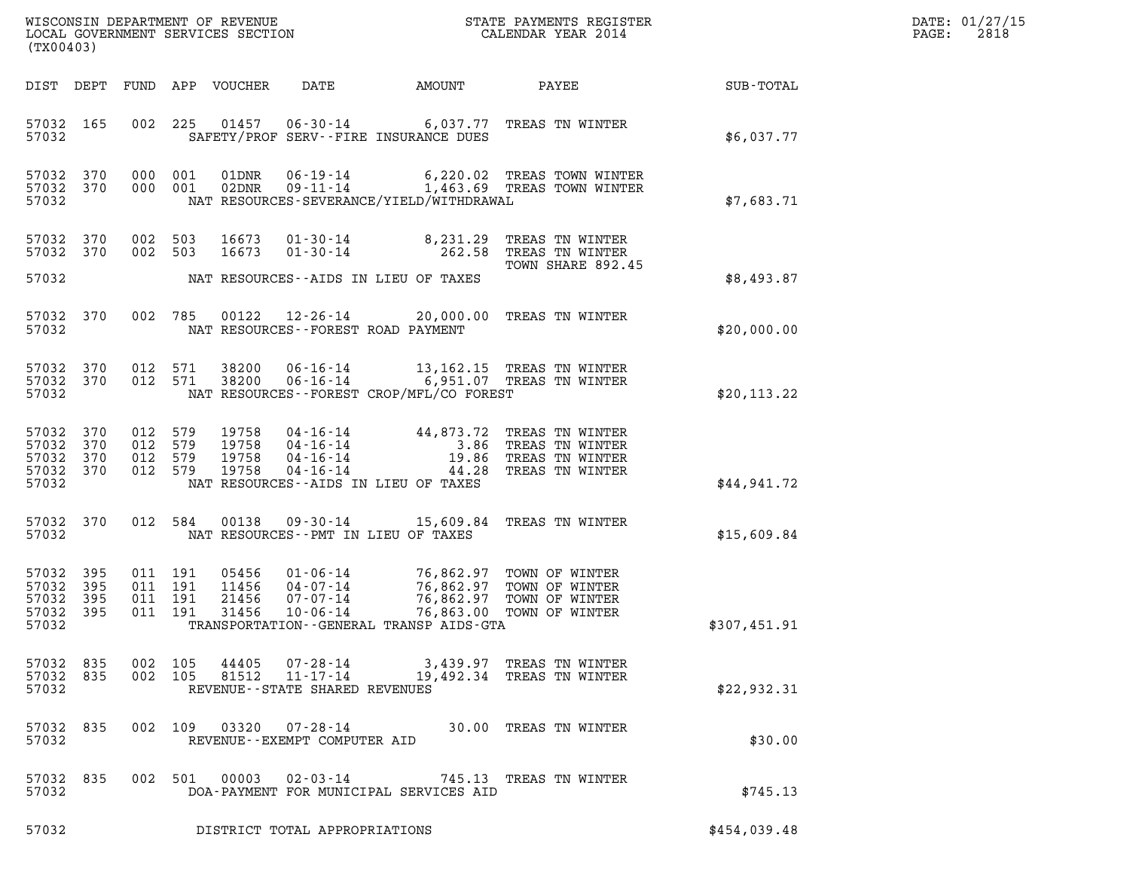| DATE: | 01/27/15 |
|-------|----------|
| PAGE: | 2818     |

| (TX00403)                                             |                                |                                          |                                  |                                                                | WISCONSIN DEPARTMENT OF REVENUE<br>LOCAL GOVERNMENT SERVICES SECTION | STATE PAYMENTS REGISTER<br>CALENDAR YEAR 2014                                                                                  |              | DATE: 01/27/15<br>2818<br>PAGE: |
|-------------------------------------------------------|--------------------------------|------------------------------------------|----------------------------------|----------------------------------------------------------------|----------------------------------------------------------------------|--------------------------------------------------------------------------------------------------------------------------------|--------------|---------------------------------|
|                                                       |                                |                                          | DIST DEPT FUND APP VOUCHER       | DATE                                                           | AMOUNT                                                               | PAYEE                                                                                                                          | SUB-TOTAL    |                                 |
| 57032 165<br>57032                                    |                                |                                          |                                  |                                                                | SAFETY/PROF SERV--FIRE INSURANCE DUES                                | 002 225 01457 06-30-14 6,037.77 TREAS TN WINTER                                                                                | \$6,037.77   |                                 |
| 57032 370<br>57032 370<br>57032                       |                                | 000 001<br>000 001                       | 01DNR                            | $06 - 19 - 14$<br>02DNR 09-11-14                               | NAT RESOURCES-SEVERANCE/YIELD/WITHDRAWAL                             | 6,220.02 TREAS TOWN WINTER<br>1,463.69 TREAS TOWN WINTER                                                                       | \$7,683.71   |                                 |
| 57032 370<br>57032 370                                |                                | 002 503<br>002 503                       | 16673<br>16673                   | $01 - 30 - 14$<br>$01 - 30 - 14$                               | 8,231.29                                                             | TREAS TN WINTER<br>262.58 TREAS TN WINTER<br>TOWN SHARE 892.45                                                                 |              |                                 |
| 57032                                                 |                                |                                          |                                  |                                                                | NAT RESOURCES--AIDS IN LIEU OF TAXES                                 |                                                                                                                                | \$8,493.87   |                                 |
| 57032 370<br>57032                                    |                                | 002 785                                  | 00122                            | 12-26-14                                                       | NAT RESOURCES - - FOREST ROAD PAYMENT                                | 20,000.00 TREAS TN WINTER                                                                                                      | \$20,000.00  |                                 |
| 57032 370<br>57032 370<br>57032                       |                                | 012 571<br>012 571                       | 38200<br>38200                   | $06 - 16 - 14$<br>$06 - 16 - 14$                               | NAT RESOURCES--FOREST CROP/MFL/CO FOREST                             | 13,162.15 TREAS TN WINTER<br>6,951.07 TREAS TN WINTER                                                                          | \$20, 113.22 |                                 |
| 57032 370<br>57032<br>57032 370<br>57032 370<br>57032 | 370                            | 012 579<br>012 579<br>012 579<br>012 579 | 19758<br>19758<br>19758<br>19758 | $04 - 16 - 14$                                                 | NAT RESOURCES -- AIDS IN LIEU OF TAXES                               | 04-16-14 44,873.72 TREAS TN WINTER<br>04-16-14 3.86 TREAS TN WINTER<br>04-16-14 19.86 TREAS TN WINTER<br>44.28 TREAS TN WINTER | \$44,941.72  |                                 |
| 57032 370<br>57032                                    |                                | 012 584                                  | 00138                            | 09-30-14                                                       | NAT RESOURCES - - PMT IN LIEU OF TAXES                               | 15,609.84 TREAS TN WINTER                                                                                                      | \$15,609.84  |                                 |
| 57032 395<br>57032<br>57032<br>57032 395<br>57032     | 395<br>395                     | 011 191<br>011 191<br>011 191<br>011 191 | 05456<br>11456<br>21456<br>31456 | $01 - 06 - 14$<br>$04 - 07 - 14$<br>07-07-14<br>$10 - 06 - 14$ | 76,863.00<br>TRANSPORTATION--GENERAL TRANSP AIDS-GTA                 | 76,862.97 TOWN OF WINTER<br>76,862.97 TOWN OF WINTER<br>76,862.97 TOWN OF WINTER<br>TOWN OF WINTER                             | \$307,451.91 |                                 |
| 57032                                                 | 57032 835 002 105<br>57032 835 | 002 105                                  |                                  |                                                                | REVENUE - - STATE SHARED REVENUES                                    | 44405  07-28-14  3,439.97 TREAS TN WINTER<br>81512  11-17-14  19,492.34 TREAS TN WINTER                                        | \$22,932.31  |                                 |
| 57032                                                 | 57032 835                      |                                          |                                  | REVENUE--EXEMPT COMPUTER AID                                   |                                                                      | 002 109 03320 07-28-14 30.00 TREAS TN WINTER                                                                                   | \$30.00      |                                 |
| 57032                                                 | 57032 835                      |                                          |                                  |                                                                | DOA-PAYMENT FOR MUNICIPAL SERVICES AID                               | 002 501 00003 02-03-14 745.13 TREAS TN WINTER                                                                                  | \$745.13     |                                 |
| 57032                                                 |                                |                                          |                                  | DISTRICT TOTAL APPROPRIATIONS                                  |                                                                      |                                                                                                                                | \$454,039.48 |                                 |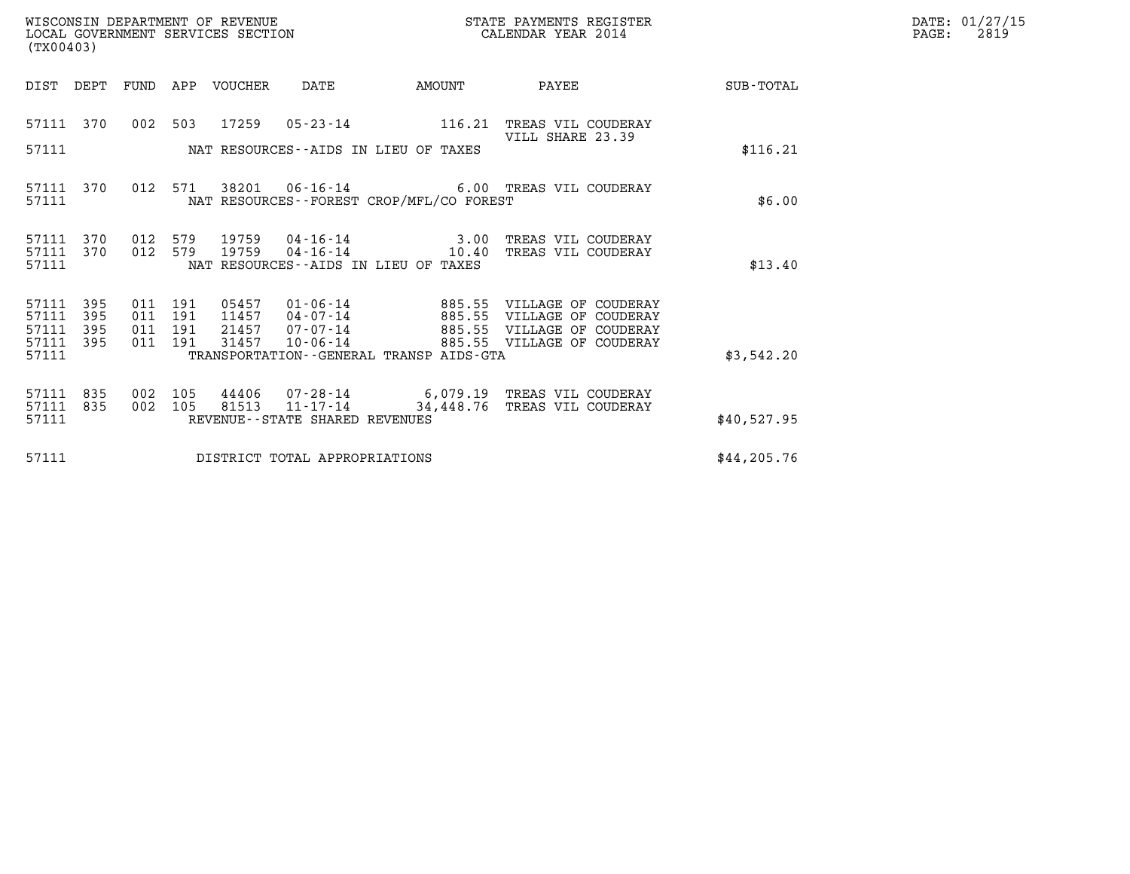| DATE: | 01/27/15 |
|-------|----------|
| PAGE: | 2819     |

| (TX00403) |                                 |                   |  |                               |                                 |                                |                                          |                                                                                                                                                                                              |              | DATE: 01/27/15<br>$\mathtt{PAGE:}$<br>2819 |
|-----------|---------------------------------|-------------------|--|-------------------------------|---------------------------------|--------------------------------|------------------------------------------|----------------------------------------------------------------------------------------------------------------------------------------------------------------------------------------------|--------------|--------------------------------------------|
|           |                                 |                   |  |                               | DIST DEPT FUND APP VOUCHER DATE |                                | <b>AMOUNT</b>                            |                                                                                                                                                                                              |              |                                            |
|           | 57111 370                       |                   |  |                               |                                 |                                |                                          | 002 503 17259 05-23-14 116.21 TREAS VIL COUDERAY<br>VILL SHARE 23.39                                                                                                                         |              |                                            |
|           | 57111                           |                   |  |                               |                                 |                                | NAT RESOURCES--AIDS IN LIEU OF TAXES     |                                                                                                                                                                                              | \$116.21     |                                            |
|           | 57111                           |                   |  |                               |                                 |                                | NAT RESOURCES--FOREST CROP/MFL/CO FOREST | 57111 370 012 571 38201 06-16-14 6.00 TREAS VIL COUDERAY                                                                                                                                     | \$6.00       |                                            |
|           | 57111 370<br>57111 370<br>57111 |                   |  |                               | 012 579 19759                   |                                | NAT RESOURCES--AIDS IN LIEU OF TAXES     | 012 579 19759 04-16-14 3.00 TREAS VIL COUDERAY                                                                                                                                               | \$13.40      |                                            |
|           |                                 |                   |  |                               |                                 |                                |                                          |                                                                                                                                                                                              |              |                                            |
|           | 57111<br>57111<br>57111         | 395<br>395<br>395 |  | 011 191<br>011 191<br>011 191 |                                 |                                |                                          | 05457  01-06-14  885.55  VILLAGE OF COUDERAY<br>11457  04-07-14  885.55  VILLAGE OF COUDERAY<br>21457  07-07-14  885.55  VILLAGE OF COUDERAY<br>31457  10-06-14  885.55  VILLAGE OF COUDERAY |              |                                            |
|           | 57111 395<br>57111              |                   |  | 011 191                       |                                 |                                | TRANSPORTATION--GENERAL TRANSP AIDS-GTA  |                                                                                                                                                                                              | \$3,542.20   |                                            |
|           | 57111 835<br>57111 835          |                   |  | 002 105<br>002 105            |                                 |                                |                                          | 44406  07-28-14  6,079.19  TREAS VIL COUDERAY<br>81513  11-17-14  34,448.76  TREAS VIL COUDERAY                                                                                              |              |                                            |
|           | 57111                           |                   |  |                               |                                 | REVENUE--STATE SHARED REVENUES |                                          |                                                                                                                                                                                              | \$40,527.95  |                                            |
|           | 57111                           |                   |  |                               |                                 | DISTRICT TOTAL APPROPRIATIONS  |                                          |                                                                                                                                                                                              | \$44, 205.76 |                                            |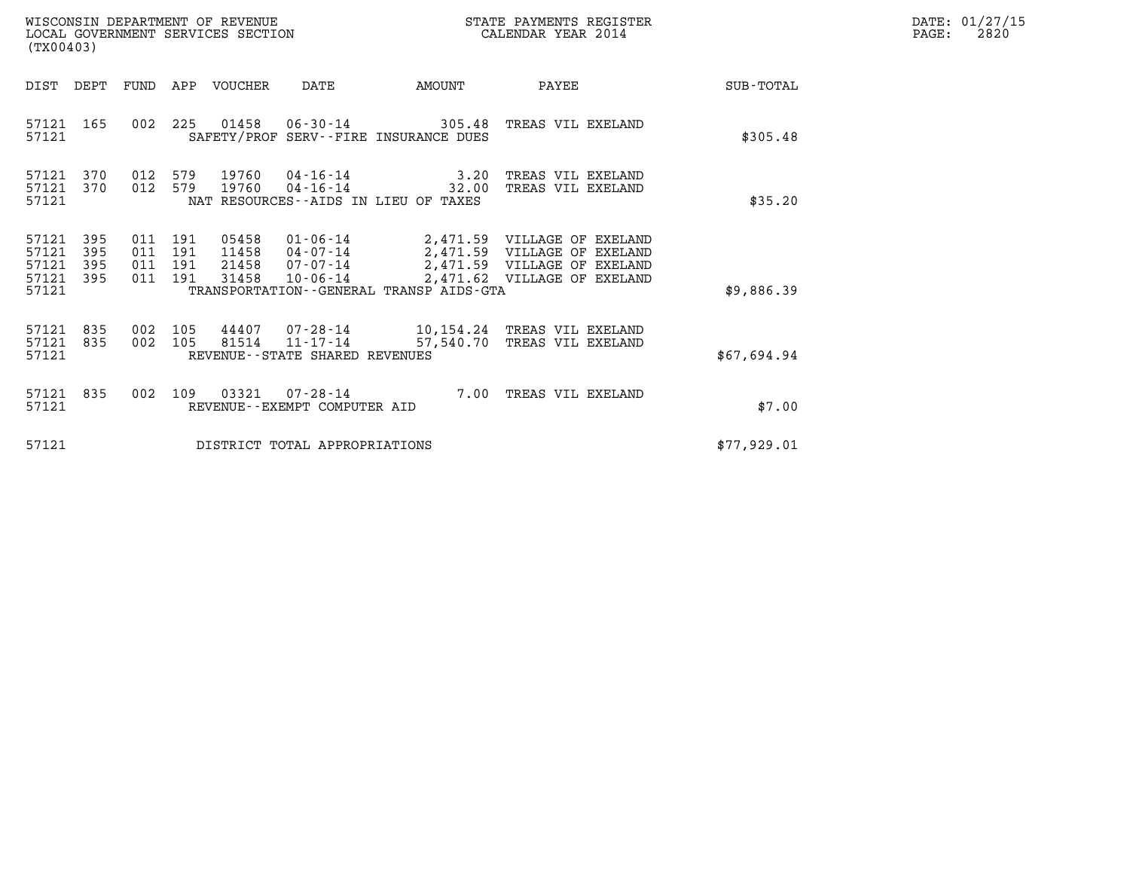| WISCONSIN DEPARTMENT OF REVENUE<br>(TX00403)                          | LOCAL GOVERNMENT SERVICES SECTION                                                                                                                                | STATE PAYMENTS REGISTER<br>CALENDAR YEAR 2014                                                                                              |             | DATE: 01/27/15<br>$\mathtt{PAGE:}$<br>2820 |
|-----------------------------------------------------------------------|------------------------------------------------------------------------------------------------------------------------------------------------------------------|--------------------------------------------------------------------------------------------------------------------------------------------|-------------|--------------------------------------------|
| DIST DEPT                                                             | FUND APP VOUCHER<br>DATE<br>AMOUNT                                                                                                                               | PAYEE                                                                                                                                      | SUB-TOTAL   |                                            |
| 57121<br>165<br>57121                                                 | 002 225<br>01458   06-30-14   305.48   TREAS VIL EXELAND<br>SAFETY/PROF SERV--FIRE INSURANCE DUES                                                                |                                                                                                                                            | \$305.48    |                                            |
| 57121<br>370<br>012<br>57121<br>370<br>57121                          | 579<br>19760<br>$04 - 16 - 14$ 3.20<br>012 579<br>19760<br>$04 - 16 - 14$ 32.00<br>NAT RESOURCES--AIDS IN LIEU OF TAXES                                          | TREAS VIL EXELAND<br>TREAS VIL EXELAND                                                                                                     | \$35.20     |                                            |
| 57121<br>395<br>57121<br>395<br>57121<br>395<br>57121<br>395<br>57121 | 011 191<br>05458<br>011 191<br>11458<br>011 191<br>21458<br>$07 - 07 - 14$<br>011 191<br>31458<br>$10 - 06 - 14$<br>TRANSPORTATION - - GENERAL TRANSP AIDS - GTA | 01-06-14 2,471.59 VILLAGE OF EXELAND<br>04-07-14 2,471.59 VILLAGE OF EXELAND<br>2,471.59 VILLAGE OF EXELAND<br>2,471.62 VILLAGE OF EXELAND | \$9,886.39  |                                            |
| 57121<br>835<br>002<br>002<br>57121<br>835<br>57121                   | 105<br>44407 07-28-14 10,154.24 TREAS VIL EXELAND<br>105<br>81514<br>REVENUE--STATE SHARED REVENUES                                                              | 11-17-14 57,540.70 TREAS VIL EXELAND                                                                                                       | \$67,694.94 |                                            |
| 835<br>57121<br>002<br>57121                                          | 03321<br>109<br>$07 - 28 - 14$<br>REVENUE - - EXEMPT COMPUTER AID                                                                                                | 7.00 TREAS VIL EXELAND                                                                                                                     | \$7.00      |                                            |
| 57121                                                                 | DISTRICT TOTAL APPROPRIATIONS                                                                                                                                    |                                                                                                                                            | \$77,929.01 |                                            |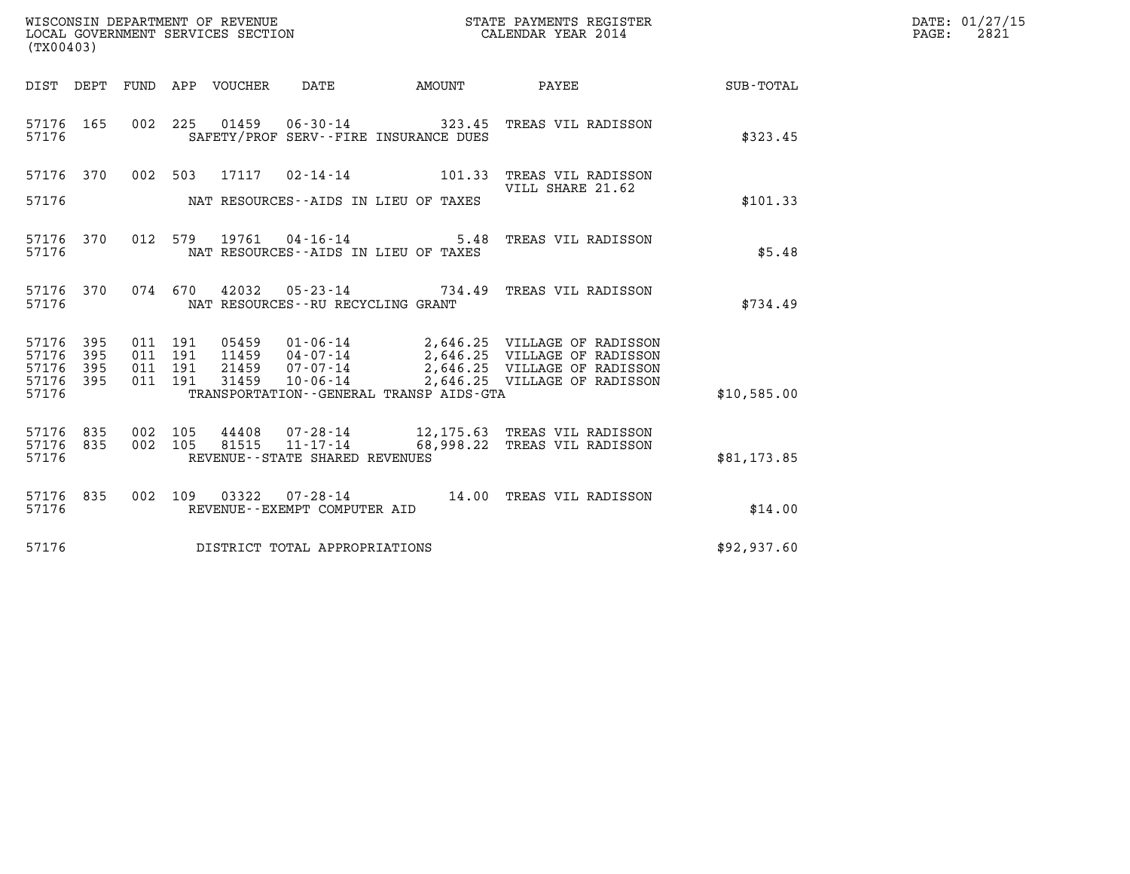| (TX00403)                                                 |                    |         |                               |               |                                   |                                            |                                                                                                                                                                                    |             | DATE: 01/27/15<br>$\mathtt{PAGE:}$<br>2821 |
|-----------------------------------------------------------|--------------------|---------|-------------------------------|---------------|-----------------------------------|--------------------------------------------|------------------------------------------------------------------------------------------------------------------------------------------------------------------------------------|-------------|--------------------------------------------|
|                                                           |                    |         |                               |               |                                   | DIST DEPT FUND APP VOUCHER DATE AMOUNT     | <b>PAYEE</b>                                                                                                                                                                       | SUB-TOTAL   |                                            |
| 57176 165<br>57176                                        |                    |         |                               |               |                                   | SAFETY/PROF SERV--FIRE INSURANCE DUES      | 002 225 01459 06-30-14 323.45 TREAS VIL RADISSON                                                                                                                                   | \$323.45    |                                            |
|                                                           |                    |         |                               |               |                                   |                                            | 57176 370 002 503 17117 02-14-14 101.33 TREAS VIL RADISSON<br>VILL SHARE 21.62                                                                                                     |             |                                            |
|                                                           |                    |         |                               |               |                                   | 57176 MAT RESOURCES--AIDS IN LIEU OF TAXES |                                                                                                                                                                                    | \$101.33    |                                            |
| 57176                                                     | 57176 370          |         |                               |               |                                   | NAT RESOURCES--AIDS IN LIEU OF TAXES       | 012 579 19761 04-16-14 5.48 TREAS VIL RADISSON                                                                                                                                     | \$5.48      |                                            |
|                                                           | 57176 370<br>57176 |         | 074 670                       |               | NAT RESOURCES--RU RECYCLING GRANT |                                            | 42032  05-23-14  734.49  TREAS VIL RADISSON                                                                                                                                        | \$734.49    |                                            |
| 57176 395<br>57176 395<br>57176 395<br>57176 395<br>57176 |                    | 011 191 | 011 191<br>011 191<br>011 191 | 31459         | 10-06-14                          | TRANSPORTATION--GENERAL TRANSP AIDS-GTA    | 05459  01-06-14  2,646.25  VILLAGE OF RADISSON<br>11459  04-07-14  2,646.25  VILLAGE OF RADISSON<br>21459  07-07-14  2,646.25  VILLAGE OF RADISSON<br>2,646.25 VILLAGE OF RADISSON | \$10,585.00 |                                            |
| 57176 835<br>57176 835<br>57176                           |                    |         | 002 105<br>002 105            |               | REVENUE - - STATE SHARED REVENUES |                                            |                                                                                                                                                                                    | \$81,173.85 |                                            |
| 57176 835<br>57176                                        |                    |         |                               | 002 109 03322 | REVENUE--EXEMPT COMPUTER AID      |                                            | 07-28-14 14.00 TREAS VIL RADISSON                                                                                                                                                  | \$14.00     |                                            |
| 57176                                                     |                    |         |                               |               | DISTRICT TOTAL APPROPRIATIONS     |                                            |                                                                                                                                                                                    | \$92,937.60 |                                            |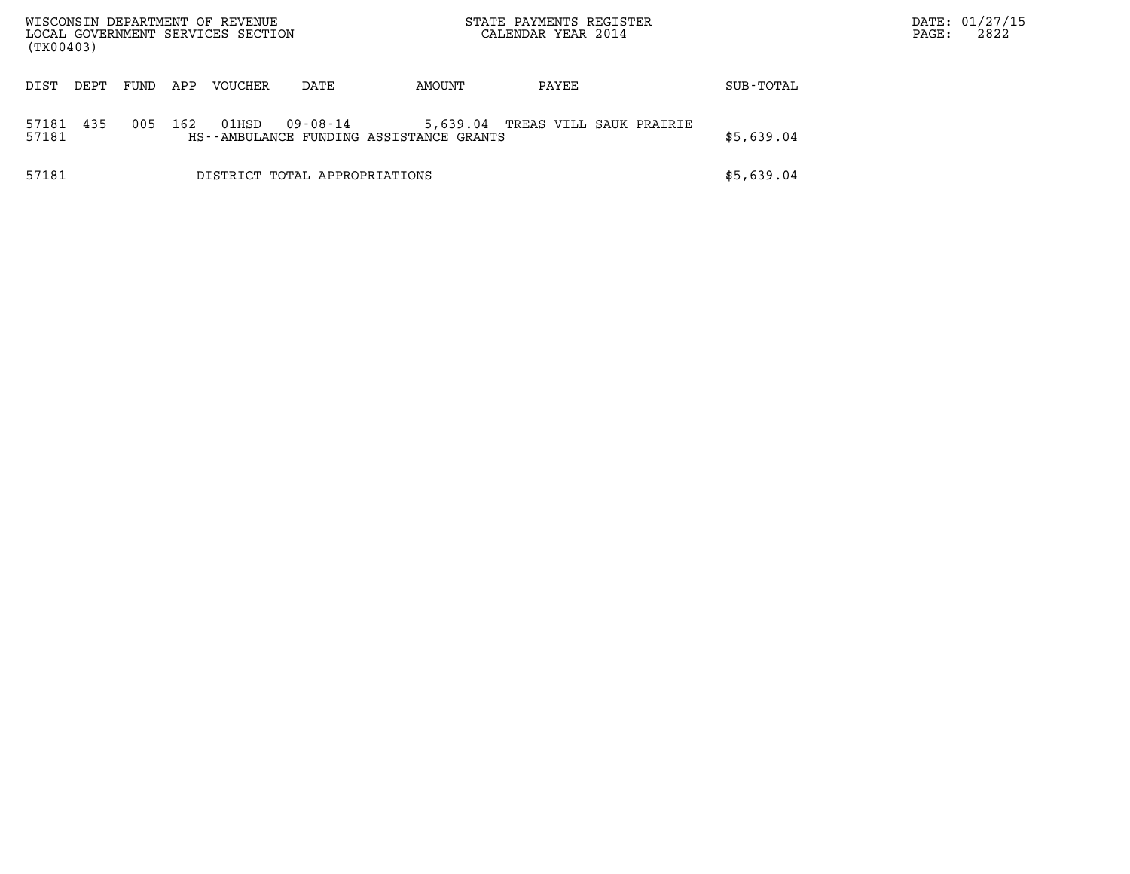| WISCONSIN DEPARTMENT OF REVENUE<br>(TX00403) |      |     | LOCAL GOVERNMENT SERVICES SECTION |                                                     |                         | STATE PAYMENTS REGISTER<br>CALENDAR YEAR 2014 |           | PAGE: | DATE: 01/27/15<br>2822 |
|----------------------------------------------|------|-----|-----------------------------------|-----------------------------------------------------|-------------------------|-----------------------------------------------|-----------|-------|------------------------|
| DIST<br>DEPT                                 | FUND | APP | VOUCHER                           | DATE                                                | AMOUNT                  | PAYEE                                         | SUB-TOTAL |       |                        |
| 435<br>57181<br>57181                        | 005  | 162 | 01HSD                             | 09-08-14<br>HS--AMBULANCE FUNDING ASSISTANCE GRANTS | TREAS VILL SAUK PRAIRIE | \$5,639.04                                    |           |       |                        |
| 57181                                        |      |     | DISTRICT TOTAL APPROPRIATIONS     |                                                     | \$5,639.04              |                                               |           |       |                        |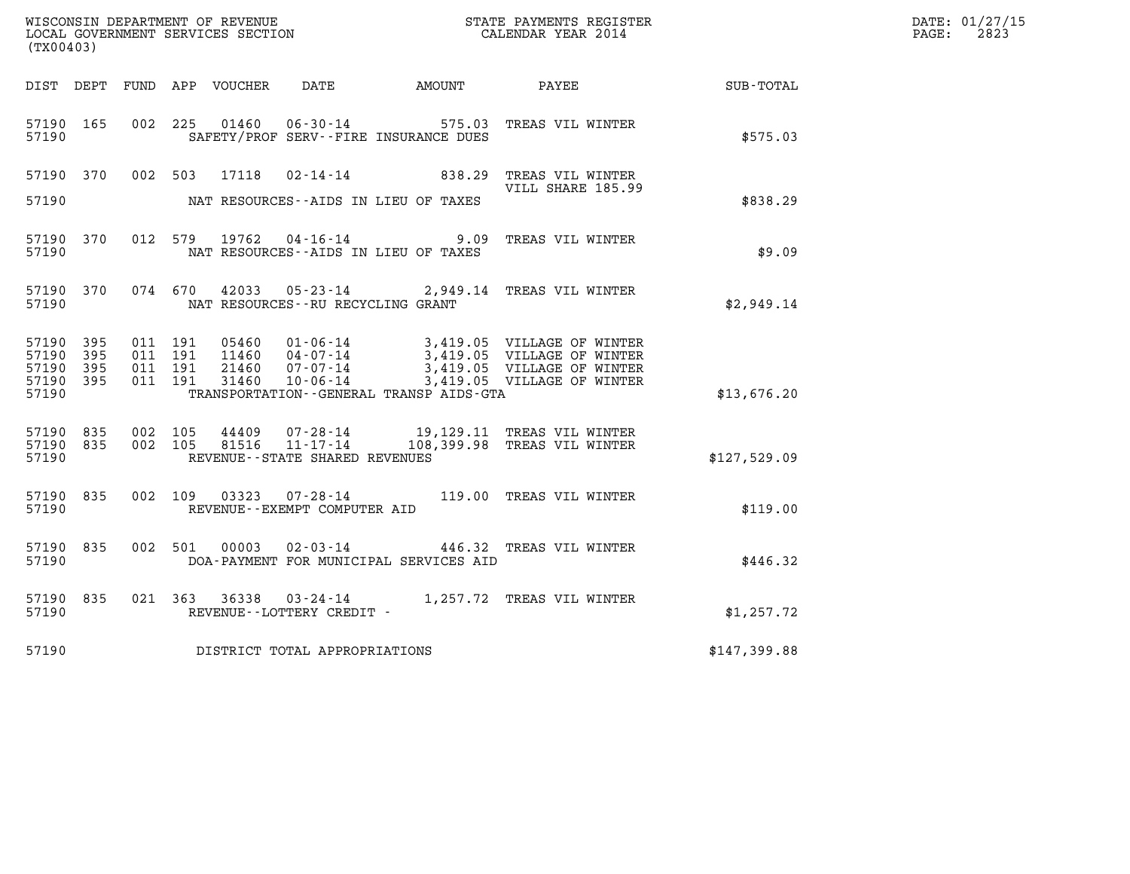|                                     |           |                               |         |                         |                                   |                                                                     |                                                                                             |              | DATE: 01/27/15           |
|-------------------------------------|-----------|-------------------------------|---------|-------------------------|-----------------------------------|---------------------------------------------------------------------|---------------------------------------------------------------------------------------------|--------------|--------------------------|
| (TX00403)                           |           |                               |         |                         |                                   |                                                                     | WISCONSIN DEPARTMENT OF REVENUE<br>LOCAL GOVERNMENT SERVICES SECTION<br>CALENDAR YEAR 2014  |              | $\mathtt{PAGE:}$<br>2823 |
|                                     |           |                               |         |                         |                                   |                                                                     | DIST DEPT FUND APP VOUCHER DATE AMOUNT PAYEE TOTAL                                          |              |                          |
| 57190 165<br>57190                  |           |                               | 002 225 | 01460                   |                                   | SAFETY/PROF SERV--FIRE INSURANCE DUES                               | 06-30-14 575.03 TREAS VIL WINTER                                                            | \$575.03     |                          |
| 57190 370                           |           |                               |         |                         |                                   |                                                                     | 002 503 17118 02-14-14 838.29 TREAS VIL WINTER<br>VILL SHARE 185.99                         |              |                          |
| 57190                               |           |                               |         |                         |                                   | NAT RESOURCES--AIDS IN LIEU OF TAXES                                |                                                                                             | \$838.29     |                          |
| 57190                               | 57190 370 |                               |         |                         |                                   | 012 579 19762 04-16-14 9.09<br>NAT RESOURCES--AIDS IN LIEU OF TAXES | TREAS VIL WINTER                                                                            | \$9.09       |                          |
| 57190                               | 57190 370 |                               |         |                         | NAT RESOURCES--RU RECYCLING GRANT |                                                                     | 074 670 42033 05-23-14 2,949.14 TREAS VIL WINTER                                            | \$2,949.14   |                          |
| 57190 395<br>57190 395<br>57190 395 |           | 011 191<br>011 191<br>011 191 |         | 05460<br>11460<br>21460 |                                   |                                                                     |                                                                                             |              |                          |
| 57190 395<br>57190                  |           | 011 191                       |         | 31460                   |                                   | TRANSPORTATION--GENERAL TRANSP AIDS-GTA                             |                                                                                             | \$13,676.20  |                          |
| 57190 835<br>57190 835              |           | 002 105                       | 002 105 |                         |                                   |                                                                     | 44409  07-28-14  19,129.11 TREAS VIL WINTER<br>81516  11-17-14  108,399.98 TREAS VIL WINTER |              |                          |
| 57190                               |           |                               |         |                         | REVENUE--STATE SHARED REVENUES    |                                                                     |                                                                                             | \$127,529.09 |                          |
| 57190 835<br>57190                  |           |                               |         |                         | REVENUE--EXEMPT COMPUTER AID      |                                                                     | 002 109 03323 07-28-14 119.00 TREAS VIL WINTER                                              | \$119.00     |                          |
| 57190 835<br>57190                  |           |                               |         |                         |                                   | DOA-PAYMENT FOR MUNICIPAL SERVICES AID                              | 002 501 00003 02-03-14 446.32 TREAS VIL WINTER                                              | \$446.32     |                          |
| 57190 835<br>57190                  |           |                               |         |                         | REVENUE--LOTTERY CREDIT -         |                                                                     | 021 363 36338 03-24-14 1,257.72 TREAS VIL WINTER                                            | \$1,257.72   |                          |
| 57190                               |           |                               |         |                         | DISTRICT TOTAL APPROPRIATIONS     |                                                                     |                                                                                             | \$147,399.88 |                          |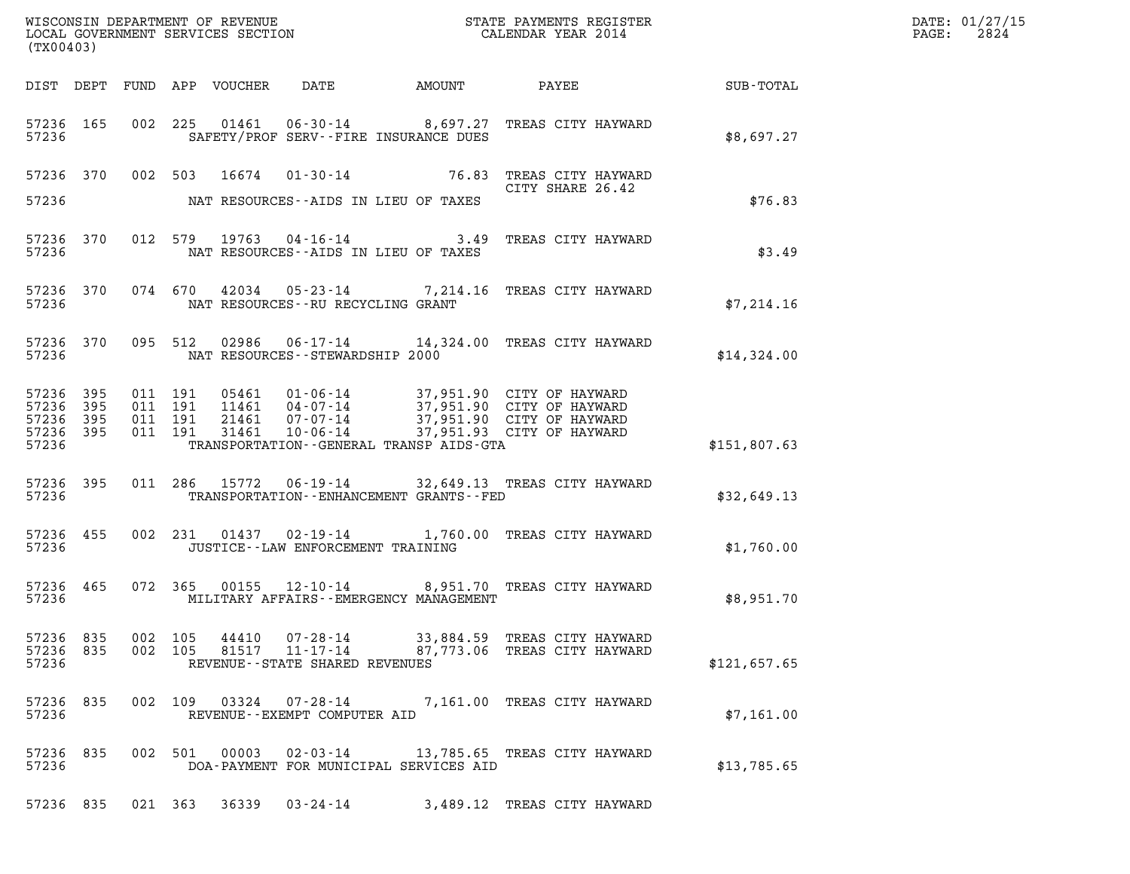| (TX00403) |                                                  |                    |                |                                                              |                                               |                                                                                                                                                                                    |              | DATE: 01/27/15<br>$\mathtt{PAGE:}$<br>2824 |
|-----------|--------------------------------------------------|--------------------|----------------|--------------------------------------------------------------|-----------------------------------------------|------------------------------------------------------------------------------------------------------------------------------------------------------------------------------------|--------------|--------------------------------------------|
|           |                                                  |                    |                |                                                              |                                               |                                                                                                                                                                                    |              |                                            |
| 57236     | 57236 165                                        |                    |                |                                                              | SAFETY/PROF SERV--FIRE INSURANCE DUES         | 002 225 01461 06-30-14 8,697.27 TREAS CITY HAYWARD                                                                                                                                 | \$8,697.27   |                                            |
| 57236     |                                                  |                    |                |                                                              | NAT RESOURCES--AIDS IN LIEU OF TAXES          | 57236 370 002 503 16674 01-30-14 76.83 TREAS CITY HAYWARD<br>CITY SHARE 26.42<br>CITY SHARE 26.42                                                                                  | \$76.83      |                                            |
| 57236     | 57236 370                                        |                    |                |                                                              | NAT RESOURCES--AIDS IN LIEU OF TAXES          | 012 579 19763 04-16-14 3.49 TREAS CITY HAYWARD                                                                                                                                     | \$3.49       |                                            |
| 57236     |                                                  |                    |                | NAT RESOURCES--RU RECYCLING GRANT                            |                                               | 57236 370 074 670 42034 05-23-14 7,214.16 TREAS CITY HAYWARD                                                                                                                       | \$7,214.16   |                                            |
| 57236     |                                                  |                    |                | NAT RESOURCES--STEWARDSHIP 2000                              |                                               | 57236 370 095 512 02986 06-17-14 14,324.00 TREAS CITY HAYWARD                                                                                                                      | \$14,324.00  |                                            |
| 57236     | 57236 395<br>57236 395<br>57236 395<br>57236 395 |                    |                |                                                              | TRANSPORTATION--GENERAL TRANSP AIDS-GTA       | 011 191 05461 01-06-14 37,951.90 CITY OF HAYWARD<br>011 191 11461 04-07-14 37,951.90 CITY OF HAYWARD<br>011 191 21461 07-07-14 37,951.90 CITY OF HAYWARD<br>011 191 31461 10-06-14 | \$151,807.63 |                                            |
| 57236     | 57236 395                                        |                    |                |                                                              | TRANSPORTATION - - ENHANCEMENT GRANTS - - FED | 011 286 15772 06-19-14 32,649.13 TREAS CITY HAYWARD                                                                                                                                | \$32,649.13  |                                            |
| 57236     | 57236 455                                        |                    |                | JUSTICE - - LAW ENFORCEMENT TRAINING                         |                                               | 002 231 01437 02-19-14 1,760.00 TREAS CITY HAYWARD                                                                                                                                 | \$1,760.00   |                                            |
| 57236     | 57236 465                                        |                    |                |                                                              | MILITARY AFFAIRS - - EMERGENCY MANAGEMENT     | 072 365 00155 12-10-14 8,951.70 TREAS CITY HAYWARD                                                                                                                                 | \$8,951.70   |                                            |
| 57236     | 57236 835<br>57236 835                           | 002 105<br>002 105 | 44410<br>81517 | 07-28-14<br>$11 - 17 - 14$<br>REVENUE--STATE SHARED REVENUES |                                               | 33,884.59 TREAS CITY HAYWARD<br>87,773.06 TREAS CITY HAYWARD                                                                                                                       | \$121,657.65 |                                            |
| 57236     | 57236 835                                        |                    | 002 109 03324  | REVENUE - - EXEMPT COMPUTER AID                              |                                               | 07-28-14 7,161.00 TREAS CITY HAYWARD                                                                                                                                               | \$7,161.00   |                                            |
| 57236     | 57236 835                                        |                    | 002 501 00003  | 02-03-14                                                     | DOA-PAYMENT FOR MUNICIPAL SERVICES AID        | 13,785.65 TREAS CITY HAYWARD                                                                                                                                                       | \$13,785.65  |                                            |
|           | 57236 835                                        |                    | 021 363 36339  |                                                              |                                               | 03-24-14 3,489.12 TREAS CITY HAYWARD                                                                                                                                               |              |                                            |